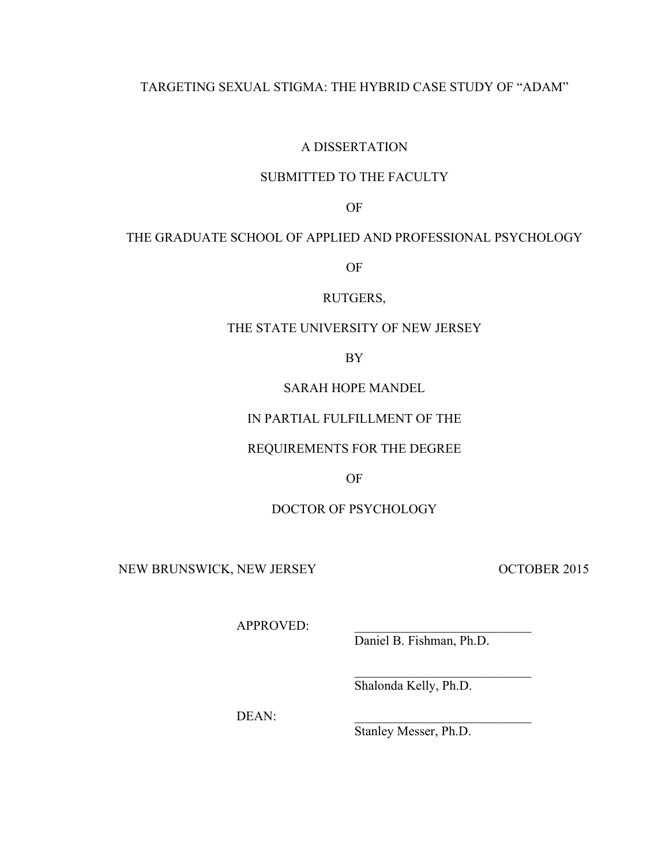## TARGETING SEXUAL STIGMA: THE HYBRID CASE STUDY OF "ADAM"

## A DISSERTATION

## SUBMITTED TO THE FACULTY

OF

## THE GRADUATE SCHOOL OF APPLIED AND PROFESSIONAL PSYCHOLOGY

OF

### RUTGERS,

## THE STATE UNIVERSITY OF NEW JERSEY

BY

## SARAH HOPE MANDEL

## IN PARTIAL FULFILLMENT OF THE

## REQUIREMENTS FOR THE DEGREE

OF

## DOCTOR OF PSYCHOLOGY

NEW BRUNSWICK, NEW JERSEY OCTOBER 2015

APPROVED:

Daniel B. Fishman, Ph.D.

 $\mathcal{L}_\text{max}$ 

Shalonda Kelly, Ph.D.

DEAN:

Stanley Messer, Ph.D.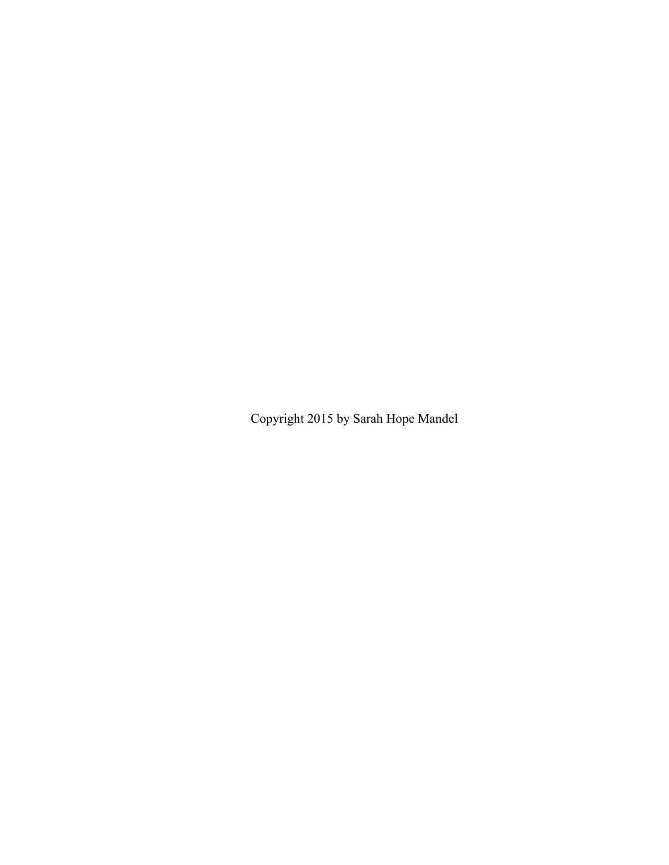Copyright 2015 by Sarah Hope Mandel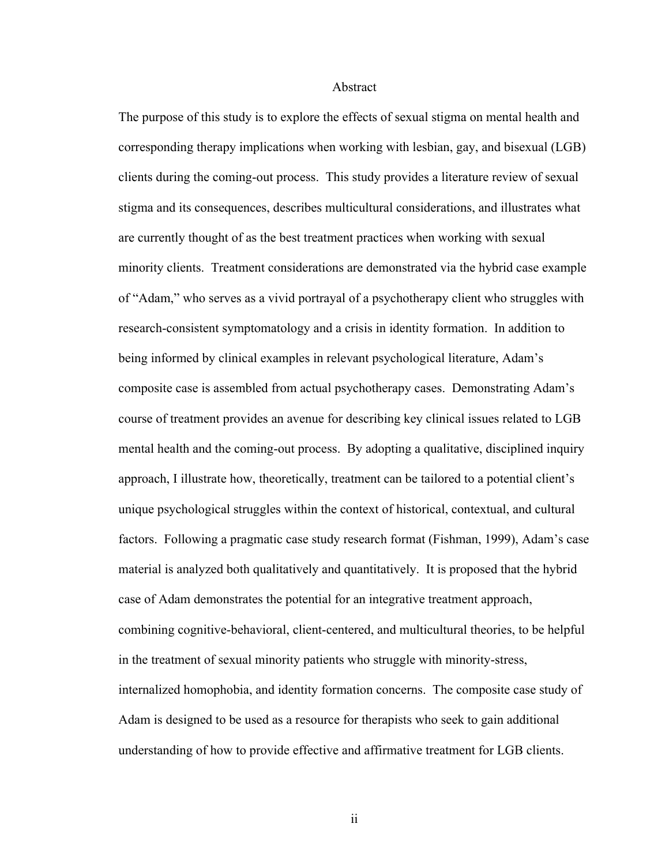#### Abstract

The purpose of this study is to explore the effects of sexual stigma on mental health and corresponding therapy implications when working with lesbian, gay, and bisexual (LGB) clients during the coming-out process. This study provides a literature review of sexual stigma and its consequences, describes multicultural considerations, and illustrates what are currently thought of as the best treatment practices when working with sexual minority clients. Treatment considerations are demonstrated via the hybrid case example of "Adam," who serves as a vivid portrayal of a psychotherapy client who struggles with research-consistent symptomatology and a crisis in identity formation. In addition to being informed by clinical examples in relevant psychological literature, Adam's composite case is assembled from actual psychotherapy cases. Demonstrating Adam's course of treatment provides an avenue for describing key clinical issues related to LGB mental health and the coming-out process. By adopting a qualitative, disciplined inquiry approach, I illustrate how, theoretically, treatment can be tailored to a potential client's unique psychological struggles within the context of historical, contextual, and cultural factors. Following a pragmatic case study research format (Fishman, 1999), Adam's case material is analyzed both qualitatively and quantitatively. It is proposed that the hybrid case of Adam demonstrates the potential for an integrative treatment approach, combining cognitive-behavioral, client-centered, and multicultural theories, to be helpful in the treatment of sexual minority patients who struggle with minority-stress, internalized homophobia, and identity formation concerns. The composite case study of Adam is designed to be used as a resource for therapists who seek to gain additional understanding of how to provide effective and affirmative treatment for LGB clients.

ii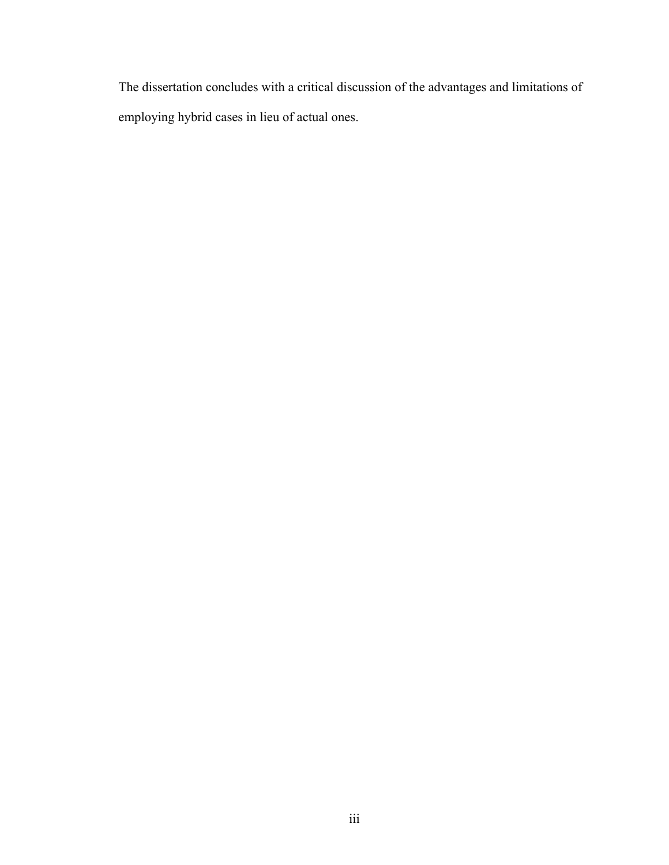The dissertation concludes with a critical discussion of the advantages and limitations of employing hybrid cases in lieu of actual ones.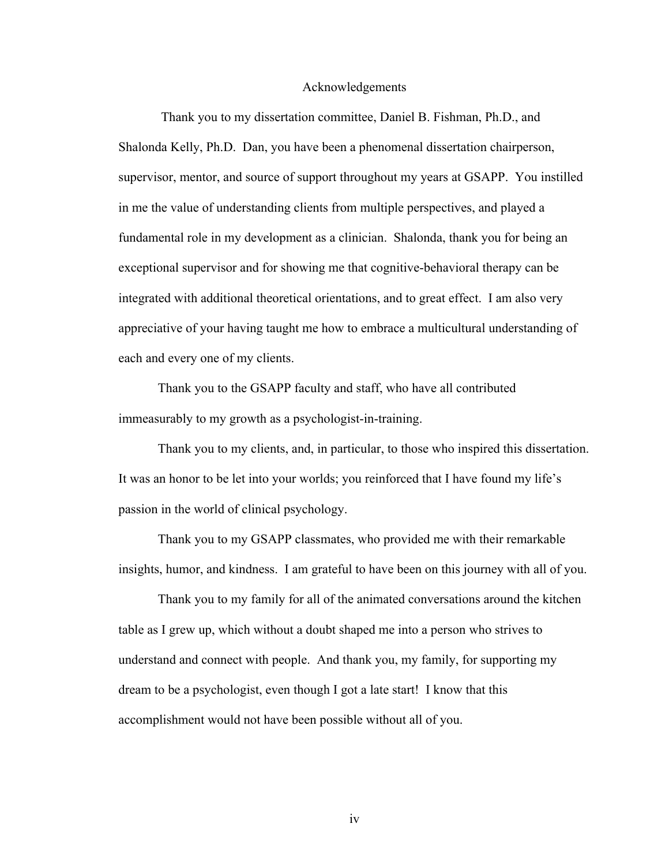#### Acknowledgements

Thank you to my dissertation committee, Daniel B. Fishman, Ph.D., and Shalonda Kelly, Ph.D. Dan, you have been a phenomenal dissertation chairperson, supervisor, mentor, and source of support throughout my years at GSAPP. You instilled in me the value of understanding clients from multiple perspectives, and played a fundamental role in my development as a clinician. Shalonda, thank you for being an exceptional supervisor and for showing me that cognitive-behavioral therapy can be integrated with additional theoretical orientations, and to great effect. I am also very appreciative of your having taught me how to embrace a multicultural understanding of each and every one of my clients.

Thank you to the GSAPP faculty and staff, who have all contributed immeasurably to my growth as a psychologist-in-training.

Thank you to my clients, and, in particular, to those who inspired this dissertation. It was an honor to be let into your worlds; you reinforced that I have found my life's passion in the world of clinical psychology.

Thank you to my GSAPP classmates, who provided me with their remarkable insights, humor, and kindness. I am grateful to have been on this journey with all of you.

Thank you to my family for all of the animated conversations around the kitchen table as I grew up, which without a doubt shaped me into a person who strives to understand and connect with people. And thank you, my family, for supporting my dream to be a psychologist, even though I got a late start! I know that this accomplishment would not have been possible without all of you.

iv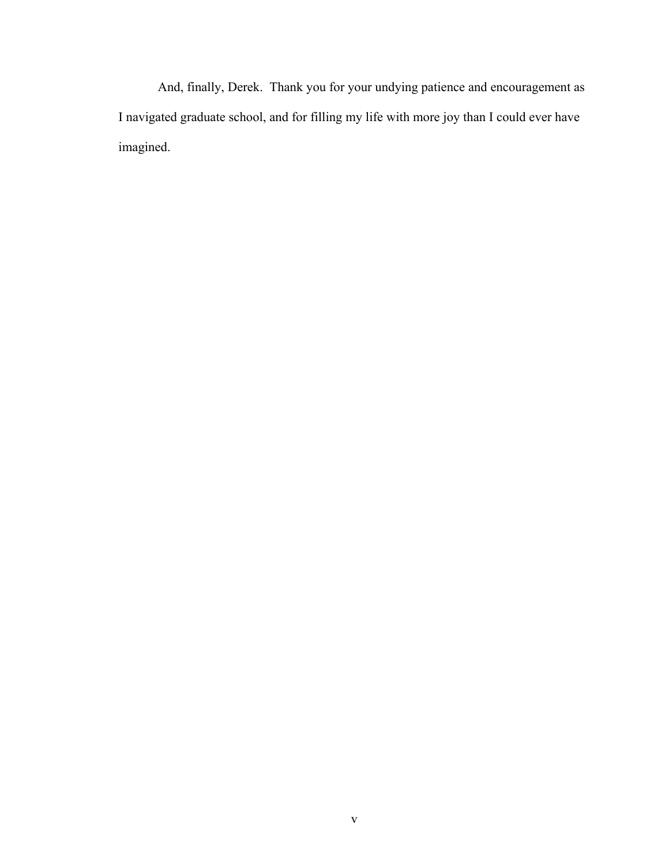And, finally, Derek. Thank you for your undying patience and encouragement as I navigated graduate school, and for filling my life with more joy than I could ever have imagined.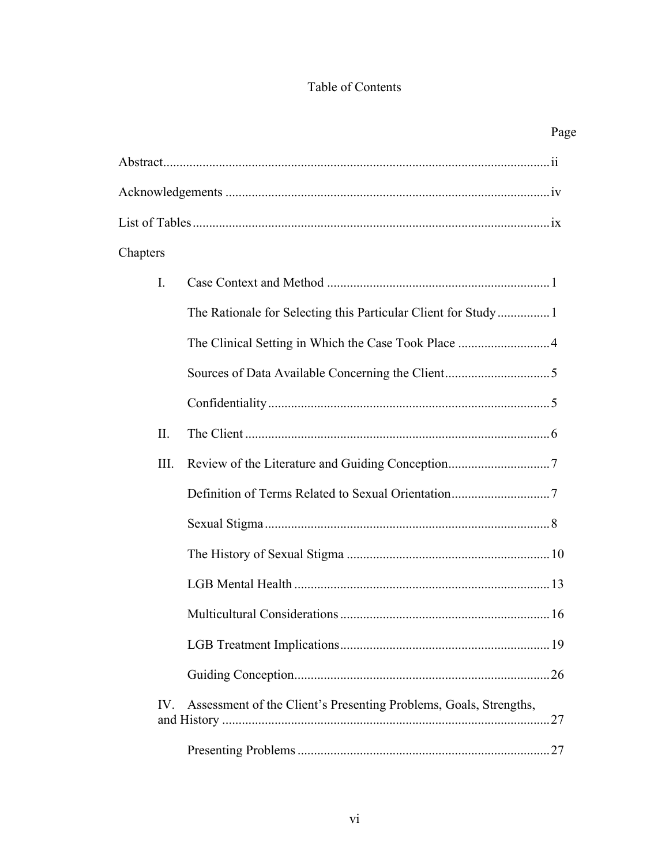# Table of Contents

|                |                                                                   | Page |
|----------------|-------------------------------------------------------------------|------|
|                |                                                                   |      |
|                |                                                                   |      |
|                |                                                                   |      |
| Chapters       |                                                                   |      |
| $\mathbf{I}$ . |                                                                   |      |
|                | The Rationale for Selecting this Particular Client for Study1     |      |
|                |                                                                   |      |
|                |                                                                   |      |
|                |                                                                   |      |
| II.            |                                                                   |      |
| III.           |                                                                   |      |
|                |                                                                   |      |
|                |                                                                   |      |
|                |                                                                   |      |
|                |                                                                   |      |
|                |                                                                   |      |
|                |                                                                   |      |
|                |                                                                   |      |
| $IV_{-}$       | Assessment of the Client's Presenting Problems, Goals, Strengths, |      |
|                |                                                                   |      |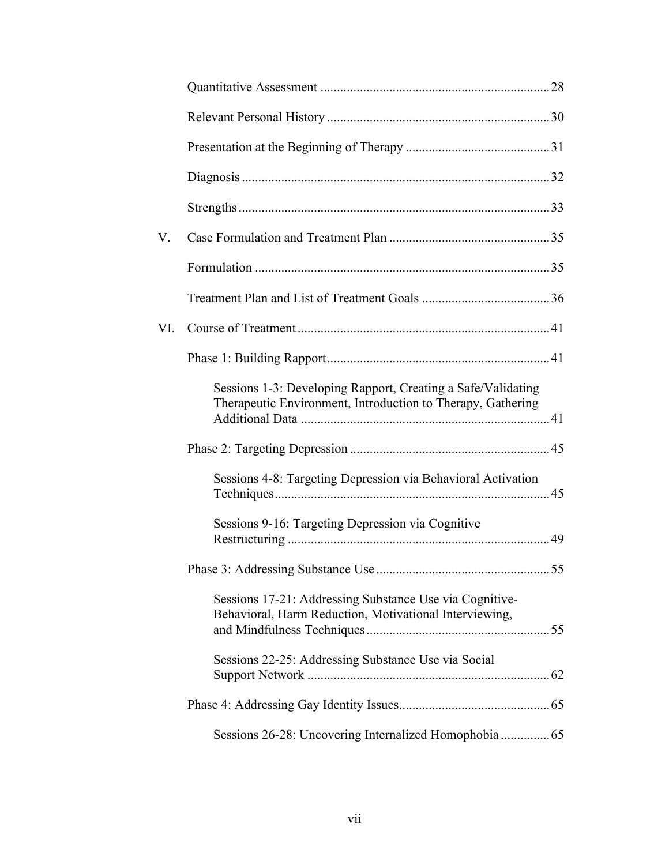| V.  |                                                                                                                             |  |
|-----|-----------------------------------------------------------------------------------------------------------------------------|--|
|     |                                                                                                                             |  |
|     |                                                                                                                             |  |
| VI. |                                                                                                                             |  |
|     |                                                                                                                             |  |
|     | Sessions 1-3: Developing Rapport, Creating a Safe/Validating<br>Therapeutic Environment, Introduction to Therapy, Gathering |  |
|     |                                                                                                                             |  |
|     | Sessions 4-8: Targeting Depression via Behavioral Activation                                                                |  |
|     | Sessions 9-16: Targeting Depression via Cognitive                                                                           |  |
|     |                                                                                                                             |  |
|     | Sessions 17-21: Addressing Substance Use via Cognitive-<br>Behavioral, Harm Reduction, Motivational Interviewing,           |  |
|     | Sessions 22-25: Addressing Substance Use via Social                                                                         |  |
|     |                                                                                                                             |  |
|     |                                                                                                                             |  |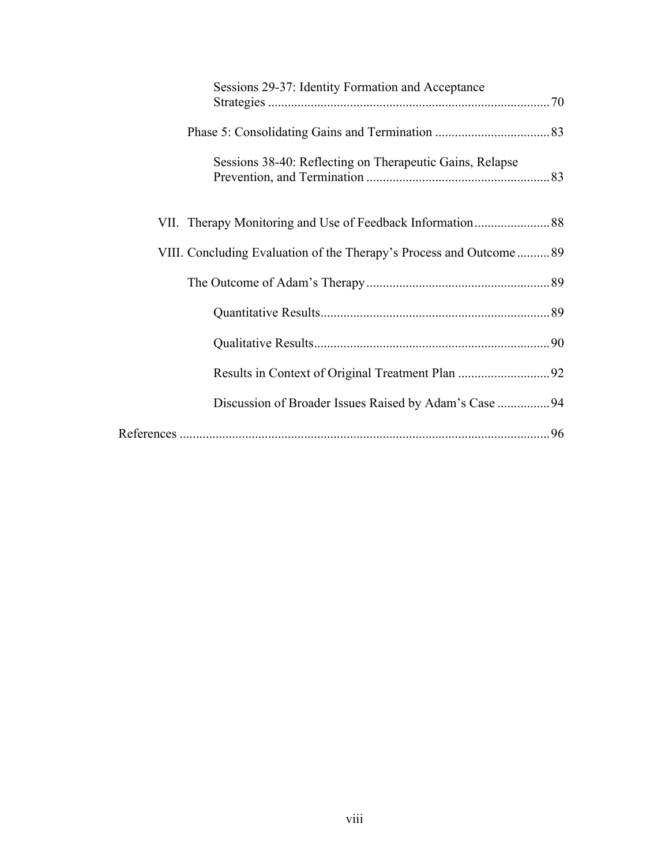| Sessions 29-37: Identity Formation and Acceptance                   |  |
|---------------------------------------------------------------------|--|
|                                                                     |  |
| Sessions 38-40: Reflecting on Therapeutic Gains, Relapse            |  |
|                                                                     |  |
| VIII. Concluding Evaluation of the Therapy's Process and Outcome 89 |  |
|                                                                     |  |
|                                                                     |  |
|                                                                     |  |
|                                                                     |  |
| Discussion of Broader Issues Raised by Adam's Case 94               |  |
|                                                                     |  |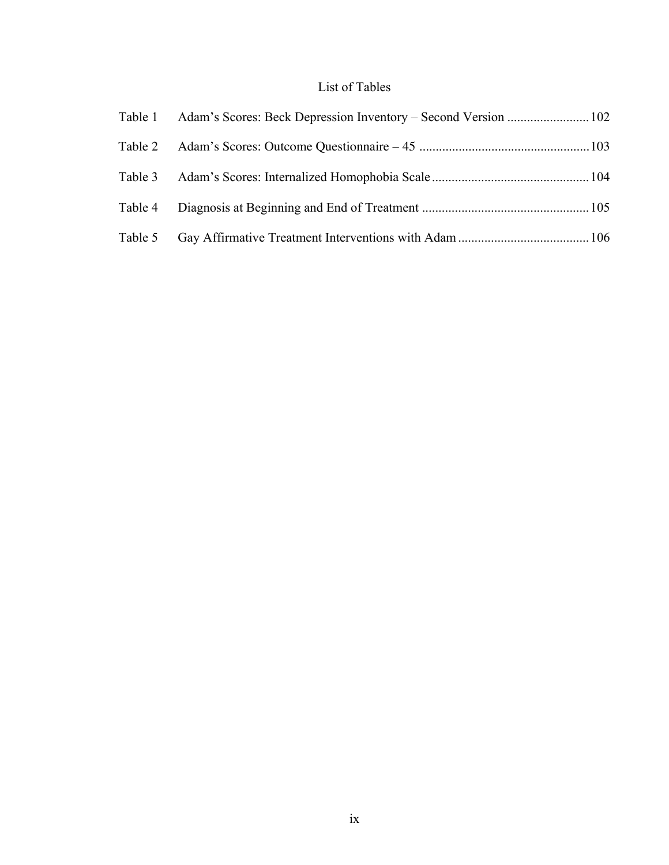## List of Tables

| Table 1 Adam's Scores: Beck Depression Inventory – Second Version  102 |  |
|------------------------------------------------------------------------|--|
|                                                                        |  |
|                                                                        |  |
|                                                                        |  |
|                                                                        |  |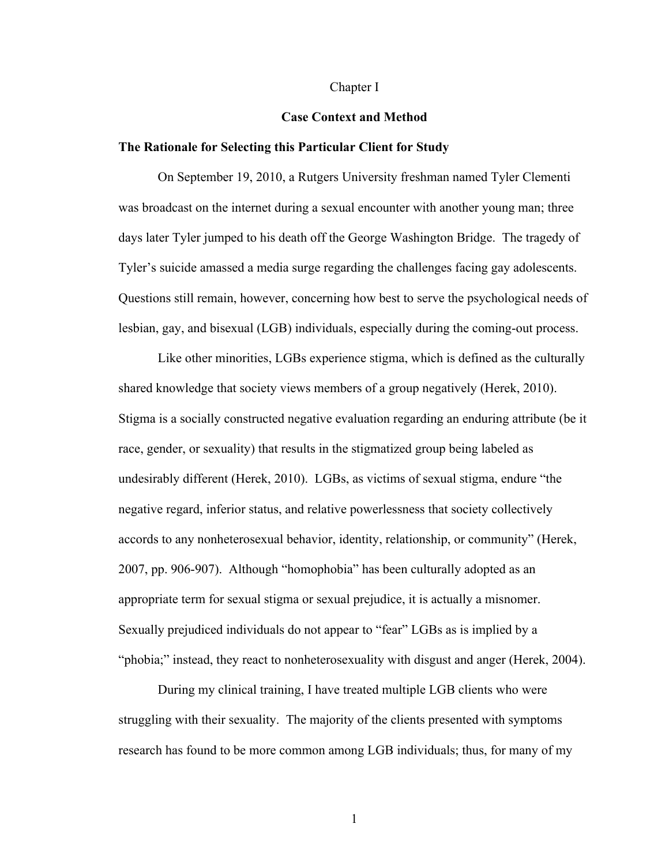#### Chapter I

### **Case Context and Method**

### **The Rationale for Selecting this Particular Client for Study**

On September 19, 2010, a Rutgers University freshman named Tyler Clementi was broadcast on the internet during a sexual encounter with another young man; three days later Tyler jumped to his death off the George Washington Bridge. The tragedy of Tyler's suicide amassed a media surge regarding the challenges facing gay adolescents. Questions still remain, however, concerning how best to serve the psychological needs of lesbian, gay, and bisexual (LGB) individuals, especially during the coming-out process.

Like other minorities, LGBs experience stigma, which is defined as the culturally shared knowledge that society views members of a group negatively (Herek, 2010). Stigma is a socially constructed negative evaluation regarding an enduring attribute (be it race, gender, or sexuality) that results in the stigmatized group being labeled as undesirably different (Herek, 2010). LGBs, as victims of sexual stigma, endure "the negative regard, inferior status, and relative powerlessness that society collectively accords to any nonheterosexual behavior, identity, relationship, or community" (Herek, 2007, pp. 906-907). Although "homophobia" has been culturally adopted as an appropriate term for sexual stigma or sexual prejudice, it is actually a misnomer. Sexually prejudiced individuals do not appear to "fear" LGBs as is implied by a "phobia;" instead, they react to nonheterosexuality with disgust and anger (Herek, 2004).

During my clinical training, I have treated multiple LGB clients who were struggling with their sexuality. The majority of the clients presented with symptoms research has found to be more common among LGB individuals; thus, for many of my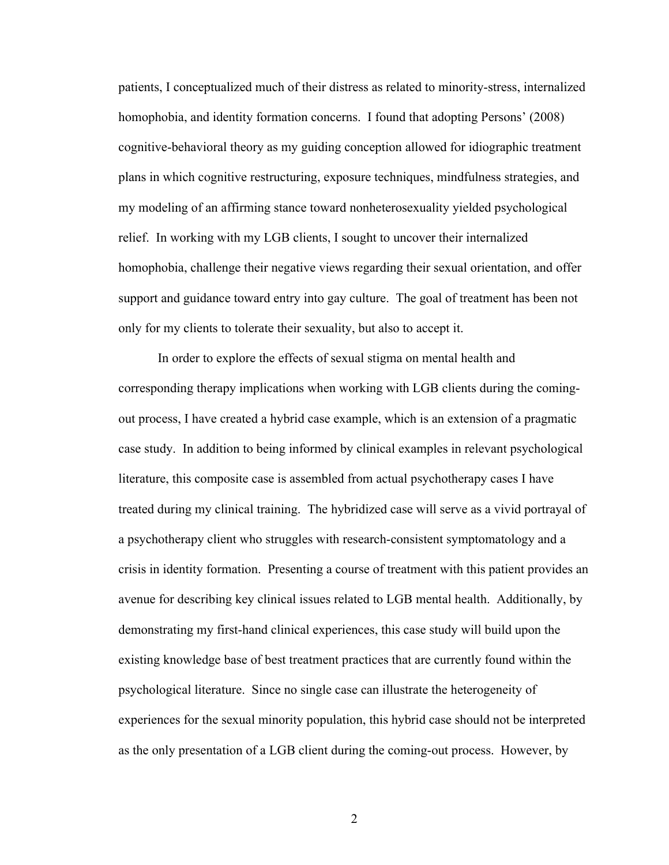patients, I conceptualized much of their distress as related to minority-stress, internalized homophobia, and identity formation concerns. I found that adopting Persons' (2008) cognitive-behavioral theory as my guiding conception allowed for idiographic treatment plans in which cognitive restructuring, exposure techniques, mindfulness strategies, and my modeling of an affirming stance toward nonheterosexuality yielded psychological relief. In working with my LGB clients, I sought to uncover their internalized homophobia, challenge their negative views regarding their sexual orientation, and offer support and guidance toward entry into gay culture. The goal of treatment has been not only for my clients to tolerate their sexuality, but also to accept it.

In order to explore the effects of sexual stigma on mental health and corresponding therapy implications when working with LGB clients during the comingout process, I have created a hybrid case example, which is an extension of a pragmatic case study. In addition to being informed by clinical examples in relevant psychological literature, this composite case is assembled from actual psychotherapy cases I have treated during my clinical training. The hybridized case will serve as a vivid portrayal of a psychotherapy client who struggles with research-consistent symptomatology and a crisis in identity formation. Presenting a course of treatment with this patient provides an avenue for describing key clinical issues related to LGB mental health. Additionally, by demonstrating my first-hand clinical experiences, this case study will build upon the existing knowledge base of best treatment practices that are currently found within the psychological literature. Since no single case can illustrate the heterogeneity of experiences for the sexual minority population, this hybrid case should not be interpreted as the only presentation of a LGB client during the coming-out process. However, by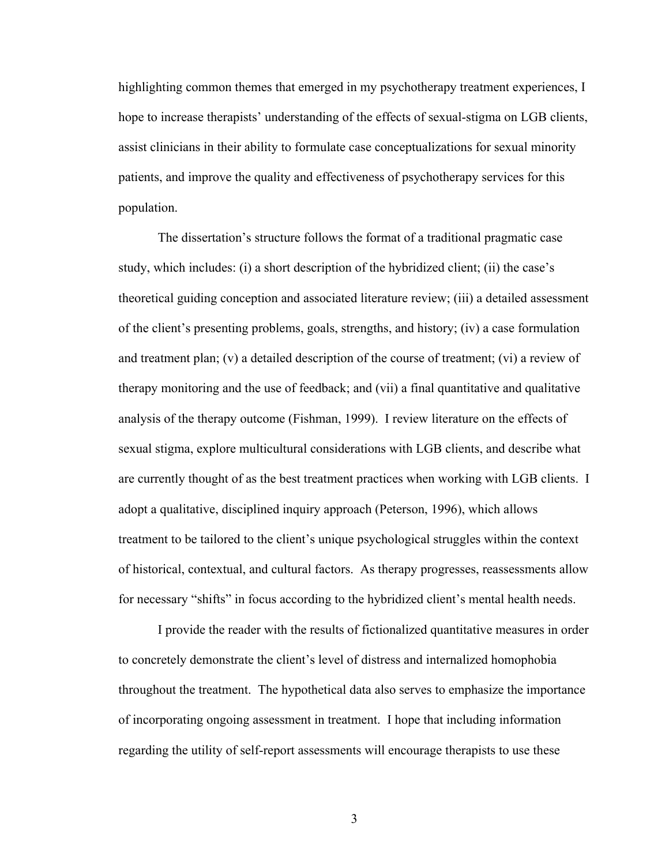highlighting common themes that emerged in my psychotherapy treatment experiences, I hope to increase therapists' understanding of the effects of sexual-stigma on LGB clients, assist clinicians in their ability to formulate case conceptualizations for sexual minority patients, and improve the quality and effectiveness of psychotherapy services for this population.

The dissertation's structure follows the format of a traditional pragmatic case study, which includes: (i) a short description of the hybridized client; (ii) the case's theoretical guiding conception and associated literature review; (iii) a detailed assessment of the client's presenting problems, goals, strengths, and history; (iv) a case formulation and treatment plan; (v) a detailed description of the course of treatment; (vi) a review of therapy monitoring and the use of feedback; and (vii) a final quantitative and qualitative analysis of the therapy outcome (Fishman, 1999). I review literature on the effects of sexual stigma, explore multicultural considerations with LGB clients, and describe what are currently thought of as the best treatment practices when working with LGB clients. I adopt a qualitative, disciplined inquiry approach (Peterson, 1996), which allows treatment to be tailored to the client's unique psychological struggles within the context of historical, contextual, and cultural factors. As therapy progresses, reassessments allow for necessary "shifts" in focus according to the hybridized client's mental health needs.

I provide the reader with the results of fictionalized quantitative measures in order to concretely demonstrate the client's level of distress and internalized homophobia throughout the treatment. The hypothetical data also serves to emphasize the importance of incorporating ongoing assessment in treatment. I hope that including information regarding the utility of self-report assessments will encourage therapists to use these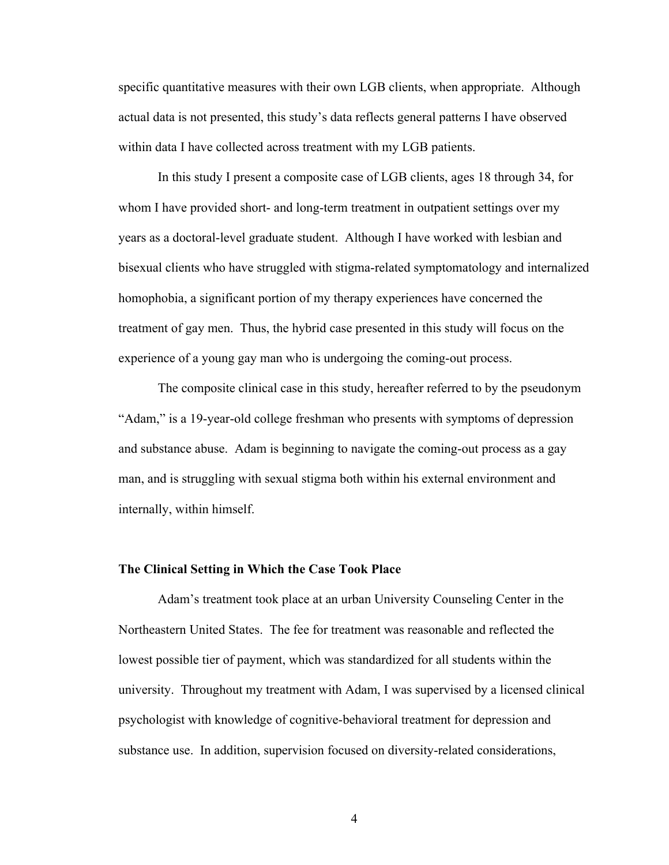specific quantitative measures with their own LGB clients, when appropriate. Although actual data is not presented, this study's data reflects general patterns I have observed within data I have collected across treatment with my LGB patients.

In this study I present a composite case of LGB clients, ages 18 through 34, for whom I have provided short- and long-term treatment in outpatient settings over my years as a doctoral-level graduate student. Although I have worked with lesbian and bisexual clients who have struggled with stigma-related symptomatology and internalized homophobia, a significant portion of my therapy experiences have concerned the treatment of gay men. Thus, the hybrid case presented in this study will focus on the experience of a young gay man who is undergoing the coming-out process.

The composite clinical case in this study, hereafter referred to by the pseudonym "Adam," is a 19-year-old college freshman who presents with symptoms of depression and substance abuse. Adam is beginning to navigate the coming-out process as a gay man, and is struggling with sexual stigma both within his external environment and internally, within himself.

#### **The Clinical Setting in Which the Case Took Place**

Adam's treatment took place at an urban University Counseling Center in the Northeastern United States. The fee for treatment was reasonable and reflected the lowest possible tier of payment, which was standardized for all students within the university. Throughout my treatment with Adam, I was supervised by a licensed clinical psychologist with knowledge of cognitive-behavioral treatment for depression and substance use. In addition, supervision focused on diversity-related considerations,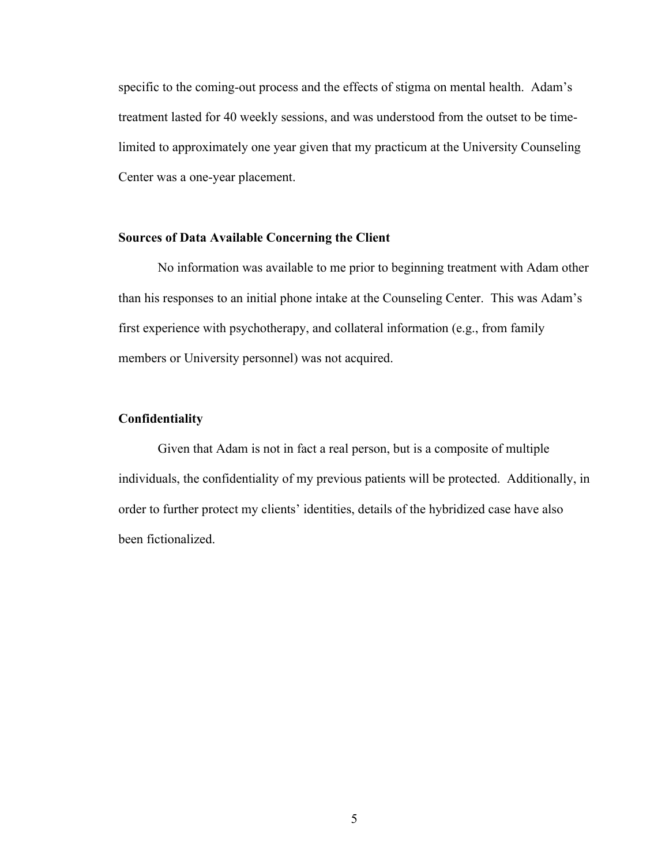specific to the coming-out process and the effects of stigma on mental health. Adam's treatment lasted for 40 weekly sessions, and was understood from the outset to be timelimited to approximately one year given that my practicum at the University Counseling Center was a one-year placement.

### **Sources of Data Available Concerning the Client**

No information was available to me prior to beginning treatment with Adam other than his responses to an initial phone intake at the Counseling Center. This was Adam's first experience with psychotherapy, and collateral information (e.g., from family members or University personnel) was not acquired.

### **Confidentiality**

Given that Adam is not in fact a real person, but is a composite of multiple individuals, the confidentiality of my previous patients will be protected. Additionally, in order to further protect my clients' identities, details of the hybridized case have also been fictionalized.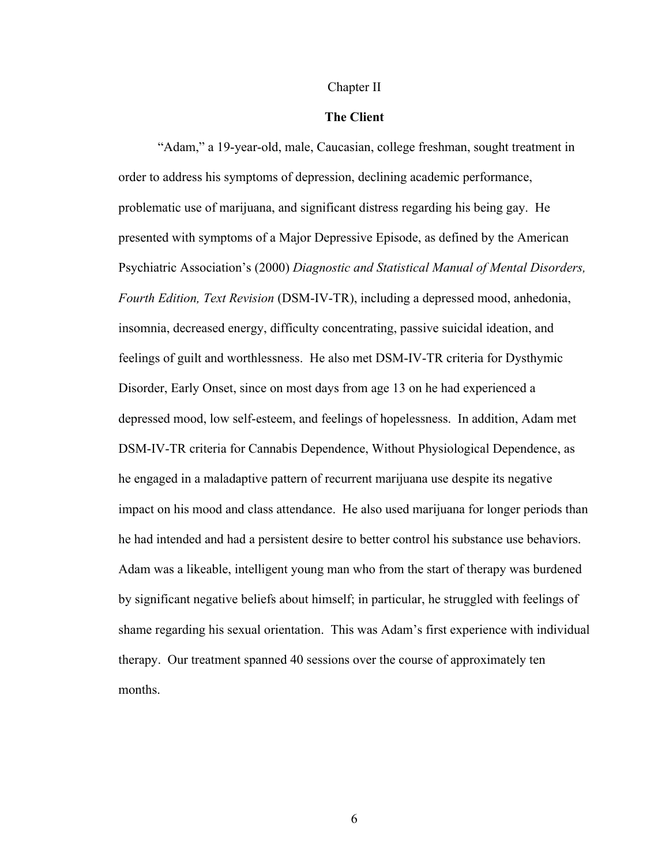#### Chapter II

### **The Client**

"Adam," a 19-year-old, male, Caucasian, college freshman, sought treatment in order to address his symptoms of depression, declining academic performance, problematic use of marijuana, and significant distress regarding his being gay. He presented with symptoms of a Major Depressive Episode, as defined by the American Psychiatric Association's (2000) *Diagnostic and Statistical Manual of Mental Disorders, Fourth Edition, Text Revision* (DSM-IV-TR), including a depressed mood, anhedonia, insomnia, decreased energy, difficulty concentrating, passive suicidal ideation, and feelings of guilt and worthlessness. He also met DSM-IV-TR criteria for Dysthymic Disorder, Early Onset, since on most days from age 13 on he had experienced a depressed mood, low self-esteem, and feelings of hopelessness. In addition, Adam met DSM-IV-TR criteria for Cannabis Dependence, Without Physiological Dependence, as he engaged in a maladaptive pattern of recurrent marijuana use despite its negative impact on his mood and class attendance. He also used marijuana for longer periods than he had intended and had a persistent desire to better control his substance use behaviors. Adam was a likeable, intelligent young man who from the start of therapy was burdened by significant negative beliefs about himself; in particular, he struggled with feelings of shame regarding his sexual orientation. This was Adam's first experience with individual therapy. Our treatment spanned 40 sessions over the course of approximately ten months.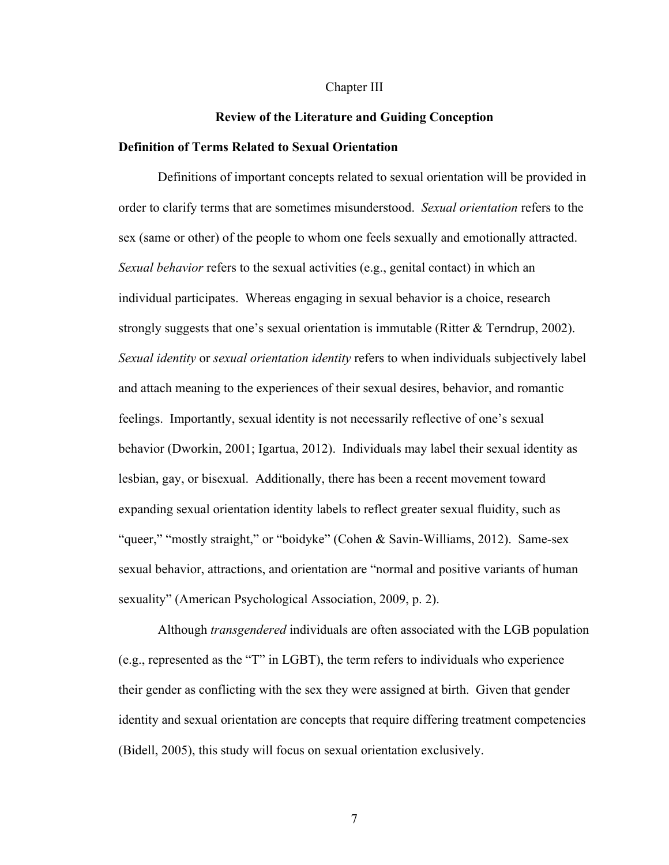#### Chapter III

### **Review of the Literature and Guiding Conception**

### **Definition of Terms Related to Sexual Orientation**

Definitions of important concepts related to sexual orientation will be provided in order to clarify terms that are sometimes misunderstood. *Sexual orientation* refers to the sex (same or other) of the people to whom one feels sexually and emotionally attracted. *Sexual behavior* refers to the sexual activities (e.g., genital contact) in which an individual participates. Whereas engaging in sexual behavior is a choice, research strongly suggests that one's sexual orientation is immutable (Ritter & Terndrup, 2002). *Sexual identity* or *sexual orientation identity* refers to when individuals subjectively label and attach meaning to the experiences of their sexual desires, behavior, and romantic feelings. Importantly, sexual identity is not necessarily reflective of one's sexual behavior (Dworkin, 2001; Igartua, 2012). Individuals may label their sexual identity as lesbian, gay, or bisexual. Additionally, there has been a recent movement toward expanding sexual orientation identity labels to reflect greater sexual fluidity, such as "queer," "mostly straight," or "boidyke" (Cohen & Savin-Williams, 2012). Same-sex sexual behavior, attractions, and orientation are "normal and positive variants of human sexuality" (American Psychological Association, 2009, p. 2).

Although *transgendered* individuals are often associated with the LGB population (e.g., represented as the "T" in LGBT), the term refers to individuals who experience their gender as conflicting with the sex they were assigned at birth. Given that gender identity and sexual orientation are concepts that require differing treatment competencies (Bidell, 2005), this study will focus on sexual orientation exclusively.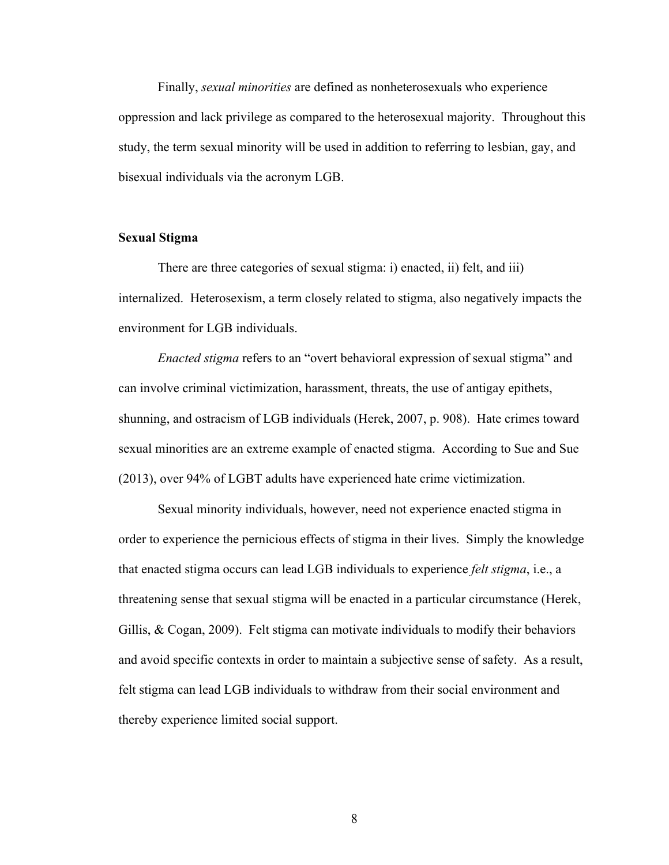Finally, *sexual minorities* are defined as nonheterosexuals who experience oppression and lack privilege as compared to the heterosexual majority. Throughout this study, the term sexual minority will be used in addition to referring to lesbian, gay, and bisexual individuals via the acronym LGB.

### **Sexual Stigma**

There are three categories of sexual stigma: i) enacted, ii) felt, and iii) internalized. Heterosexism, a term closely related to stigma, also negatively impacts the environment for LGB individuals.

*Enacted stigma* refers to an "overt behavioral expression of sexual stigma" and can involve criminal victimization, harassment, threats, the use of antigay epithets, shunning, and ostracism of LGB individuals (Herek, 2007, p. 908). Hate crimes toward sexual minorities are an extreme example of enacted stigma. According to Sue and Sue (2013), over 94% of LGBT adults have experienced hate crime victimization.

Sexual minority individuals, however, need not experience enacted stigma in order to experience the pernicious effects of stigma in their lives. Simply the knowledge that enacted stigma occurs can lead LGB individuals to experience *felt stigma*, i.e., a threatening sense that sexual stigma will be enacted in a particular circumstance (Herek, Gillis, & Cogan, 2009). Felt stigma can motivate individuals to modify their behaviors and avoid specific contexts in order to maintain a subjective sense of safety. As a result, felt stigma can lead LGB individuals to withdraw from their social environment and thereby experience limited social support.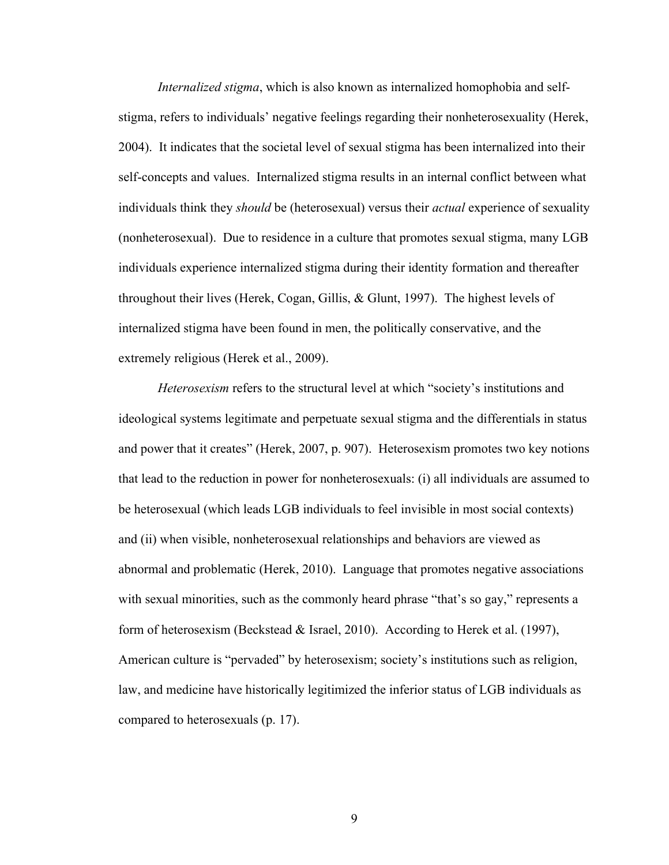*Internalized stigma*, which is also known as internalized homophobia and selfstigma, refers to individuals' negative feelings regarding their nonheterosexuality (Herek, 2004). It indicates that the societal level of sexual stigma has been internalized into their self-concepts and values. Internalized stigma results in an internal conflict between what individuals think they *should* be (heterosexual) versus their *actual* experience of sexuality (nonheterosexual). Due to residence in a culture that promotes sexual stigma, many LGB individuals experience internalized stigma during their identity formation and thereafter throughout their lives (Herek, Cogan, Gillis, & Glunt, 1997). The highest levels of internalized stigma have been found in men, the politically conservative, and the extremely religious (Herek et al., 2009).

*Heterosexism* refers to the structural level at which "society's institutions and ideological systems legitimate and perpetuate sexual stigma and the differentials in status and power that it creates" (Herek, 2007, p. 907). Heterosexism promotes two key notions that lead to the reduction in power for nonheterosexuals: (i) all individuals are assumed to be heterosexual (which leads LGB individuals to feel invisible in most social contexts) and (ii) when visible, nonheterosexual relationships and behaviors are viewed as abnormal and problematic (Herek, 2010). Language that promotes negative associations with sexual minorities, such as the commonly heard phrase "that's so gay," represents a form of heterosexism (Beckstead & Israel, 2010). According to Herek et al. (1997), American culture is "pervaded" by heterosexism; society's institutions such as religion, law, and medicine have historically legitimized the inferior status of LGB individuals as compared to heterosexuals (p. 17).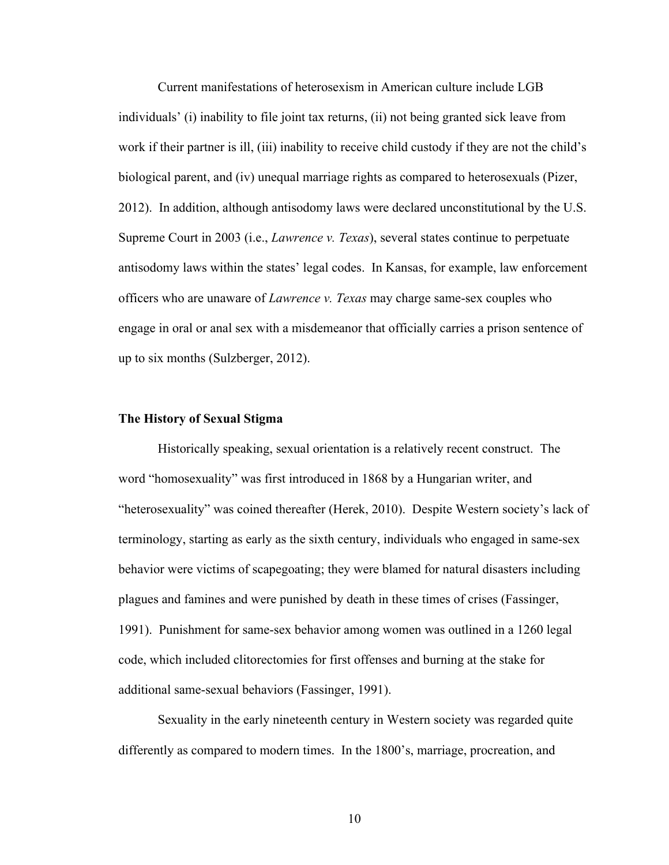Current manifestations of heterosexism in American culture include LGB individuals' (i) inability to file joint tax returns, (ii) not being granted sick leave from work if their partner is ill, (iii) inability to receive child custody if they are not the child's biological parent, and (iv) unequal marriage rights as compared to heterosexuals (Pizer, 2012). In addition, although antisodomy laws were declared unconstitutional by the U.S. Supreme Court in 2003 (i.e., *Lawrence v. Texas*), several states continue to perpetuate antisodomy laws within the states' legal codes. In Kansas, for example, law enforcement officers who are unaware of *Lawrence v. Texas* may charge same-sex couples who engage in oral or anal sex with a misdemeanor that officially carries a prison sentence of up to six months (Sulzberger, 2012).

### **The History of Sexual Stigma**

Historically speaking, sexual orientation is a relatively recent construct. The word "homosexuality" was first introduced in 1868 by a Hungarian writer, and "heterosexuality" was coined thereafter (Herek, 2010). Despite Western society's lack of terminology, starting as early as the sixth century, individuals who engaged in same-sex behavior were victims of scapegoating; they were blamed for natural disasters including plagues and famines and were punished by death in these times of crises (Fassinger, 1991). Punishment for same-sex behavior among women was outlined in a 1260 legal code, which included clitorectomies for first offenses and burning at the stake for additional same-sexual behaviors (Fassinger, 1991).

Sexuality in the early nineteenth century in Western society was regarded quite differently as compared to modern times. In the 1800's, marriage, procreation, and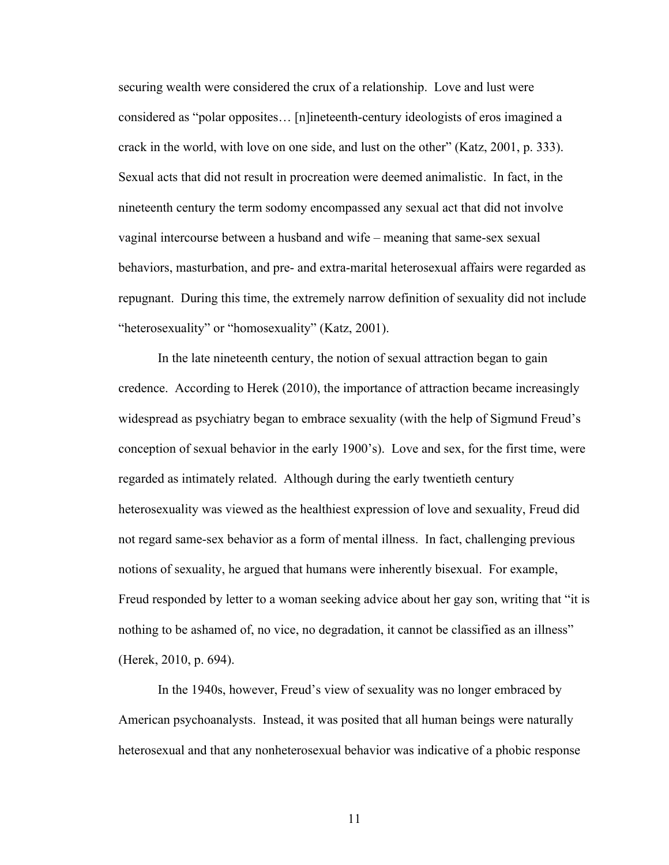securing wealth were considered the crux of a relationship. Love and lust were considered as "polar opposites… [n]ineteenth-century ideologists of eros imagined a crack in the world, with love on one side, and lust on the other" (Katz, 2001, p. 333). Sexual acts that did not result in procreation were deemed animalistic. In fact, in the nineteenth century the term sodomy encompassed any sexual act that did not involve vaginal intercourse between a husband and wife – meaning that same-sex sexual behaviors, masturbation, and pre- and extra-marital heterosexual affairs were regarded as repugnant. During this time, the extremely narrow definition of sexuality did not include "heterosexuality" or "homosexuality" (Katz, 2001).

In the late nineteenth century, the notion of sexual attraction began to gain credence. According to Herek (2010), the importance of attraction became increasingly widespread as psychiatry began to embrace sexuality (with the help of Sigmund Freud's conception of sexual behavior in the early 1900's). Love and sex, for the first time, were regarded as intimately related. Although during the early twentieth century heterosexuality was viewed as the healthiest expression of love and sexuality, Freud did not regard same-sex behavior as a form of mental illness. In fact, challenging previous notions of sexuality, he argued that humans were inherently bisexual. For example, Freud responded by letter to a woman seeking advice about her gay son, writing that "it is nothing to be ashamed of, no vice, no degradation, it cannot be classified as an illness" (Herek, 2010, p. 694).

In the 1940s, however, Freud's view of sexuality was no longer embraced by American psychoanalysts. Instead, it was posited that all human beings were naturally heterosexual and that any nonheterosexual behavior was indicative of a phobic response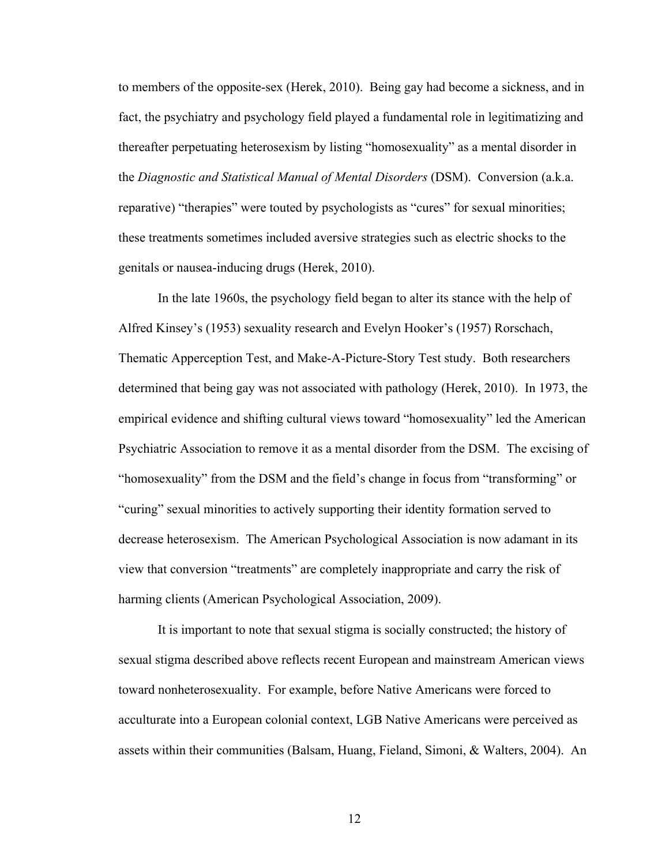to members of the opposite-sex (Herek, 2010). Being gay had become a sickness, and in fact, the psychiatry and psychology field played a fundamental role in legitimatizing and thereafter perpetuating heterosexism by listing "homosexuality" as a mental disorder in the *Diagnostic and Statistical Manual of Mental Disorders* (DSM). Conversion (a.k.a. reparative) "therapies" were touted by psychologists as "cures" for sexual minorities; these treatments sometimes included aversive strategies such as electric shocks to the genitals or nausea-inducing drugs (Herek, 2010).

In the late 1960s, the psychology field began to alter its stance with the help of Alfred Kinsey's (1953) sexuality research and Evelyn Hooker's (1957) Rorschach, Thematic Apperception Test, and Make-A-Picture-Story Test study. Both researchers determined that being gay was not associated with pathology (Herek, 2010). In 1973, the empirical evidence and shifting cultural views toward "homosexuality" led the American Psychiatric Association to remove it as a mental disorder from the DSM. The excising of "homosexuality" from the DSM and the field's change in focus from "transforming" or "curing" sexual minorities to actively supporting their identity formation served to decrease heterosexism. The American Psychological Association is now adamant in its view that conversion "treatments" are completely inappropriate and carry the risk of harming clients (American Psychological Association, 2009).

It is important to note that sexual stigma is socially constructed; the history of sexual stigma described above reflects recent European and mainstream American views toward nonheterosexuality. For example, before Native Americans were forced to acculturate into a European colonial context, LGB Native Americans were perceived as assets within their communities (Balsam, Huang, Fieland, Simoni, & Walters, 2004). An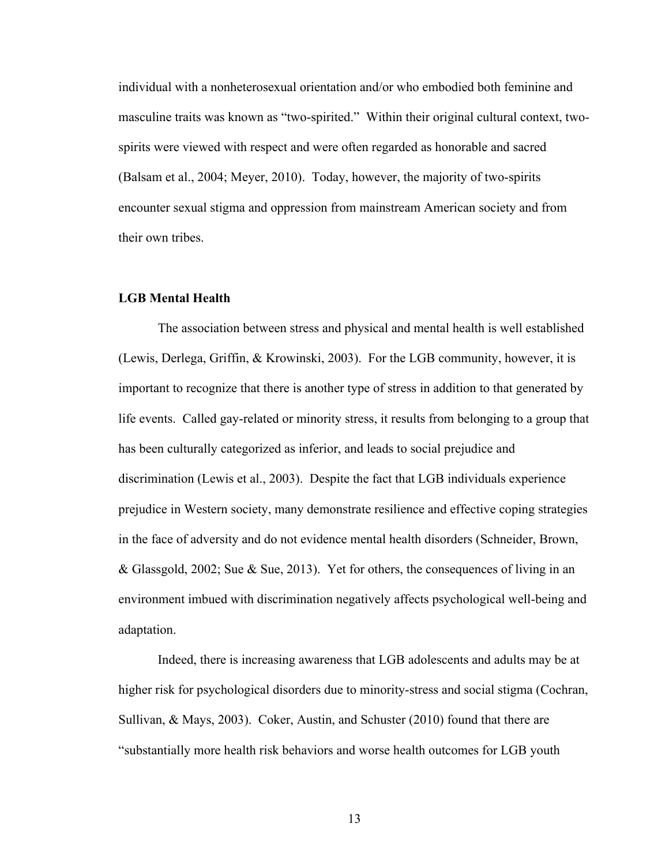individual with a nonheterosexual orientation and/or who embodied both feminine and masculine traits was known as "two-spirited." Within their original cultural context, twospirits were viewed with respect and were often regarded as honorable and sacred (Balsam et al., 2004; Meyer, 2010). Today, however, the majority of two-spirits encounter sexual stigma and oppression from mainstream American society and from their own tribes.

### **LGB Mental Health**

The association between stress and physical and mental health is well established (Lewis, Derlega, Griffin, & Krowinski, 2003). For the LGB community, however, it is important to recognize that there is another type of stress in addition to that generated by life events. Called gay-related or minority stress, it results from belonging to a group that has been culturally categorized as inferior, and leads to social prejudice and discrimination (Lewis et al., 2003). Despite the fact that LGB individuals experience prejudice in Western society, many demonstrate resilience and effective coping strategies in the face of adversity and do not evidence mental health disorders (Schneider, Brown, & Glassgold, 2002; Sue & Sue, 2013). Yet for others, the consequences of living in an environment imbued with discrimination negatively affects psychological well-being and adaptation.

Indeed, there is increasing awareness that LGB adolescents and adults may be at higher risk for psychological disorders due to minority-stress and social stigma (Cochran, Sullivan, & Mays, 2003). Coker, Austin, and Schuster (2010) found that there are "substantially more health risk behaviors and worse health outcomes for LGB youth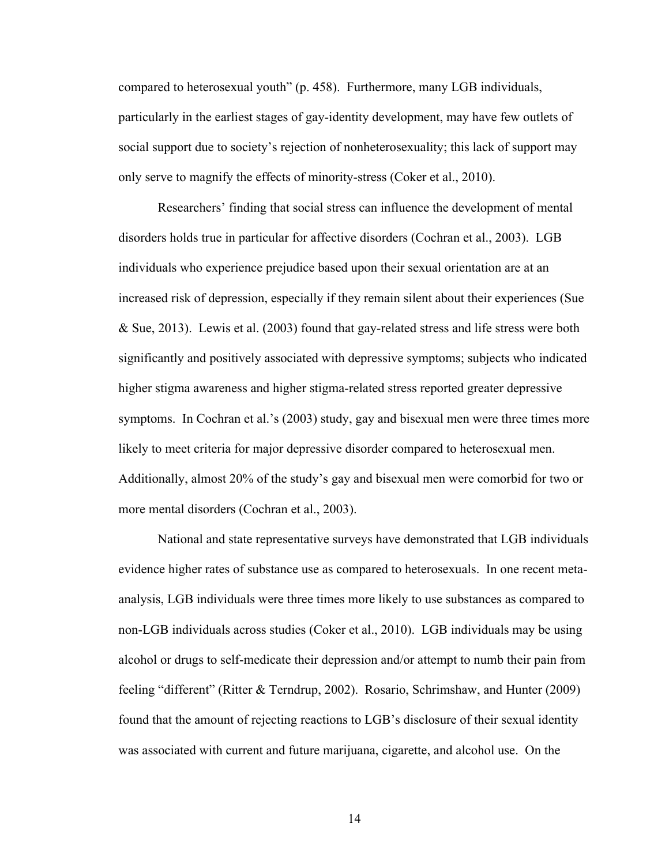compared to heterosexual youth" (p. 458). Furthermore, many LGB individuals, particularly in the earliest stages of gay-identity development, may have few outlets of social support due to society's rejection of nonheterosexuality; this lack of support may only serve to magnify the effects of minority-stress (Coker et al., 2010).

Researchers' finding that social stress can influence the development of mental disorders holds true in particular for affective disorders (Cochran et al., 2003). LGB individuals who experience prejudice based upon their sexual orientation are at an increased risk of depression, especially if they remain silent about their experiences (Sue & Sue, 2013). Lewis et al. (2003) found that gay-related stress and life stress were both significantly and positively associated with depressive symptoms; subjects who indicated higher stigma awareness and higher stigma-related stress reported greater depressive symptoms. In Cochran et al.'s (2003) study, gay and bisexual men were three times more likely to meet criteria for major depressive disorder compared to heterosexual men. Additionally, almost 20% of the study's gay and bisexual men were comorbid for two or more mental disorders (Cochran et al., 2003).

National and state representative surveys have demonstrated that LGB individuals evidence higher rates of substance use as compared to heterosexuals. In one recent metaanalysis, LGB individuals were three times more likely to use substances as compared to non-LGB individuals across studies (Coker et al., 2010). LGB individuals may be using alcohol or drugs to self-medicate their depression and/or attempt to numb their pain from feeling "different" (Ritter & Terndrup, 2002). Rosario, Schrimshaw, and Hunter (2009) found that the amount of rejecting reactions to LGB's disclosure of their sexual identity was associated with current and future marijuana, cigarette, and alcohol use. On the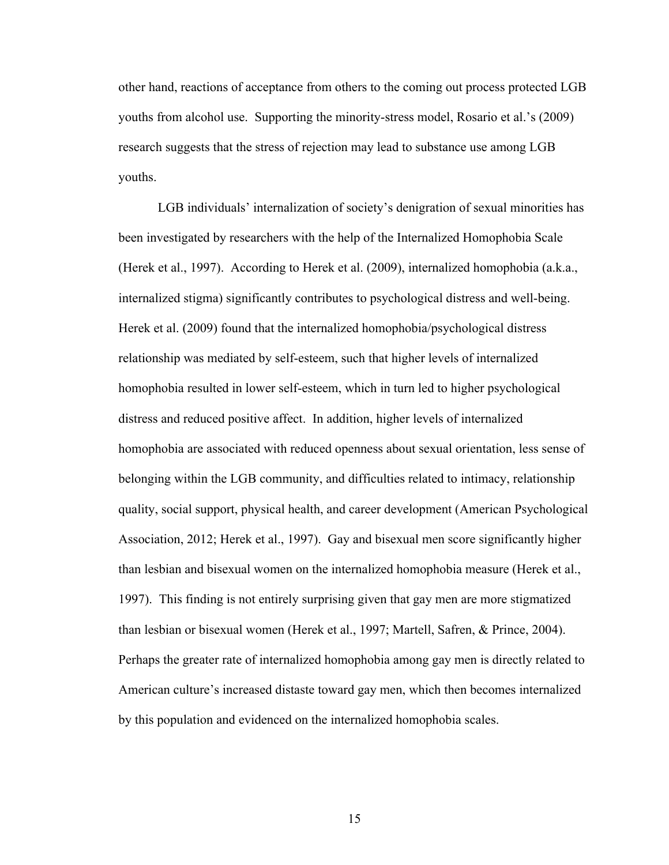other hand, reactions of acceptance from others to the coming out process protected LGB youths from alcohol use. Supporting the minority-stress model, Rosario et al.'s (2009) research suggests that the stress of rejection may lead to substance use among LGB youths.

LGB individuals' internalization of society's denigration of sexual minorities has been investigated by researchers with the help of the Internalized Homophobia Scale (Herek et al., 1997). According to Herek et al. (2009), internalized homophobia (a.k.a., internalized stigma) significantly contributes to psychological distress and well-being. Herek et al. (2009) found that the internalized homophobia/psychological distress relationship was mediated by self-esteem, such that higher levels of internalized homophobia resulted in lower self-esteem, which in turn led to higher psychological distress and reduced positive affect. In addition, higher levels of internalized homophobia are associated with reduced openness about sexual orientation, less sense of belonging within the LGB community, and difficulties related to intimacy, relationship quality, social support, physical health, and career development (American Psychological Association, 2012; Herek et al., 1997). Gay and bisexual men score significantly higher than lesbian and bisexual women on the internalized homophobia measure (Herek et al., 1997). This finding is not entirely surprising given that gay men are more stigmatized than lesbian or bisexual women (Herek et al., 1997; Martell, Safren, & Prince, 2004). Perhaps the greater rate of internalized homophobia among gay men is directly related to American culture's increased distaste toward gay men, which then becomes internalized by this population and evidenced on the internalized homophobia scales.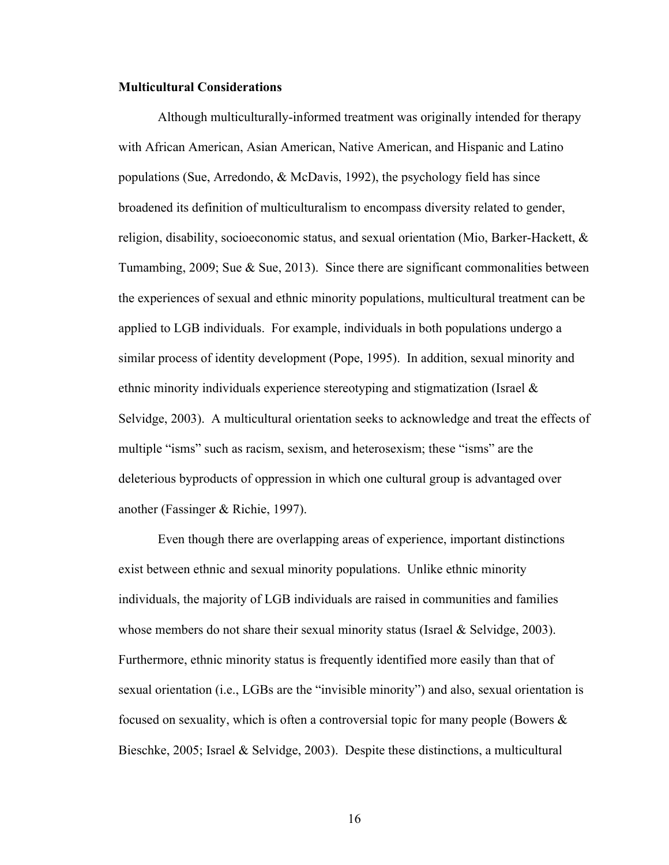### **Multicultural Considerations**

Although multiculturally-informed treatment was originally intended for therapy with African American, Asian American, Native American, and Hispanic and Latino populations (Sue, Arredondo, & McDavis, 1992), the psychology field has since broadened its definition of multiculturalism to encompass diversity related to gender, religion, disability, socioeconomic status, and sexual orientation (Mio, Barker-Hackett, & Tumambing, 2009; Sue & Sue, 2013). Since there are significant commonalities between the experiences of sexual and ethnic minority populations, multicultural treatment can be applied to LGB individuals. For example, individuals in both populations undergo a similar process of identity development (Pope, 1995). In addition, sexual minority and ethnic minority individuals experience stereotyping and stigmatization (Israel & Selvidge, 2003). A multicultural orientation seeks to acknowledge and treat the effects of multiple "isms" such as racism, sexism, and heterosexism; these "isms" are the deleterious byproducts of oppression in which one cultural group is advantaged over another (Fassinger & Richie, 1997).

Even though there are overlapping areas of experience, important distinctions exist between ethnic and sexual minority populations. Unlike ethnic minority individuals, the majority of LGB individuals are raised in communities and families whose members do not share their sexual minority status (Israel & Selvidge, 2003). Furthermore, ethnic minority status is frequently identified more easily than that of sexual orientation (i.e., LGBs are the "invisible minority") and also, sexual orientation is focused on sexuality, which is often a controversial topic for many people (Bowers & Bieschke, 2005; Israel & Selvidge, 2003). Despite these distinctions, a multicultural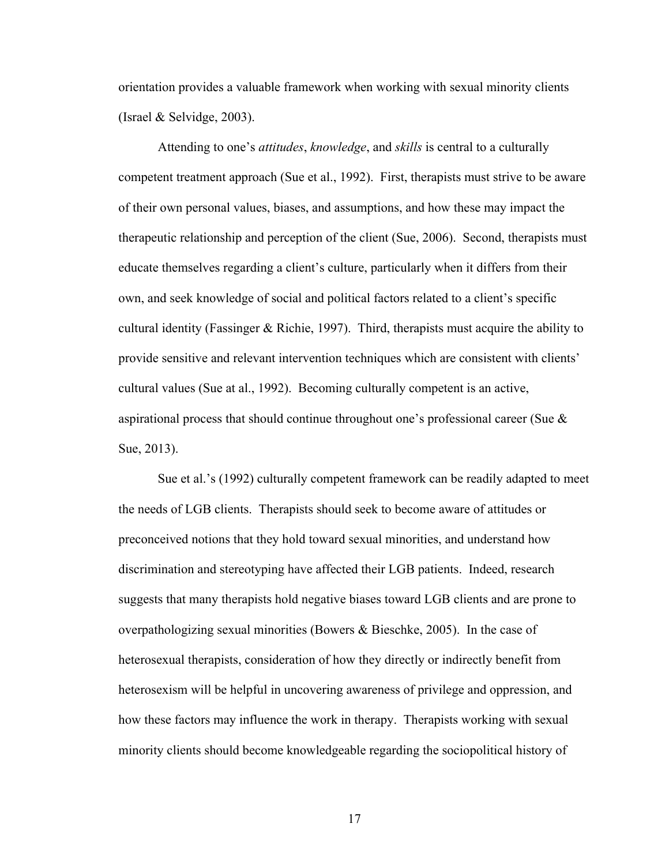orientation provides a valuable framework when working with sexual minority clients (Israel & Selvidge, 2003).

Attending to one's *attitudes*, *knowledge*, and *skills* is central to a culturally competent treatment approach (Sue et al., 1992). First, therapists must strive to be aware of their own personal values, biases, and assumptions, and how these may impact the therapeutic relationship and perception of the client (Sue, 2006). Second, therapists must educate themselves regarding a client's culture, particularly when it differs from their own, and seek knowledge of social and political factors related to a client's specific cultural identity (Fassinger & Richie, 1997). Third, therapists must acquire the ability to provide sensitive and relevant intervention techniques which are consistent with clients' cultural values (Sue at al., 1992). Becoming culturally competent is an active, aspirational process that should continue throughout one's professional career (Sue & Sue, 2013).

Sue et al.'s (1992) culturally competent framework can be readily adapted to meet the needs of LGB clients. Therapists should seek to become aware of attitudes or preconceived notions that they hold toward sexual minorities, and understand how discrimination and stereotyping have affected their LGB patients. Indeed, research suggests that many therapists hold negative biases toward LGB clients and are prone to overpathologizing sexual minorities (Bowers & Bieschke, 2005). In the case of heterosexual therapists, consideration of how they directly or indirectly benefit from heterosexism will be helpful in uncovering awareness of privilege and oppression, and how these factors may influence the work in therapy. Therapists working with sexual minority clients should become knowledgeable regarding the sociopolitical history of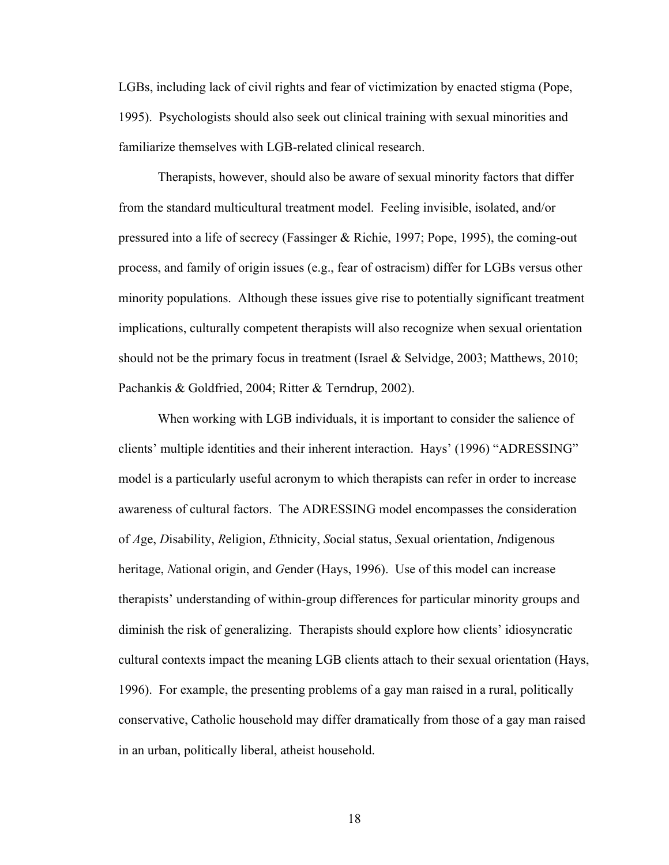LGBs, including lack of civil rights and fear of victimization by enacted stigma (Pope, 1995). Psychologists should also seek out clinical training with sexual minorities and familiarize themselves with LGB-related clinical research.

Therapists, however, should also be aware of sexual minority factors that differ from the standard multicultural treatment model. Feeling invisible, isolated, and/or pressured into a life of secrecy (Fassinger & Richie, 1997; Pope, 1995), the coming-out process, and family of origin issues (e.g., fear of ostracism) differ for LGBs versus other minority populations. Although these issues give rise to potentially significant treatment implications, culturally competent therapists will also recognize when sexual orientation should not be the primary focus in treatment (Israel & Selvidge, 2003; Matthews, 2010; Pachankis & Goldfried, 2004; Ritter & Terndrup, 2002).

When working with LGB individuals, it is important to consider the salience of clients' multiple identities and their inherent interaction. Hays' (1996) "ADRESSING" model is a particularly useful acronym to which therapists can refer in order to increase awareness of cultural factors. The ADRESSING model encompasses the consideration of *A*ge, *D*isability, *R*eligion, *E*thnicity, *S*ocial status, *S*exual orientation, *I*ndigenous heritage, *N*ational origin, and *G*ender (Hays, 1996). Use of this model can increase therapists' understanding of within-group differences for particular minority groups and diminish the risk of generalizing. Therapists should explore how clients' idiosyncratic cultural contexts impact the meaning LGB clients attach to their sexual orientation (Hays, 1996). For example, the presenting problems of a gay man raised in a rural, politically conservative, Catholic household may differ dramatically from those of a gay man raised in an urban, politically liberal, atheist household.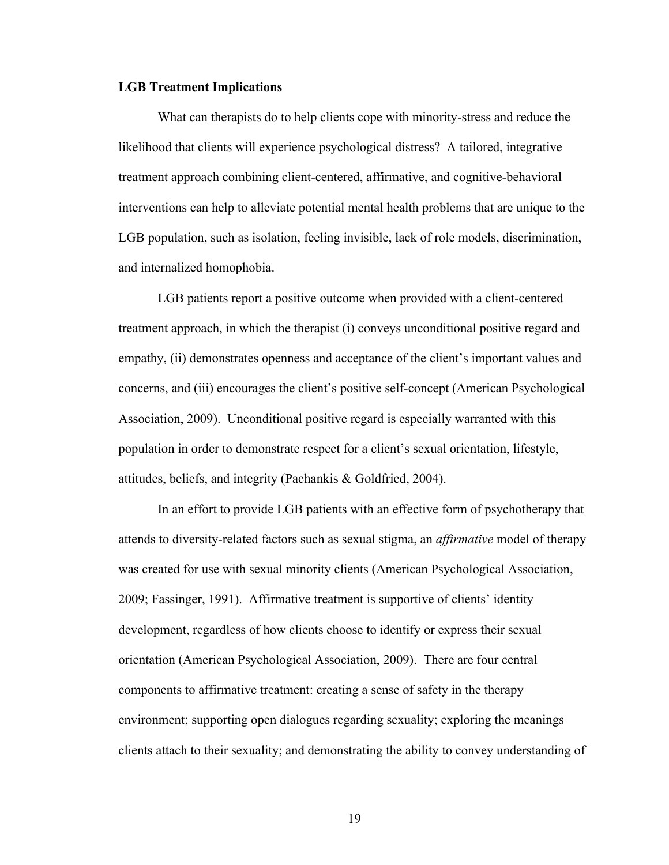#### **LGB Treatment Implications**

What can therapists do to help clients cope with minority-stress and reduce the likelihood that clients will experience psychological distress? A tailored, integrative treatment approach combining client-centered, affirmative, and cognitive-behavioral interventions can help to alleviate potential mental health problems that are unique to the LGB population, such as isolation, feeling invisible, lack of role models, discrimination, and internalized homophobia.

LGB patients report a positive outcome when provided with a client-centered treatment approach, in which the therapist (i) conveys unconditional positive regard and empathy, (ii) demonstrates openness and acceptance of the client's important values and concerns, and (iii) encourages the client's positive self-concept (American Psychological Association, 2009). Unconditional positive regard is especially warranted with this population in order to demonstrate respect for a client's sexual orientation, lifestyle, attitudes, beliefs, and integrity (Pachankis & Goldfried, 2004).

In an effort to provide LGB patients with an effective form of psychotherapy that attends to diversity-related factors such as sexual stigma, an *affirmative* model of therapy was created for use with sexual minority clients (American Psychological Association, 2009; Fassinger, 1991). Affirmative treatment is supportive of clients' identity development, regardless of how clients choose to identify or express their sexual orientation (American Psychological Association, 2009). There are four central components to affirmative treatment: creating a sense of safety in the therapy environment; supporting open dialogues regarding sexuality; exploring the meanings clients attach to their sexuality; and demonstrating the ability to convey understanding of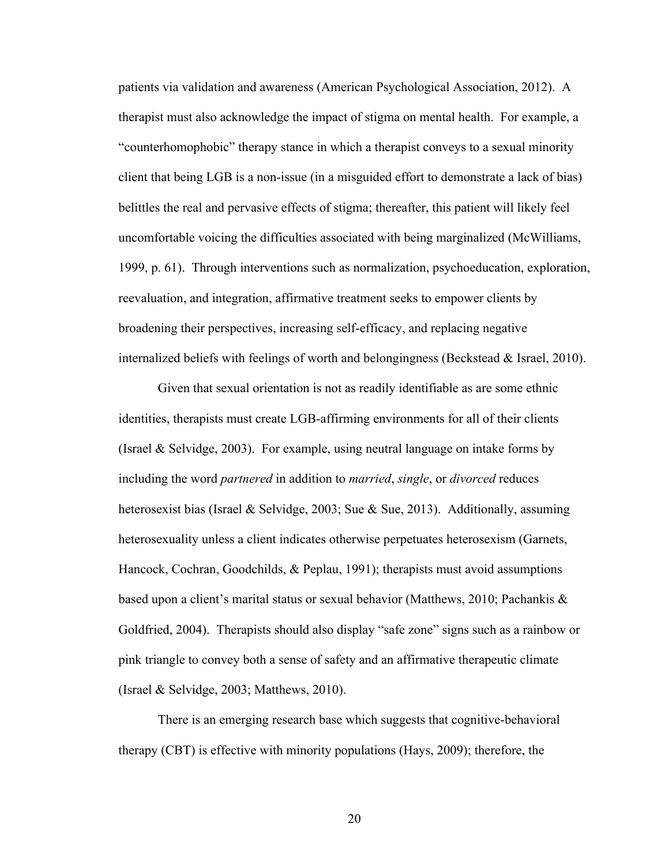patients via validation and awareness (American Psychological Association, 2012). A therapist must also acknowledge the impact of stigma on mental health. For example, a "counterhomophobic" therapy stance in which a therapist conveys to a sexual minority client that being LGB is a non-issue (in a misguided effort to demonstrate a lack of bias) belittles the real and pervasive effects of stigma; thereafter, this patient will likely feel uncomfortable voicing the difficulties associated with being marginalized (McWilliams, 1999, p. 61). Through interventions such as normalization, psychoeducation, exploration, reevaluation, and integration, affirmative treatment seeks to empower clients by broadening their perspectives, increasing self-efficacy, and replacing negative internalized beliefs with feelings of worth and belongingness (Beckstead & Israel, 2010).

Given that sexual orientation is not as readily identifiable as are some ethnic identities, therapists must create LGB-affirming environments for all of their clients (Israel & Selvidge, 2003). For example, using neutral language on intake forms by including the word *partnered* in addition to *married*, *single*, or *divorced* reduces heterosexist bias (Israel & Selvidge, 2003; Sue & Sue, 2013). Additionally, assuming heterosexuality unless a client indicates otherwise perpetuates heterosexism (Garnets, Hancock, Cochran, Goodchilds, & Peplau, 1991); therapists must avoid assumptions based upon a client's marital status or sexual behavior (Matthews, 2010; Pachankis & Goldfried, 2004). Therapists should also display "safe zone" signs such as a rainbow or pink triangle to convey both a sense of safety and an affirmative therapeutic climate (Israel & Selvidge, 2003; Matthews, 2010).

There is an emerging research base which suggests that cognitive-behavioral therapy (CBT) is effective with minority populations (Hays, 2009); therefore, the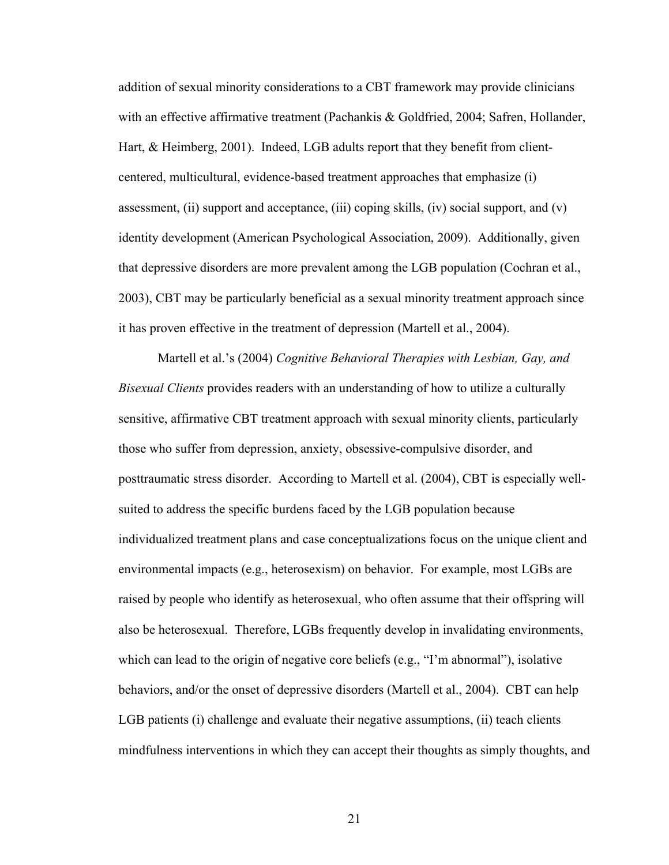addition of sexual minority considerations to a CBT framework may provide clinicians with an effective affirmative treatment (Pachankis & Goldfried, 2004; Safren, Hollander, Hart, & Heimberg, 2001). Indeed, LGB adults report that they benefit from clientcentered, multicultural, evidence-based treatment approaches that emphasize (i) assessment, (ii) support and acceptance, (iii) coping skills, (iv) social support, and  $(v)$ identity development (American Psychological Association, 2009). Additionally, given that depressive disorders are more prevalent among the LGB population (Cochran et al., 2003), CBT may be particularly beneficial as a sexual minority treatment approach since it has proven effective in the treatment of depression (Martell et al., 2004).

Martell et al.'s (2004) *Cognitive Behavioral Therapies with Lesbian, Gay, and Bisexual Clients* provides readers with an understanding of how to utilize a culturally sensitive, affirmative CBT treatment approach with sexual minority clients, particularly those who suffer from depression, anxiety, obsessive-compulsive disorder, and posttraumatic stress disorder. According to Martell et al. (2004), CBT is especially wellsuited to address the specific burdens faced by the LGB population because individualized treatment plans and case conceptualizations focus on the unique client and environmental impacts (e.g., heterosexism) on behavior. For example, most LGBs are raised by people who identify as heterosexual, who often assume that their offspring will also be heterosexual. Therefore, LGBs frequently develop in invalidating environments, which can lead to the origin of negative core beliefs (e.g., "I'm abnormal"), isolative behaviors, and/or the onset of depressive disorders (Martell et al., 2004). CBT can help LGB patients (i) challenge and evaluate their negative assumptions, (ii) teach clients mindfulness interventions in which they can accept their thoughts as simply thoughts, and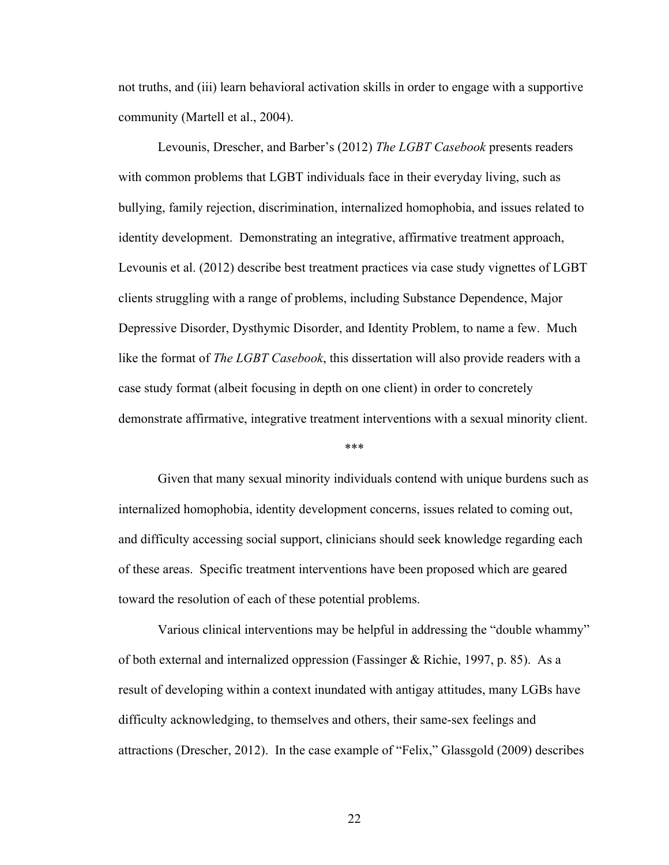not truths, and (iii) learn behavioral activation skills in order to engage with a supportive community (Martell et al., 2004).

Levounis, Drescher, and Barber's (2012) *The LGBT Casebook* presents readers with common problems that LGBT individuals face in their everyday living, such as bullying, family rejection, discrimination, internalized homophobia, and issues related to identity development. Demonstrating an integrative, affirmative treatment approach, Levounis et al. (2012) describe best treatment practices via case study vignettes of LGBT clients struggling with a range of problems, including Substance Dependence, Major Depressive Disorder, Dysthymic Disorder, and Identity Problem, to name a few. Much like the format of *The LGBT Casebook*, this dissertation will also provide readers with a case study format (albeit focusing in depth on one client) in order to concretely demonstrate affirmative, integrative treatment interventions with a sexual minority client.

#### \*\*\*

Given that many sexual minority individuals contend with unique burdens such as internalized homophobia, identity development concerns, issues related to coming out, and difficulty accessing social support, clinicians should seek knowledge regarding each of these areas. Specific treatment interventions have been proposed which are geared toward the resolution of each of these potential problems.

Various clinical interventions may be helpful in addressing the "double whammy" of both external and internalized oppression (Fassinger & Richie, 1997, p. 85). As a result of developing within a context inundated with antigay attitudes, many LGBs have difficulty acknowledging, to themselves and others, their same-sex feelings and attractions (Drescher, 2012). In the case example of "Felix," Glassgold (2009) describes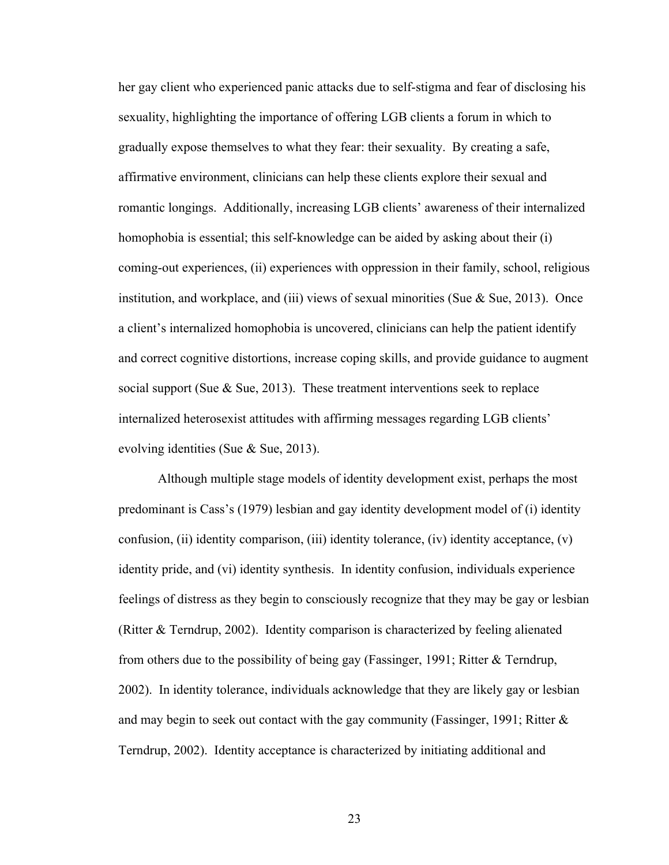her gay client who experienced panic attacks due to self-stigma and fear of disclosing his sexuality, highlighting the importance of offering LGB clients a forum in which to gradually expose themselves to what they fear: their sexuality. By creating a safe, affirmative environment, clinicians can help these clients explore their sexual and romantic longings. Additionally, increasing LGB clients' awareness of their internalized homophobia is essential; this self-knowledge can be aided by asking about their (i) coming-out experiences, (ii) experiences with oppression in their family, school, religious institution, and workplace, and (iii) views of sexual minorities (Sue  $\&$  Sue, 2013). Once a client's internalized homophobia is uncovered, clinicians can help the patient identify and correct cognitive distortions, increase coping skills, and provide guidance to augment social support (Sue  $\&$  Sue, 2013). These treatment interventions seek to replace internalized heterosexist attitudes with affirming messages regarding LGB clients' evolving identities (Sue & Sue, 2013).

Although multiple stage models of identity development exist, perhaps the most predominant is Cass's (1979) lesbian and gay identity development model of (i) identity confusion, (ii) identity comparison, (iii) identity tolerance, (iv) identity acceptance,  $(v)$ identity pride, and (vi) identity synthesis. In identity confusion, individuals experience feelings of distress as they begin to consciously recognize that they may be gay or lesbian (Ritter & Terndrup, 2002). Identity comparison is characterized by feeling alienated from others due to the possibility of being gay (Fassinger, 1991; Ritter & Terndrup, 2002). In identity tolerance, individuals acknowledge that they are likely gay or lesbian and may begin to seek out contact with the gay community (Fassinger, 1991; Ritter & Terndrup, 2002). Identity acceptance is characterized by initiating additional and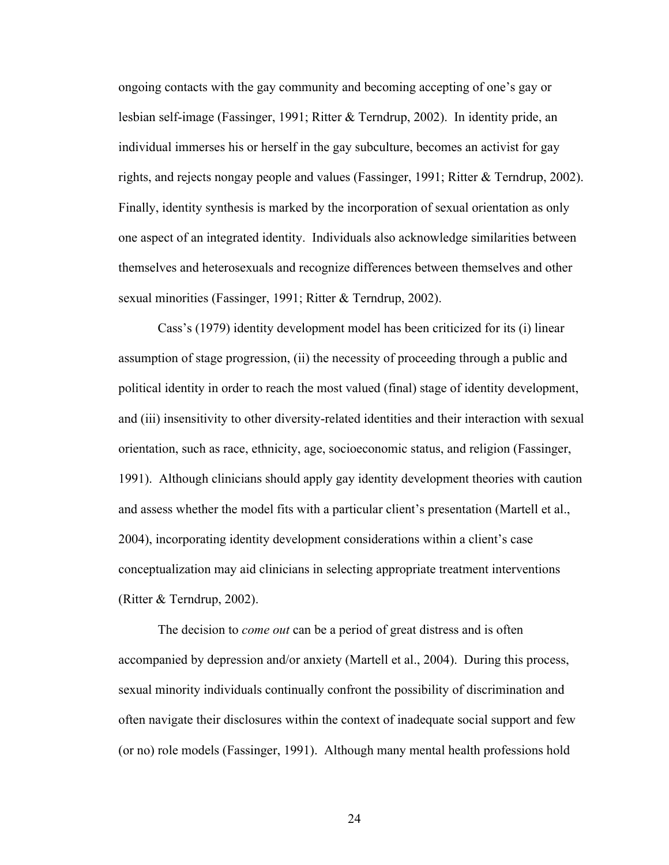ongoing contacts with the gay community and becoming accepting of one's gay or lesbian self-image (Fassinger, 1991; Ritter & Terndrup, 2002). In identity pride, an individual immerses his or herself in the gay subculture, becomes an activist for gay rights, and rejects nongay people and values (Fassinger, 1991; Ritter & Terndrup, 2002). Finally, identity synthesis is marked by the incorporation of sexual orientation as only one aspect of an integrated identity. Individuals also acknowledge similarities between themselves and heterosexuals and recognize differences between themselves and other sexual minorities (Fassinger, 1991; Ritter & Terndrup, 2002).

Cass's (1979) identity development model has been criticized for its (i) linear assumption of stage progression, (ii) the necessity of proceeding through a public and political identity in order to reach the most valued (final) stage of identity development, and (iii) insensitivity to other diversity-related identities and their interaction with sexual orientation, such as race, ethnicity, age, socioeconomic status, and religion (Fassinger, 1991). Although clinicians should apply gay identity development theories with caution and assess whether the model fits with a particular client's presentation (Martell et al., 2004), incorporating identity development considerations within a client's case conceptualization may aid clinicians in selecting appropriate treatment interventions (Ritter & Terndrup, 2002).

The decision to *come out* can be a period of great distress and is often accompanied by depression and/or anxiety (Martell et al., 2004). During this process, sexual minority individuals continually confront the possibility of discrimination and often navigate their disclosures within the context of inadequate social support and few (or no) role models (Fassinger, 1991). Although many mental health professions hold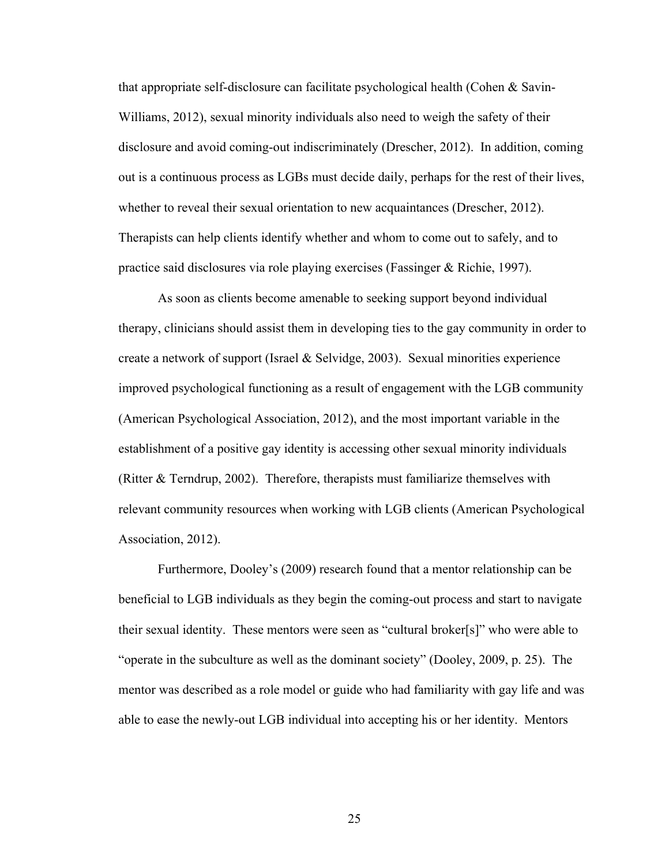that appropriate self-disclosure can facilitate psychological health (Cohen & Savin-Williams, 2012), sexual minority individuals also need to weigh the safety of their disclosure and avoid coming-out indiscriminately (Drescher, 2012). In addition, coming out is a continuous process as LGBs must decide daily, perhaps for the rest of their lives, whether to reveal their sexual orientation to new acquaintances (Drescher, 2012). Therapists can help clients identify whether and whom to come out to safely, and to practice said disclosures via role playing exercises (Fassinger & Richie, 1997).

As soon as clients become amenable to seeking support beyond individual therapy, clinicians should assist them in developing ties to the gay community in order to create a network of support (Israel & Selvidge, 2003). Sexual minorities experience improved psychological functioning as a result of engagement with the LGB community (American Psychological Association, 2012), and the most important variable in the establishment of a positive gay identity is accessing other sexual minority individuals (Ritter & Terndrup, 2002). Therefore, therapists must familiarize themselves with relevant community resources when working with LGB clients (American Psychological Association, 2012).

Furthermore, Dooley's (2009) research found that a mentor relationship can be beneficial to LGB individuals as they begin the coming-out process and start to navigate their sexual identity. These mentors were seen as "cultural broker[s]" who were able to "operate in the subculture as well as the dominant society" (Dooley, 2009, p. 25). The mentor was described as a role model or guide who had familiarity with gay life and was able to ease the newly-out LGB individual into accepting his or her identity. Mentors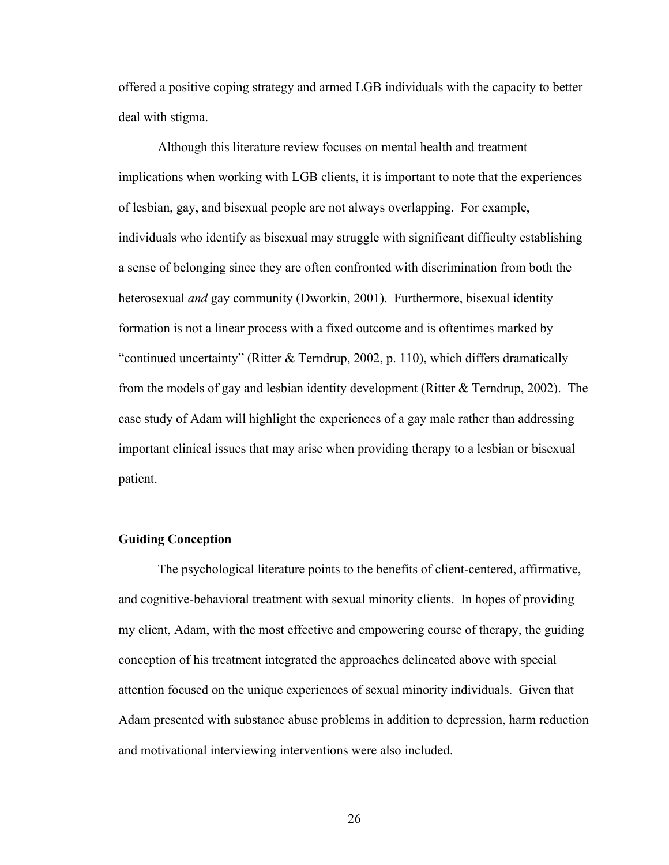offered a positive coping strategy and armed LGB individuals with the capacity to better deal with stigma.

Although this literature review focuses on mental health and treatment implications when working with LGB clients, it is important to note that the experiences of lesbian, gay, and bisexual people are not always overlapping. For example, individuals who identify as bisexual may struggle with significant difficulty establishing a sense of belonging since they are often confronted with discrimination from both the heterosexual *and* gay community (Dworkin, 2001). Furthermore, bisexual identity formation is not a linear process with a fixed outcome and is oftentimes marked by "continued uncertainty" (Ritter & Terndrup, 2002, p. 110), which differs dramatically from the models of gay and lesbian identity development (Ritter & Terndrup, 2002). The case study of Adam will highlight the experiences of a gay male rather than addressing important clinical issues that may arise when providing therapy to a lesbian or bisexual patient.

### **Guiding Conception**

The psychological literature points to the benefits of client-centered, affirmative, and cognitive-behavioral treatment with sexual minority clients. In hopes of providing my client, Adam, with the most effective and empowering course of therapy, the guiding conception of his treatment integrated the approaches delineated above with special attention focused on the unique experiences of sexual minority individuals. Given that Adam presented with substance abuse problems in addition to depression, harm reduction and motivational interviewing interventions were also included.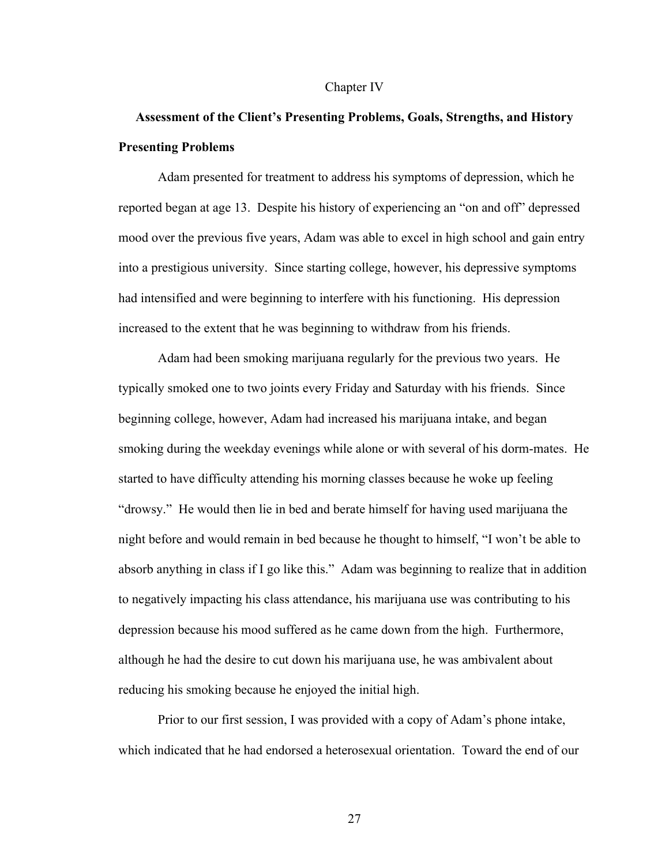#### Chapter IV

# **Assessment of the Client's Presenting Problems, Goals, Strengths, and History Presenting Problems**

Adam presented for treatment to address his symptoms of depression, which he reported began at age 13. Despite his history of experiencing an "on and off" depressed mood over the previous five years, Adam was able to excel in high school and gain entry into a prestigious university. Since starting college, however, his depressive symptoms had intensified and were beginning to interfere with his functioning. His depression increased to the extent that he was beginning to withdraw from his friends.

Adam had been smoking marijuana regularly for the previous two years. He typically smoked one to two joints every Friday and Saturday with his friends. Since beginning college, however, Adam had increased his marijuana intake, and began smoking during the weekday evenings while alone or with several of his dorm-mates. He started to have difficulty attending his morning classes because he woke up feeling "drowsy." He would then lie in bed and berate himself for having used marijuana the night before and would remain in bed because he thought to himself, "I won't be able to absorb anything in class if I go like this." Adam was beginning to realize that in addition to negatively impacting his class attendance, his marijuana use was contributing to his depression because his mood suffered as he came down from the high. Furthermore, although he had the desire to cut down his marijuana use, he was ambivalent about reducing his smoking because he enjoyed the initial high.

Prior to our first session, I was provided with a copy of Adam's phone intake, which indicated that he had endorsed a heterosexual orientation. Toward the end of our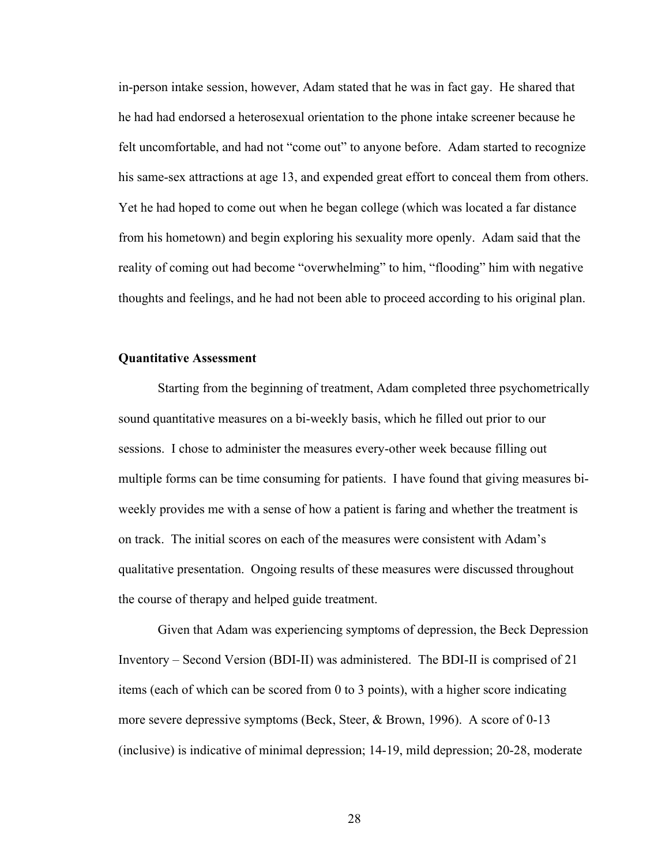in-person intake session, however, Adam stated that he was in fact gay. He shared that he had had endorsed a heterosexual orientation to the phone intake screener because he felt uncomfortable, and had not "come out" to anyone before. Adam started to recognize his same-sex attractions at age 13, and expended great effort to conceal them from others. Yet he had hoped to come out when he began college (which was located a far distance from his hometown) and begin exploring his sexuality more openly. Adam said that the reality of coming out had become "overwhelming" to him, "flooding" him with negative thoughts and feelings, and he had not been able to proceed according to his original plan.

## **Quantitative Assessment**

Starting from the beginning of treatment, Adam completed three psychometrically sound quantitative measures on a bi-weekly basis, which he filled out prior to our sessions. I chose to administer the measures every-other week because filling out multiple forms can be time consuming for patients. I have found that giving measures biweekly provides me with a sense of how a patient is faring and whether the treatment is on track. The initial scores on each of the measures were consistent with Adam's qualitative presentation. Ongoing results of these measures were discussed throughout the course of therapy and helped guide treatment.

Given that Adam was experiencing symptoms of depression, the Beck Depression Inventory – Second Version (BDI-II) was administered. The BDI-II is comprised of 21 items (each of which can be scored from 0 to 3 points), with a higher score indicating more severe depressive symptoms (Beck, Steer, & Brown, 1996). A score of 0-13 (inclusive) is indicative of minimal depression; 14-19, mild depression; 20-28, moderate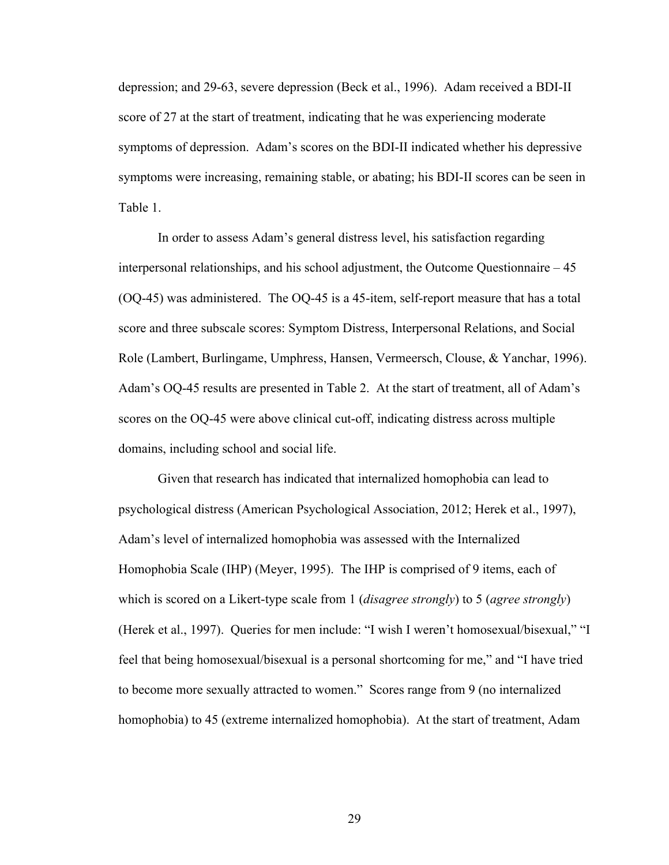depression; and 29-63, severe depression (Beck et al., 1996). Adam received a BDI-II score of 27 at the start of treatment, indicating that he was experiencing moderate symptoms of depression. Adam's scores on the BDI-II indicated whether his depressive symptoms were increasing, remaining stable, or abating; his BDI-II scores can be seen in Table 1.

In order to assess Adam's general distress level, his satisfaction regarding interpersonal relationships, and his school adjustment, the Outcome Questionnaire – 45 (OQ-45) was administered. The OQ-45 is a 45-item, self-report measure that has a total score and three subscale scores: Symptom Distress, Interpersonal Relations, and Social Role (Lambert, Burlingame, Umphress, Hansen, Vermeersch, Clouse, & Yanchar, 1996). Adam's OQ-45 results are presented in Table 2. At the start of treatment, all of Adam's scores on the OQ-45 were above clinical cut-off, indicating distress across multiple domains, including school and social life.

Given that research has indicated that internalized homophobia can lead to psychological distress (American Psychological Association, 2012; Herek et al., 1997), Adam's level of internalized homophobia was assessed with the Internalized Homophobia Scale (IHP) (Meyer, 1995). The IHP is comprised of 9 items, each of which is scored on a Likert-type scale from 1 (*disagree strongly*) to 5 (*agree strongly*) (Herek et al., 1997). Queries for men include: "I wish I weren't homosexual/bisexual," "I feel that being homosexual/bisexual is a personal shortcoming for me," and "I have tried to become more sexually attracted to women." Scores range from 9 (no internalized homophobia) to 45 (extreme internalized homophobia). At the start of treatment, Adam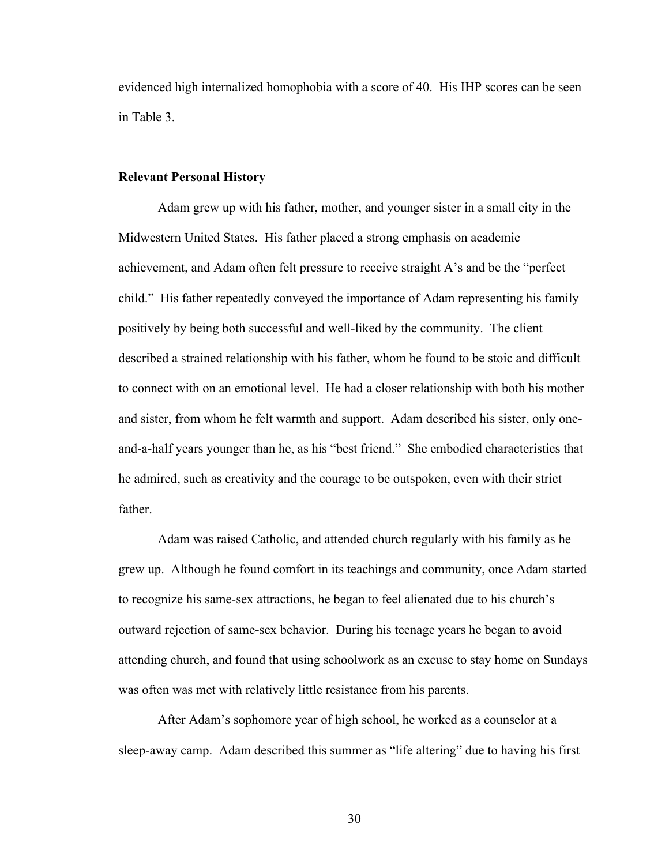evidenced high internalized homophobia with a score of 40. His IHP scores can be seen in Table 3.

## **Relevant Personal History**

Adam grew up with his father, mother, and younger sister in a small city in the Midwestern United States. His father placed a strong emphasis on academic achievement, and Adam often felt pressure to receive straight A's and be the "perfect child." His father repeatedly conveyed the importance of Adam representing his family positively by being both successful and well-liked by the community. The client described a strained relationship with his father, whom he found to be stoic and difficult to connect with on an emotional level. He had a closer relationship with both his mother and sister, from whom he felt warmth and support. Adam described his sister, only oneand-a-half years younger than he, as his "best friend." She embodied characteristics that he admired, such as creativity and the courage to be outspoken, even with their strict father.

Adam was raised Catholic, and attended church regularly with his family as he grew up. Although he found comfort in its teachings and community, once Adam started to recognize his same-sex attractions, he began to feel alienated due to his church's outward rejection of same-sex behavior. During his teenage years he began to avoid attending church, and found that using schoolwork as an excuse to stay home on Sundays was often was met with relatively little resistance from his parents.

After Adam's sophomore year of high school, he worked as a counselor at a sleep-away camp. Adam described this summer as "life altering" due to having his first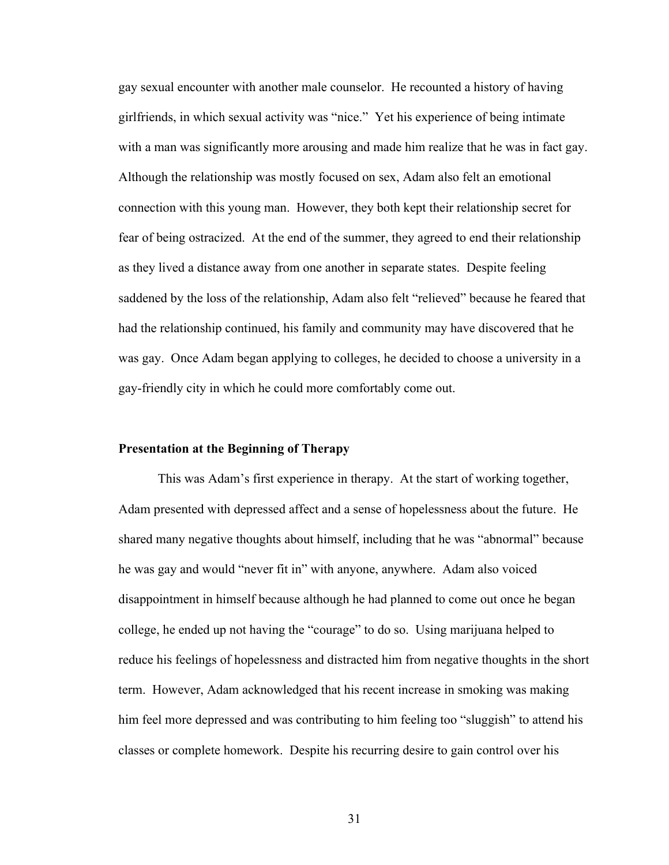gay sexual encounter with another male counselor. He recounted a history of having girlfriends, in which sexual activity was "nice." Yet his experience of being intimate with a man was significantly more arousing and made him realize that he was in fact gay. Although the relationship was mostly focused on sex, Adam also felt an emotional connection with this young man. However, they both kept their relationship secret for fear of being ostracized. At the end of the summer, they agreed to end their relationship as they lived a distance away from one another in separate states. Despite feeling saddened by the loss of the relationship, Adam also felt "relieved" because he feared that had the relationship continued, his family and community may have discovered that he was gay. Once Adam began applying to colleges, he decided to choose a university in a gay-friendly city in which he could more comfortably come out.

#### **Presentation at the Beginning of Therapy**

This was Adam's first experience in therapy. At the start of working together, Adam presented with depressed affect and a sense of hopelessness about the future. He shared many negative thoughts about himself, including that he was "abnormal" because he was gay and would "never fit in" with anyone, anywhere. Adam also voiced disappointment in himself because although he had planned to come out once he began college, he ended up not having the "courage" to do so. Using marijuana helped to reduce his feelings of hopelessness and distracted him from negative thoughts in the short term. However, Adam acknowledged that his recent increase in smoking was making him feel more depressed and was contributing to him feeling too "sluggish" to attend his classes or complete homework. Despite his recurring desire to gain control over his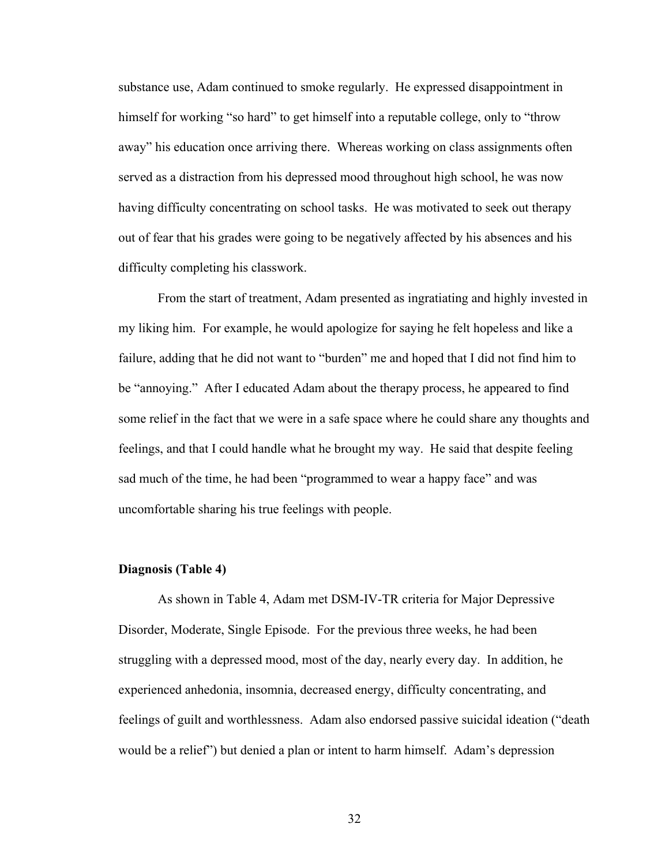substance use, Adam continued to smoke regularly. He expressed disappointment in himself for working "so hard" to get himself into a reputable college, only to "throw away" his education once arriving there. Whereas working on class assignments often served as a distraction from his depressed mood throughout high school, he was now having difficulty concentrating on school tasks. He was motivated to seek out therapy out of fear that his grades were going to be negatively affected by his absences and his difficulty completing his classwork.

From the start of treatment, Adam presented as ingratiating and highly invested in my liking him. For example, he would apologize for saying he felt hopeless and like a failure, adding that he did not want to "burden" me and hoped that I did not find him to be "annoying." After I educated Adam about the therapy process, he appeared to find some relief in the fact that we were in a safe space where he could share any thoughts and feelings, and that I could handle what he brought my way. He said that despite feeling sad much of the time, he had been "programmed to wear a happy face" and was uncomfortable sharing his true feelings with people.

#### **Diagnosis (Table 4)**

As shown in Table 4, Adam met DSM-IV-TR criteria for Major Depressive Disorder, Moderate, Single Episode. For the previous three weeks, he had been struggling with a depressed mood, most of the day, nearly every day. In addition, he experienced anhedonia, insomnia, decreased energy, difficulty concentrating, and feelings of guilt and worthlessness. Adam also endorsed passive suicidal ideation ("death would be a relief") but denied a plan or intent to harm himself. Adam's depression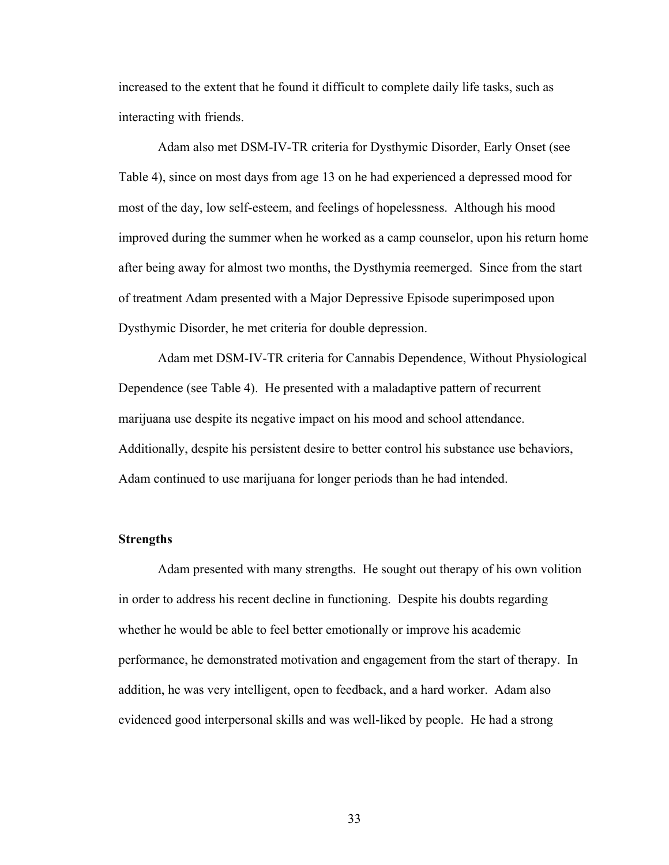increased to the extent that he found it difficult to complete daily life tasks, such as interacting with friends.

Adam also met DSM-IV-TR criteria for Dysthymic Disorder, Early Onset (see Table 4), since on most days from age 13 on he had experienced a depressed mood for most of the day, low self-esteem, and feelings of hopelessness. Although his mood improved during the summer when he worked as a camp counselor, upon his return home after being away for almost two months, the Dysthymia reemerged. Since from the start of treatment Adam presented with a Major Depressive Episode superimposed upon Dysthymic Disorder, he met criteria for double depression.

Adam met DSM-IV-TR criteria for Cannabis Dependence, Without Physiological Dependence (see Table 4). He presented with a maladaptive pattern of recurrent marijuana use despite its negative impact on his mood and school attendance. Additionally, despite his persistent desire to better control his substance use behaviors, Adam continued to use marijuana for longer periods than he had intended.

## **Strengths**

Adam presented with many strengths. He sought out therapy of his own volition in order to address his recent decline in functioning. Despite his doubts regarding whether he would be able to feel better emotionally or improve his academic performance, he demonstrated motivation and engagement from the start of therapy. In addition, he was very intelligent, open to feedback, and a hard worker. Adam also evidenced good interpersonal skills and was well-liked by people. He had a strong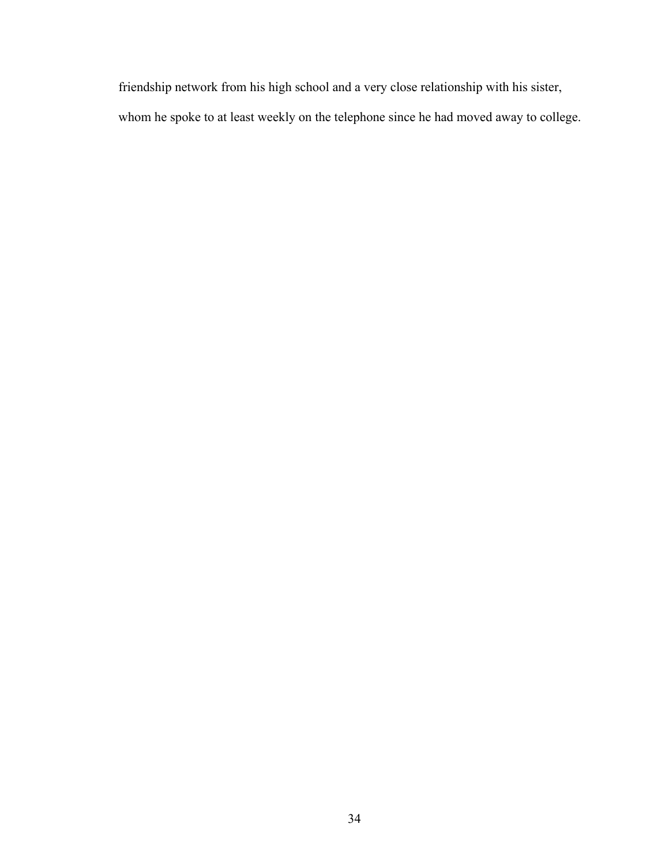friendship network from his high school and a very close relationship with his sister, whom he spoke to at least weekly on the telephone since he had moved away to college.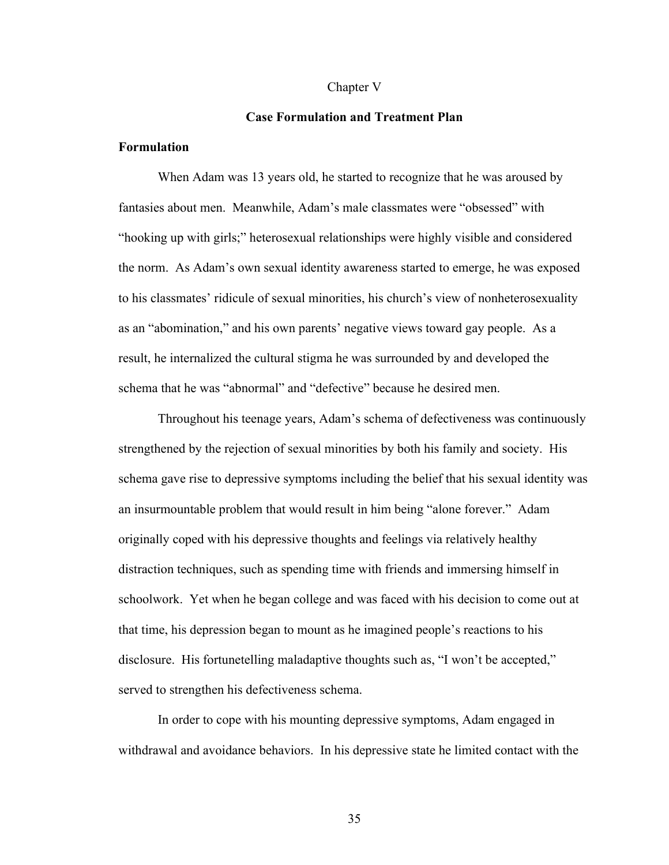#### Chapter V

## **Case Formulation and Treatment Plan**

## **Formulation**

When Adam was 13 years old, he started to recognize that he was aroused by fantasies about men. Meanwhile, Adam's male classmates were "obsessed" with "hooking up with girls;" heterosexual relationships were highly visible and considered the norm. As Adam's own sexual identity awareness started to emerge, he was exposed to his classmates' ridicule of sexual minorities, his church's view of nonheterosexuality as an "abomination," and his own parents' negative views toward gay people. As a result, he internalized the cultural stigma he was surrounded by and developed the schema that he was "abnormal" and "defective" because he desired men.

Throughout his teenage years, Adam's schema of defectiveness was continuously strengthened by the rejection of sexual minorities by both his family and society. His schema gave rise to depressive symptoms including the belief that his sexual identity was an insurmountable problem that would result in him being "alone forever." Adam originally coped with his depressive thoughts and feelings via relatively healthy distraction techniques, such as spending time with friends and immersing himself in schoolwork. Yet when he began college and was faced with his decision to come out at that time, his depression began to mount as he imagined people's reactions to his disclosure. His fortunetelling maladaptive thoughts such as, "I won't be accepted," served to strengthen his defectiveness schema.

In order to cope with his mounting depressive symptoms, Adam engaged in withdrawal and avoidance behaviors. In his depressive state he limited contact with the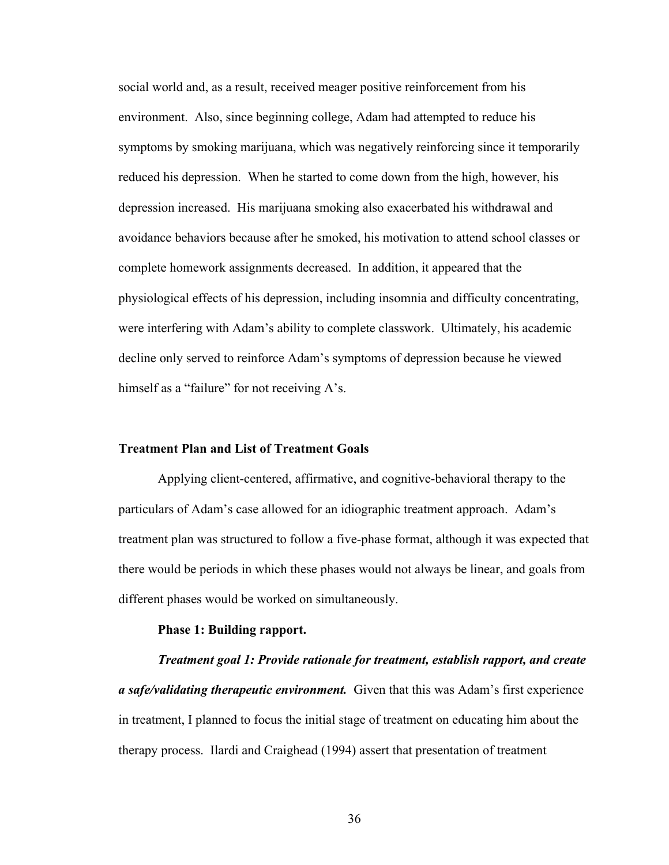social world and, as a result, received meager positive reinforcement from his environment. Also, since beginning college, Adam had attempted to reduce his symptoms by smoking marijuana, which was negatively reinforcing since it temporarily reduced his depression. When he started to come down from the high, however, his depression increased. His marijuana smoking also exacerbated his withdrawal and avoidance behaviors because after he smoked, his motivation to attend school classes or complete homework assignments decreased. In addition, it appeared that the physiological effects of his depression, including insomnia and difficulty concentrating, were interfering with Adam's ability to complete classwork. Ultimately, his academic decline only served to reinforce Adam's symptoms of depression because he viewed himself as a "failure" for not receiving A's.

## **Treatment Plan and List of Treatment Goals**

Applying client-centered, affirmative, and cognitive-behavioral therapy to the particulars of Adam's case allowed for an idiographic treatment approach. Adam's treatment plan was structured to follow a five-phase format, although it was expected that there would be periods in which these phases would not always be linear, and goals from different phases would be worked on simultaneously.

## **Phase 1: Building rapport.**

*Treatment goal 1: Provide rationale for treatment, establish rapport, and create a safe/validating therapeutic environment.* Given that this was Adam's first experience in treatment, I planned to focus the initial stage of treatment on educating him about the therapy process. Ilardi and Craighead (1994) assert that presentation of treatment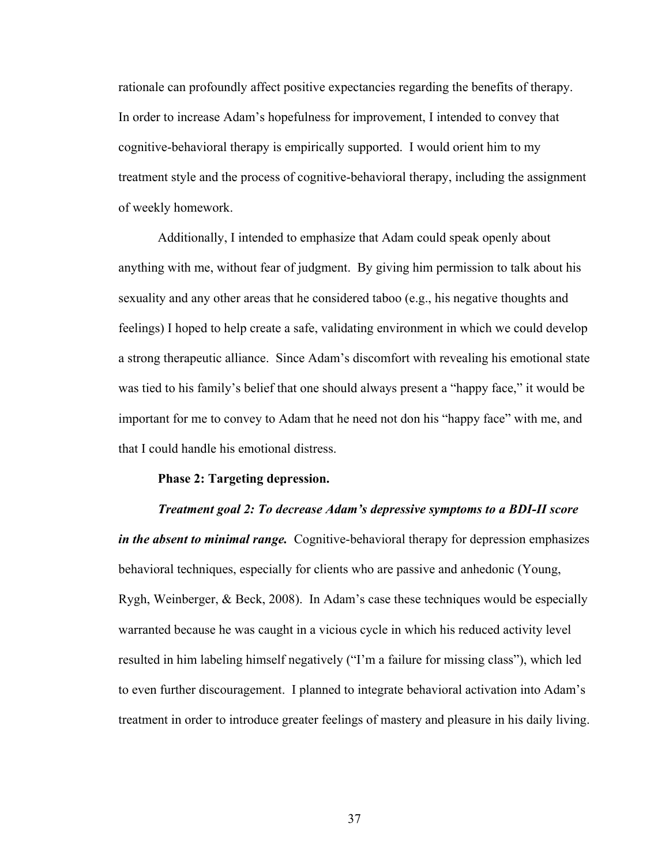rationale can profoundly affect positive expectancies regarding the benefits of therapy. In order to increase Adam's hopefulness for improvement, I intended to convey that cognitive-behavioral therapy is empirically supported. I would orient him to my treatment style and the process of cognitive-behavioral therapy, including the assignment of weekly homework.

Additionally, I intended to emphasize that Adam could speak openly about anything with me, without fear of judgment. By giving him permission to talk about his sexuality and any other areas that he considered taboo (e.g., his negative thoughts and feelings) I hoped to help create a safe, validating environment in which we could develop a strong therapeutic alliance. Since Adam's discomfort with revealing his emotional state was tied to his family's belief that one should always present a "happy face," it would be important for me to convey to Adam that he need not don his "happy face" with me, and that I could handle his emotional distress.

#### **Phase 2: Targeting depression.**

## *Treatment goal 2: To decrease Adam's depressive symptoms to a BDI-II score*

*in the absent to minimal range.* Cognitive-behavioral therapy for depression emphasizes behavioral techniques, especially for clients who are passive and anhedonic (Young, Rygh, Weinberger, & Beck, 2008). In Adam's case these techniques would be especially warranted because he was caught in a vicious cycle in which his reduced activity level resulted in him labeling himself negatively ("I'm a failure for missing class"), which led to even further discouragement. I planned to integrate behavioral activation into Adam's treatment in order to introduce greater feelings of mastery and pleasure in his daily living.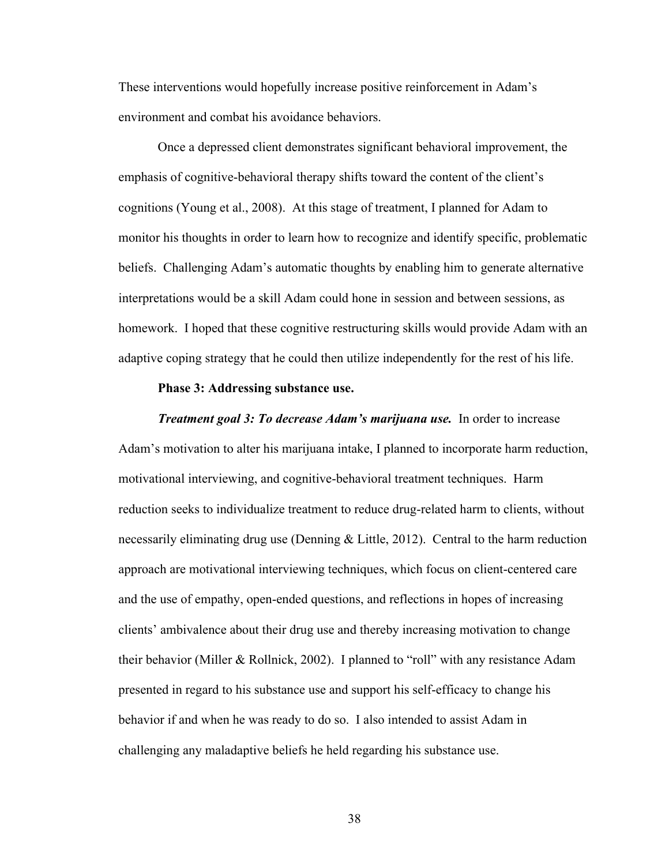These interventions would hopefully increase positive reinforcement in Adam's environment and combat his avoidance behaviors.

Once a depressed client demonstrates significant behavioral improvement, the emphasis of cognitive-behavioral therapy shifts toward the content of the client's cognitions (Young et al., 2008). At this stage of treatment, I planned for Adam to monitor his thoughts in order to learn how to recognize and identify specific, problematic beliefs. Challenging Adam's automatic thoughts by enabling him to generate alternative interpretations would be a skill Adam could hone in session and between sessions, as homework. I hoped that these cognitive restructuring skills would provide Adam with an adaptive coping strategy that he could then utilize independently for the rest of his life.

## **Phase 3: Addressing substance use.**

*Treatment goal 3: To decrease Adam's marijuana use.*In order to increase Adam's motivation to alter his marijuana intake, I planned to incorporate harm reduction, motivational interviewing, and cognitive-behavioral treatment techniques. Harm reduction seeks to individualize treatment to reduce drug-related harm to clients, without necessarily eliminating drug use (Denning & Little, 2012). Central to the harm reduction approach are motivational interviewing techniques, which focus on client-centered care and the use of empathy, open-ended questions, and reflections in hopes of increasing clients' ambivalence about their drug use and thereby increasing motivation to change their behavior (Miller & Rollnick, 2002). I planned to "roll" with any resistance Adam presented in regard to his substance use and support his self-efficacy to change his behavior if and when he was ready to do so. I also intended to assist Adam in challenging any maladaptive beliefs he held regarding his substance use.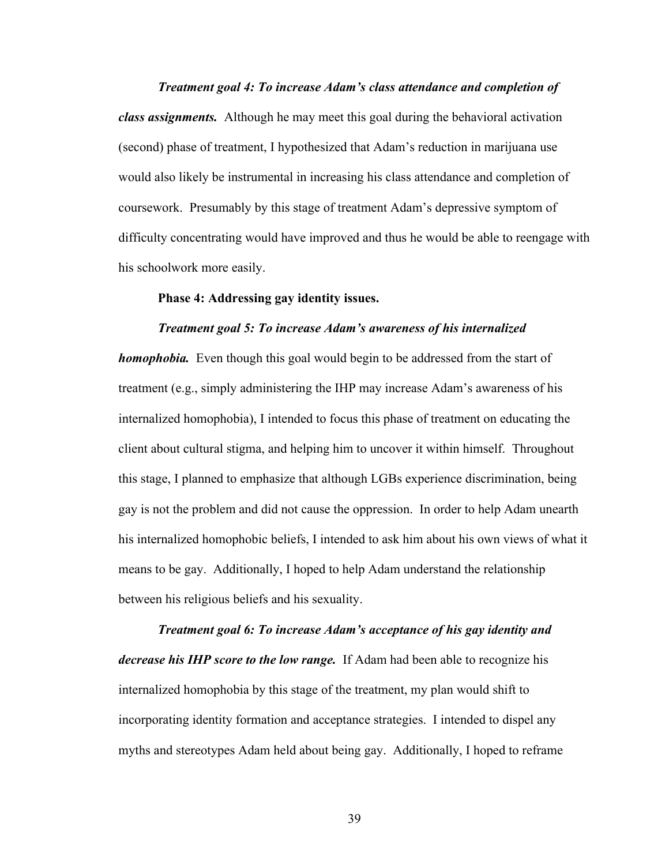*Treatment goal 4: To increase Adam's class attendance and completion of class assignments.* Although he may meet this goal during the behavioral activation (second) phase of treatment, I hypothesized that Adam's reduction in marijuana use would also likely be instrumental in increasing his class attendance and completion of coursework. Presumably by this stage of treatment Adam's depressive symptom of difficulty concentrating would have improved and thus he would be able to reengage with his schoolwork more easily.

## **Phase 4: Addressing gay identity issues.**

#### *Treatment goal 5: To increase Adam's awareness of his internalized*

*homophobia.* Even though this goal would begin to be addressed from the start of treatment (e.g., simply administering the IHP may increase Adam's awareness of his internalized homophobia), I intended to focus this phase of treatment on educating the client about cultural stigma, and helping him to uncover it within himself. Throughout this stage, I planned to emphasize that although LGBs experience discrimination, being gay is not the problem and did not cause the oppression. In order to help Adam unearth his internalized homophobic beliefs, I intended to ask him about his own views of what it means to be gay. Additionally, I hoped to help Adam understand the relationship between his religious beliefs and his sexuality.

*Treatment goal 6: To increase Adam's acceptance of his gay identity and decrease his IHP score to the low range.* If Adam had been able to recognize his internalized homophobia by this stage of the treatment, my plan would shift to incorporating identity formation and acceptance strategies. I intended to dispel any myths and stereotypes Adam held about being gay. Additionally, I hoped to reframe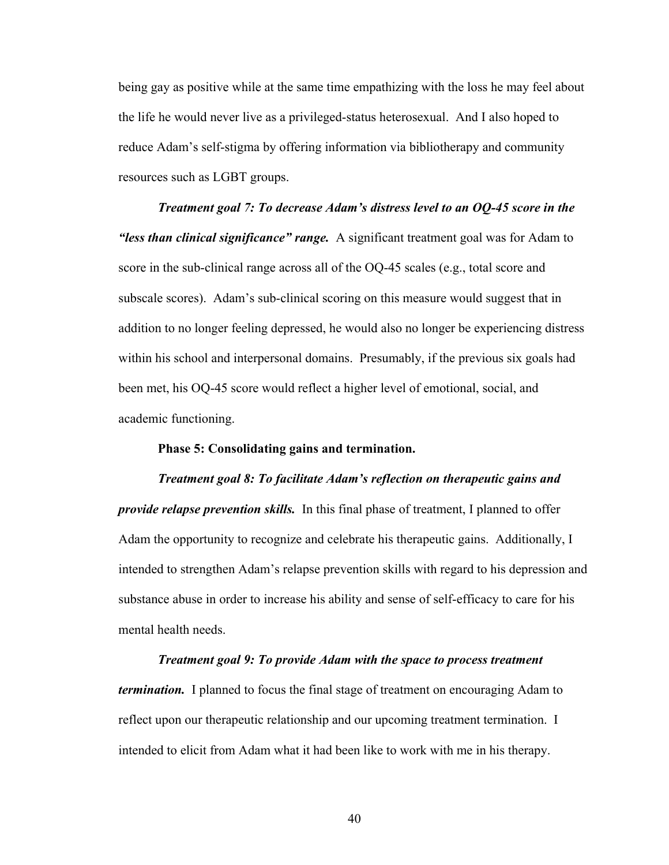being gay as positive while at the same time empathizing with the loss he may feel about the life he would never live as a privileged-status heterosexual. And I also hoped to reduce Adam's self-stigma by offering information via bibliotherapy and community resources such as LGBT groups.

*Treatment goal 7: To decrease Adam's distress level to an OQ-45 score in the "less than clinical significance" range.* A significant treatment goal was for Adam to score in the sub-clinical range across all of the OQ-45 scales (e.g., total score and subscale scores). Adam's sub-clinical scoring on this measure would suggest that in addition to no longer feeling depressed, he would also no longer be experiencing distress within his school and interpersonal domains. Presumably, if the previous six goals had been met, his OQ-45 score would reflect a higher level of emotional, social, and academic functioning.

#### **Phase 5: Consolidating gains and termination.**

*Treatment goal 8: To facilitate Adam's reflection on therapeutic gains and provide relapse prevention skills.* In this final phase of treatment, I planned to offer Adam the opportunity to recognize and celebrate his therapeutic gains. Additionally, I intended to strengthen Adam's relapse prevention skills with regard to his depression and substance abuse in order to increase his ability and sense of self-efficacy to care for his mental health needs.

*Treatment goal 9: To provide Adam with the space to process treatment termination.* I planned to focus the final stage of treatment on encouraging Adam to reflect upon our therapeutic relationship and our upcoming treatment termination. I intended to elicit from Adam what it had been like to work with me in his therapy.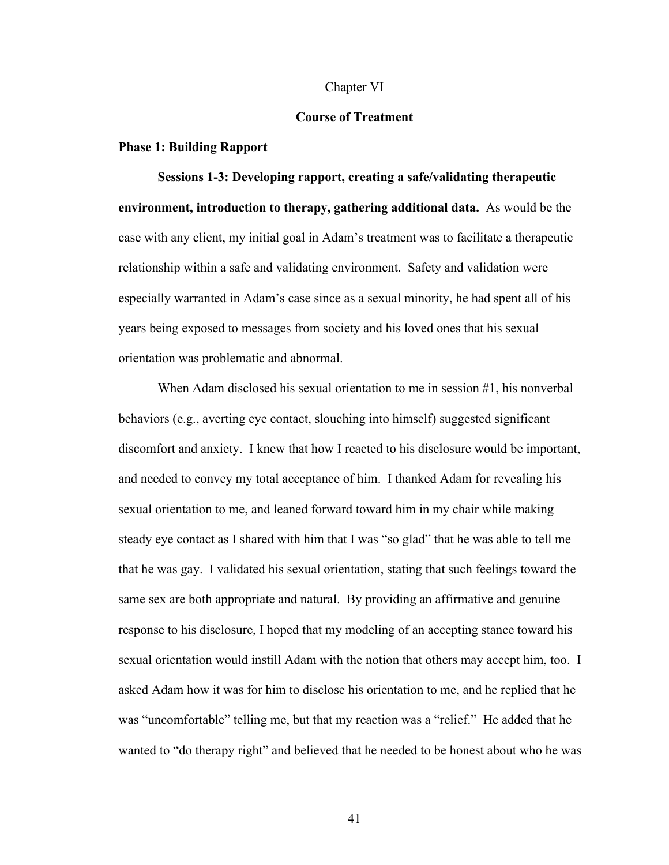#### Chapter VI

## **Course of Treatment**

## **Phase 1: Building Rapport**

**Sessions 1-3: Developing rapport, creating a safe/validating therapeutic environment, introduction to therapy, gathering additional data.** As would be the case with any client, my initial goal in Adam's treatment was to facilitate a therapeutic relationship within a safe and validating environment. Safety and validation were especially warranted in Adam's case since as a sexual minority, he had spent all of his years being exposed to messages from society and his loved ones that his sexual orientation was problematic and abnormal.

When Adam disclosed his sexual orientation to me in session #1, his nonverbal behaviors (e.g., averting eye contact, slouching into himself) suggested significant discomfort and anxiety. I knew that how I reacted to his disclosure would be important, and needed to convey my total acceptance of him. I thanked Adam for revealing his sexual orientation to me, and leaned forward toward him in my chair while making steady eye contact as I shared with him that I was "so glad" that he was able to tell me that he was gay. I validated his sexual orientation, stating that such feelings toward the same sex are both appropriate and natural. By providing an affirmative and genuine response to his disclosure, I hoped that my modeling of an accepting stance toward his sexual orientation would instill Adam with the notion that others may accept him, too. I asked Adam how it was for him to disclose his orientation to me, and he replied that he was "uncomfortable" telling me, but that my reaction was a "relief." He added that he wanted to "do therapy right" and believed that he needed to be honest about who he was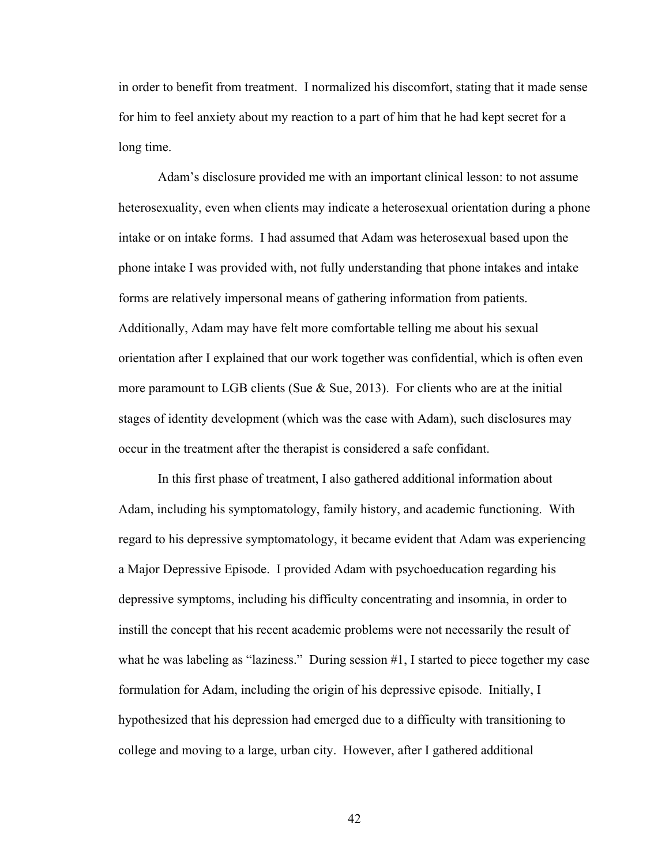in order to benefit from treatment. I normalized his discomfort, stating that it made sense for him to feel anxiety about my reaction to a part of him that he had kept secret for a long time.

Adam's disclosure provided me with an important clinical lesson: to not assume heterosexuality, even when clients may indicate a heterosexual orientation during a phone intake or on intake forms. I had assumed that Adam was heterosexual based upon the phone intake I was provided with, not fully understanding that phone intakes and intake forms are relatively impersonal means of gathering information from patients. Additionally, Adam may have felt more comfortable telling me about his sexual orientation after I explained that our work together was confidential, which is often even more paramount to LGB clients (Sue & Sue, 2013). For clients who are at the initial stages of identity development (which was the case with Adam), such disclosures may occur in the treatment after the therapist is considered a safe confidant.

In this first phase of treatment, I also gathered additional information about Adam, including his symptomatology, family history, and academic functioning. With regard to his depressive symptomatology, it became evident that Adam was experiencing a Major Depressive Episode. I provided Adam with psychoeducation regarding his depressive symptoms, including his difficulty concentrating and insomnia, in order to instill the concept that his recent academic problems were not necessarily the result of what he was labeling as "laziness." During session #1, I started to piece together my case formulation for Adam, including the origin of his depressive episode. Initially, I hypothesized that his depression had emerged due to a difficulty with transitioning to college and moving to a large, urban city. However, after I gathered additional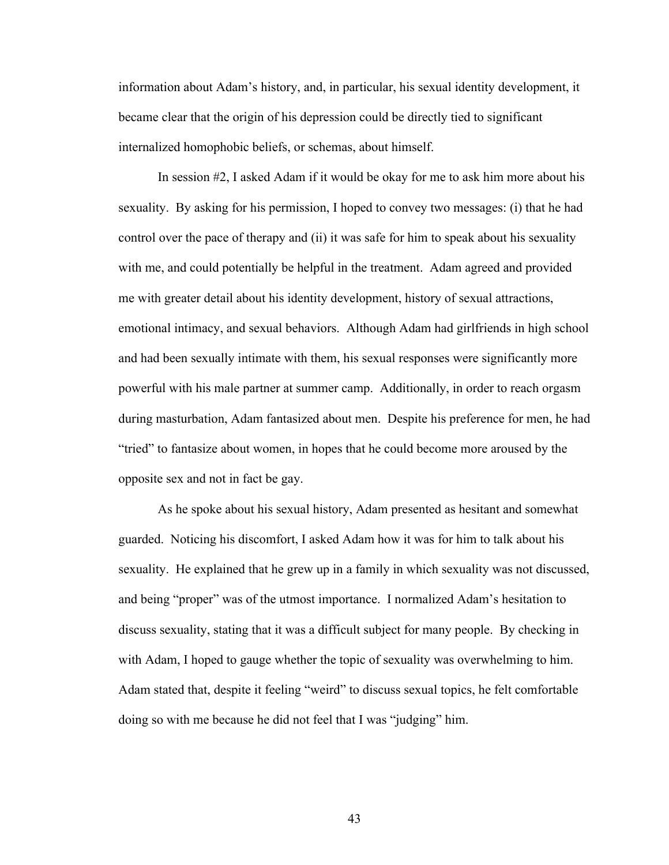information about Adam's history, and, in particular, his sexual identity development, it became clear that the origin of his depression could be directly tied to significant internalized homophobic beliefs, or schemas, about himself.

In session #2, I asked Adam if it would be okay for me to ask him more about his sexuality. By asking for his permission, I hoped to convey two messages: (i) that he had control over the pace of therapy and (ii) it was safe for him to speak about his sexuality with me, and could potentially be helpful in the treatment. Adam agreed and provided me with greater detail about his identity development, history of sexual attractions, emotional intimacy, and sexual behaviors. Although Adam had girlfriends in high school and had been sexually intimate with them, his sexual responses were significantly more powerful with his male partner at summer camp. Additionally, in order to reach orgasm during masturbation, Adam fantasized about men. Despite his preference for men, he had "tried" to fantasize about women, in hopes that he could become more aroused by the opposite sex and not in fact be gay.

As he spoke about his sexual history, Adam presented as hesitant and somewhat guarded. Noticing his discomfort, I asked Adam how it was for him to talk about his sexuality. He explained that he grew up in a family in which sexuality was not discussed, and being "proper" was of the utmost importance. I normalized Adam's hesitation to discuss sexuality, stating that it was a difficult subject for many people. By checking in with Adam, I hoped to gauge whether the topic of sexuality was overwhelming to him. Adam stated that, despite it feeling "weird" to discuss sexual topics, he felt comfortable doing so with me because he did not feel that I was "judging" him.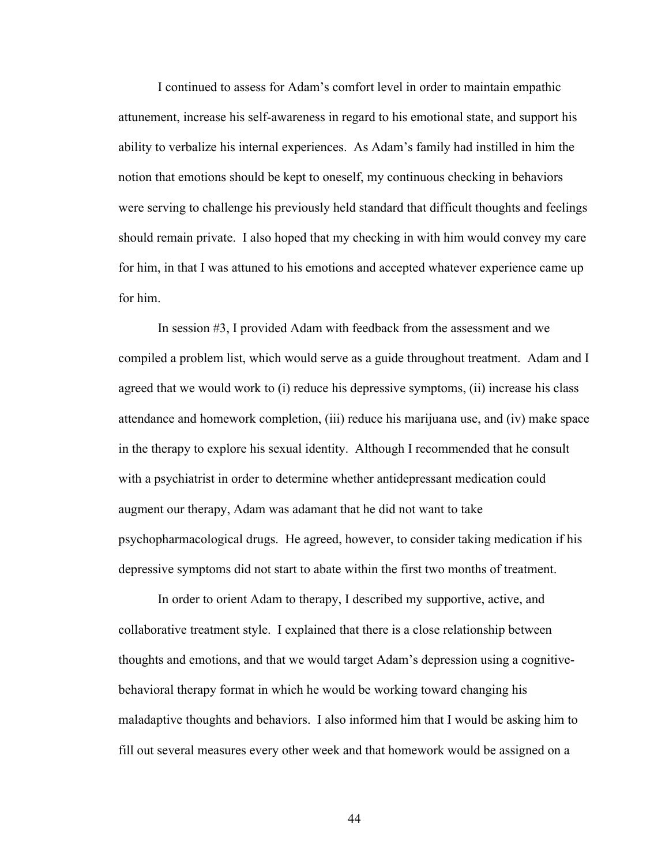I continued to assess for Adam's comfort level in order to maintain empathic attunement, increase his self-awareness in regard to his emotional state, and support his ability to verbalize his internal experiences. As Adam's family had instilled in him the notion that emotions should be kept to oneself, my continuous checking in behaviors were serving to challenge his previously held standard that difficult thoughts and feelings should remain private. I also hoped that my checking in with him would convey my care for him, in that I was attuned to his emotions and accepted whatever experience came up for him.

In session #3, I provided Adam with feedback from the assessment and we compiled a problem list, which would serve as a guide throughout treatment. Adam and I agreed that we would work to (i) reduce his depressive symptoms, (ii) increase his class attendance and homework completion, (iii) reduce his marijuana use, and (iv) make space in the therapy to explore his sexual identity. Although I recommended that he consult with a psychiatrist in order to determine whether antidepressant medication could augment our therapy, Adam was adamant that he did not want to take psychopharmacological drugs. He agreed, however, to consider taking medication if his depressive symptoms did not start to abate within the first two months of treatment.

In order to orient Adam to therapy, I described my supportive, active, and collaborative treatment style. I explained that there is a close relationship between thoughts and emotions, and that we would target Adam's depression using a cognitivebehavioral therapy format in which he would be working toward changing his maladaptive thoughts and behaviors. I also informed him that I would be asking him to fill out several measures every other week and that homework would be assigned on a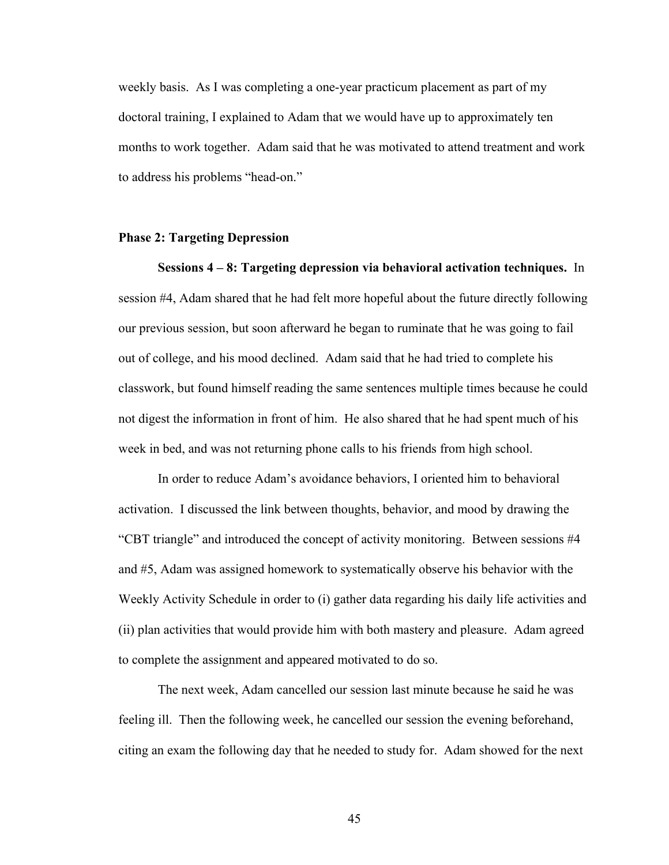weekly basis. As I was completing a one-year practicum placement as part of my doctoral training, I explained to Adam that we would have up to approximately ten months to work together. Adam said that he was motivated to attend treatment and work to address his problems "head-on."

## **Phase 2: Targeting Depression**

**Sessions 4 – 8: Targeting depression via behavioral activation techniques.** In session #4, Adam shared that he had felt more hopeful about the future directly following our previous session, but soon afterward he began to ruminate that he was going to fail out of college, and his mood declined. Adam said that he had tried to complete his classwork, but found himself reading the same sentences multiple times because he could not digest the information in front of him. He also shared that he had spent much of his week in bed, and was not returning phone calls to his friends from high school.

In order to reduce Adam's avoidance behaviors, I oriented him to behavioral activation. I discussed the link between thoughts, behavior, and mood by drawing the "CBT triangle" and introduced the concept of activity monitoring. Between sessions #4 and #5, Adam was assigned homework to systematically observe his behavior with the Weekly Activity Schedule in order to (i) gather data regarding his daily life activities and (ii) plan activities that would provide him with both mastery and pleasure. Adam agreed to complete the assignment and appeared motivated to do so.

The next week, Adam cancelled our session last minute because he said he was feeling ill. Then the following week, he cancelled our session the evening beforehand, citing an exam the following day that he needed to study for. Adam showed for the next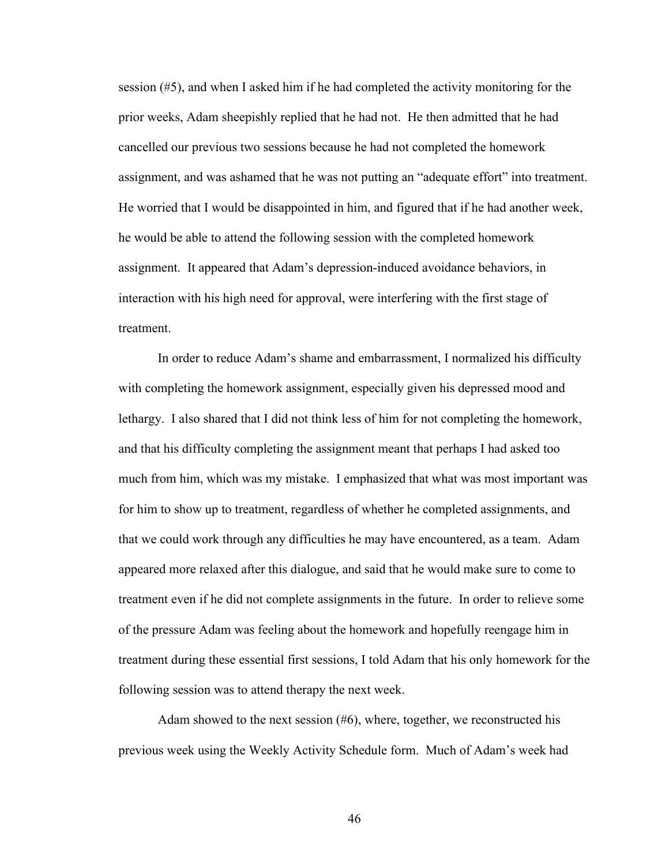session (#5), and when I asked him if he had completed the activity monitoring for the prior weeks, Adam sheepishly replied that he had not. He then admitted that he had cancelled our previous two sessions because he had not completed the homework assignment, and was ashamed that he was not putting an "adequate effort" into treatment. He worried that I would be disappointed in him, and figured that if he had another week, he would be able to attend the following session with the completed homework assignment. It appeared that Adam's depression-induced avoidance behaviors, in interaction with his high need for approval, were interfering with the first stage of treatment.

In order to reduce Adam's shame and embarrassment, I normalized his difficulty with completing the homework assignment, especially given his depressed mood and lethargy. I also shared that I did not think less of him for not completing the homework, and that his difficulty completing the assignment meant that perhaps I had asked too much from him, which was my mistake. I emphasized that what was most important was for him to show up to treatment, regardless of whether he completed assignments, and that we could work through any difficulties he may have encountered, as a team. Adam appeared more relaxed after this dialogue, and said that he would make sure to come to treatment even if he did not complete assignments in the future. In order to relieve some of the pressure Adam was feeling about the homework and hopefully reengage him in treatment during these essential first sessions, I told Adam that his only homework for the following session was to attend therapy the next week.

Adam showed to the next session  $(\#6)$ , where, together, we reconstructed his previous week using the Weekly Activity Schedule form. Much of Adam's week had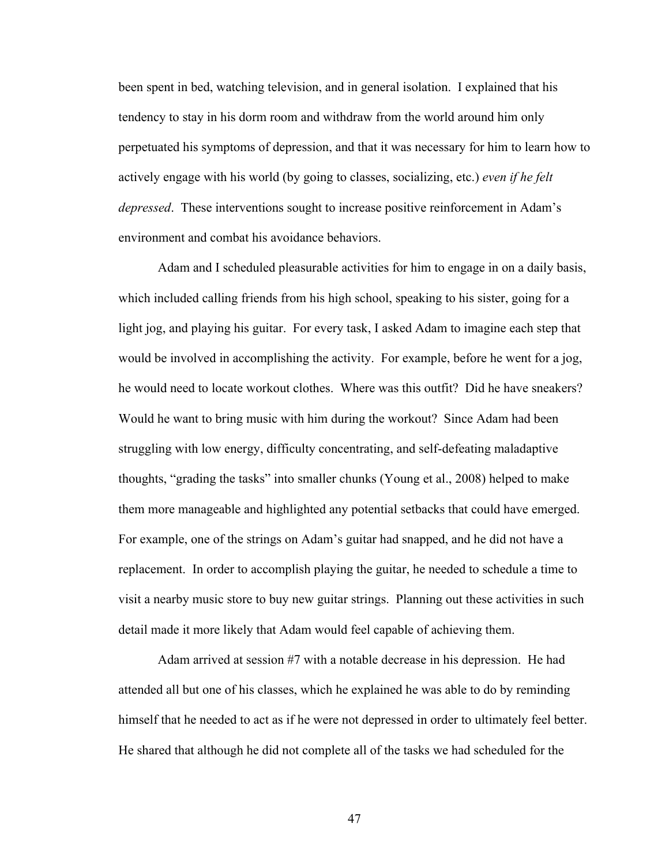been spent in bed, watching television, and in general isolation. I explained that his tendency to stay in his dorm room and withdraw from the world around him only perpetuated his symptoms of depression, and that it was necessary for him to learn how to actively engage with his world (by going to classes, socializing, etc.) *even if he felt depressed*. These interventions sought to increase positive reinforcement in Adam's environment and combat his avoidance behaviors.

Adam and I scheduled pleasurable activities for him to engage in on a daily basis, which included calling friends from his high school, speaking to his sister, going for a light jog, and playing his guitar. For every task, I asked Adam to imagine each step that would be involved in accomplishing the activity. For example, before he went for a jog, he would need to locate workout clothes. Where was this outfit? Did he have sneakers? Would he want to bring music with him during the workout? Since Adam had been struggling with low energy, difficulty concentrating, and self-defeating maladaptive thoughts, "grading the tasks" into smaller chunks (Young et al., 2008) helped to make them more manageable and highlighted any potential setbacks that could have emerged. For example, one of the strings on Adam's guitar had snapped, and he did not have a replacement. In order to accomplish playing the guitar, he needed to schedule a time to visit a nearby music store to buy new guitar strings. Planning out these activities in such detail made it more likely that Adam would feel capable of achieving them.

Adam arrived at session #7 with a notable decrease in his depression. He had attended all but one of his classes, which he explained he was able to do by reminding himself that he needed to act as if he were not depressed in order to ultimately feel better. He shared that although he did not complete all of the tasks we had scheduled for the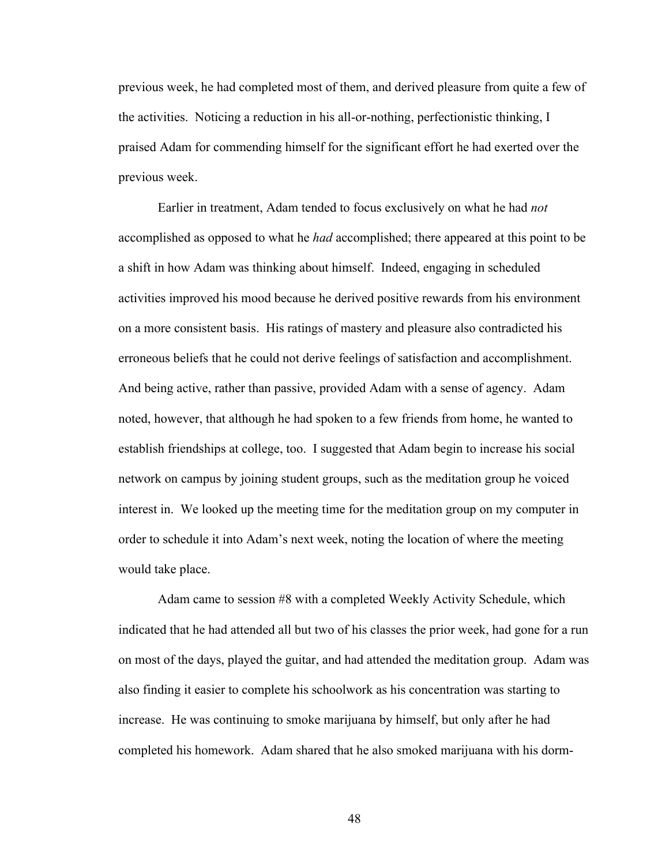previous week, he had completed most of them, and derived pleasure from quite a few of the activities. Noticing a reduction in his all-or-nothing, perfectionistic thinking, I praised Adam for commending himself for the significant effort he had exerted over the previous week.

Earlier in treatment, Adam tended to focus exclusively on what he had *not*  accomplished as opposed to what he *had* accomplished; there appeared at this point to be a shift in how Adam was thinking about himself. Indeed, engaging in scheduled activities improved his mood because he derived positive rewards from his environment on a more consistent basis. His ratings of mastery and pleasure also contradicted his erroneous beliefs that he could not derive feelings of satisfaction and accomplishment. And being active, rather than passive, provided Adam with a sense of agency. Adam noted, however, that although he had spoken to a few friends from home, he wanted to establish friendships at college, too. I suggested that Adam begin to increase his social network on campus by joining student groups, such as the meditation group he voiced interest in. We looked up the meeting time for the meditation group on my computer in order to schedule it into Adam's next week, noting the location of where the meeting would take place.

Adam came to session #8 with a completed Weekly Activity Schedule, which indicated that he had attended all but two of his classes the prior week, had gone for a run on most of the days, played the guitar, and had attended the meditation group. Adam was also finding it easier to complete his schoolwork as his concentration was starting to increase. He was continuing to smoke marijuana by himself, but only after he had completed his homework. Adam shared that he also smoked marijuana with his dorm-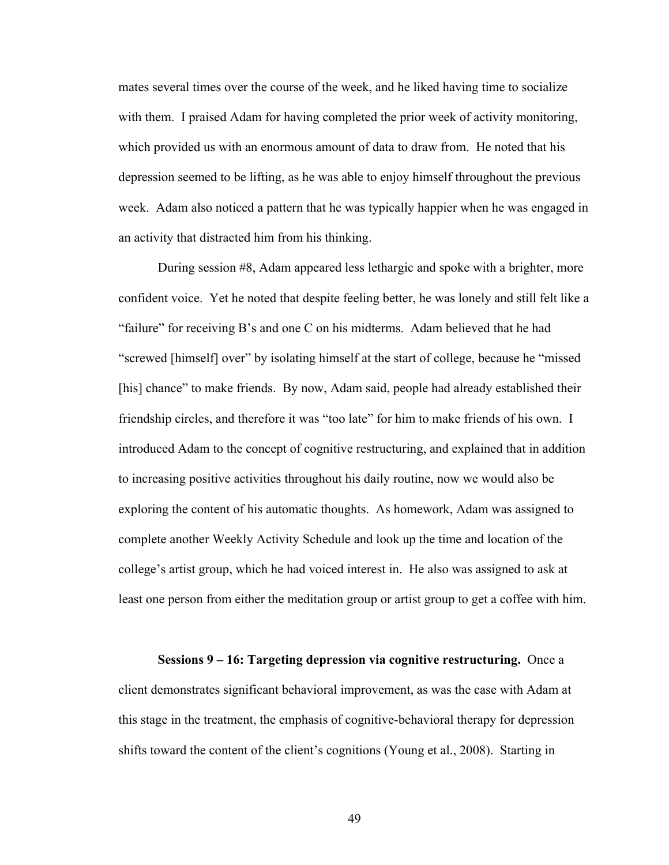mates several times over the course of the week, and he liked having time to socialize with them. I praised Adam for having completed the prior week of activity monitoring, which provided us with an enormous amount of data to draw from. He noted that his depression seemed to be lifting, as he was able to enjoy himself throughout the previous week. Adam also noticed a pattern that he was typically happier when he was engaged in an activity that distracted him from his thinking.

During session #8, Adam appeared less lethargic and spoke with a brighter, more confident voice. Yet he noted that despite feeling better, he was lonely and still felt like a "failure" for receiving B's and one C on his midterms. Adam believed that he had "screwed [himself] over" by isolating himself at the start of college, because he "missed [his] chance" to make friends. By now, Adam said, people had already established their friendship circles, and therefore it was "too late" for him to make friends of his own. I introduced Adam to the concept of cognitive restructuring, and explained that in addition to increasing positive activities throughout his daily routine, now we would also be exploring the content of his automatic thoughts. As homework, Adam was assigned to complete another Weekly Activity Schedule and look up the time and location of the college's artist group, which he had voiced interest in. He also was assigned to ask at least one person from either the meditation group or artist group to get a coffee with him.

**Sessions 9 – 16: Targeting depression via cognitive restructuring.** Once a client demonstrates significant behavioral improvement, as was the case with Adam at this stage in the treatment, the emphasis of cognitive-behavioral therapy for depression shifts toward the content of the client's cognitions (Young et al., 2008). Starting in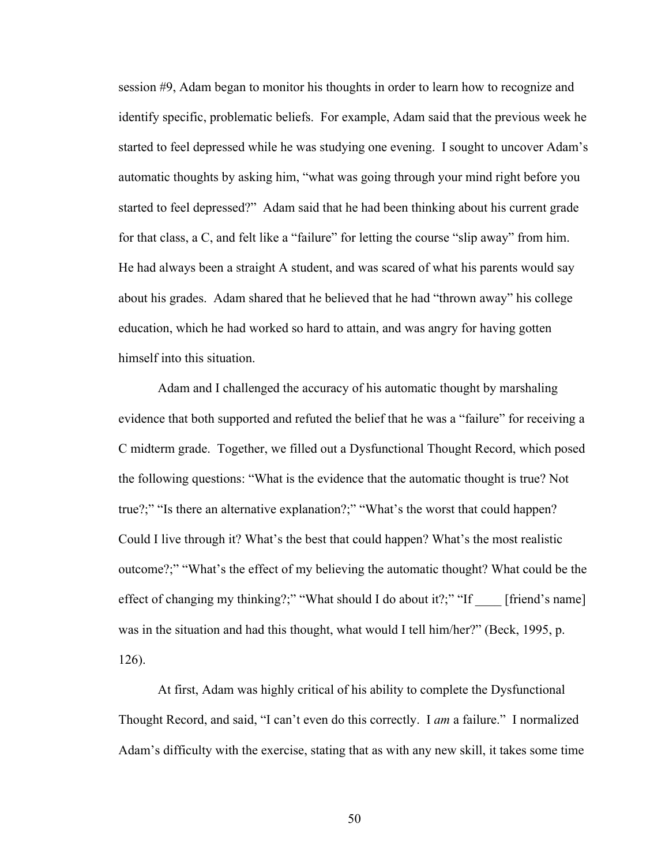session #9, Adam began to monitor his thoughts in order to learn how to recognize and identify specific, problematic beliefs. For example, Adam said that the previous week he started to feel depressed while he was studying one evening. I sought to uncover Adam's automatic thoughts by asking him, "what was going through your mind right before you started to feel depressed?" Adam said that he had been thinking about his current grade for that class, a C, and felt like a "failure" for letting the course "slip away" from him. He had always been a straight A student, and was scared of what his parents would say about his grades. Adam shared that he believed that he had "thrown away" his college education, which he had worked so hard to attain, and was angry for having gotten himself into this situation.

Adam and I challenged the accuracy of his automatic thought by marshaling evidence that both supported and refuted the belief that he was a "failure" for receiving a C midterm grade. Together, we filled out a Dysfunctional Thought Record, which posed the following questions: "What is the evidence that the automatic thought is true? Not true?;" "Is there an alternative explanation?;" "What's the worst that could happen? Could I live through it? What's the best that could happen? What's the most realistic outcome?;" "What's the effect of my believing the automatic thought? What could be the effect of changing my thinking?;" "What should I do about it?;" "If \_\_\_\_ [friend's name] was in the situation and had this thought, what would I tell him/her?" (Beck, 1995, p. 126).

At first, Adam was highly critical of his ability to complete the Dysfunctional Thought Record, and said, "I can't even do this correctly. I *am* a failure." I normalized Adam's difficulty with the exercise, stating that as with any new skill, it takes some time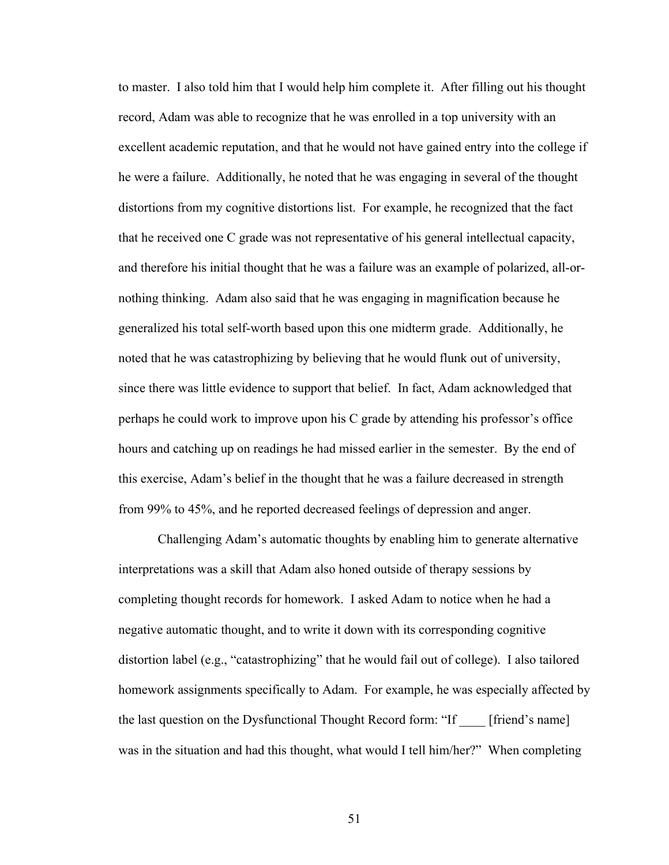to master. I also told him that I would help him complete it. After filling out his thought record, Adam was able to recognize that he was enrolled in a top university with an excellent academic reputation, and that he would not have gained entry into the college if he were a failure. Additionally, he noted that he was engaging in several of the thought distortions from my cognitive distortions list. For example, he recognized that the fact that he received one C grade was not representative of his general intellectual capacity, and therefore his initial thought that he was a failure was an example of polarized, all-ornothing thinking. Adam also said that he was engaging in magnification because he generalized his total self-worth based upon this one midterm grade. Additionally, he noted that he was catastrophizing by believing that he would flunk out of university, since there was little evidence to support that belief. In fact, Adam acknowledged that perhaps he could work to improve upon his C grade by attending his professor's office hours and catching up on readings he had missed earlier in the semester. By the end of this exercise, Adam's belief in the thought that he was a failure decreased in strength from 99% to 45%, and he reported decreased feelings of depression and anger.

Challenging Adam's automatic thoughts by enabling him to generate alternative interpretations was a skill that Adam also honed outside of therapy sessions by completing thought records for homework. I asked Adam to notice when he had a negative automatic thought, and to write it down with its corresponding cognitive distortion label (e.g., "catastrophizing" that he would fail out of college). I also tailored homework assignments specifically to Adam. For example, he was especially affected by the last question on the Dysfunctional Thought Record form: "If \_\_\_\_ [friend's name] was in the situation and had this thought, what would I tell him/her?" When completing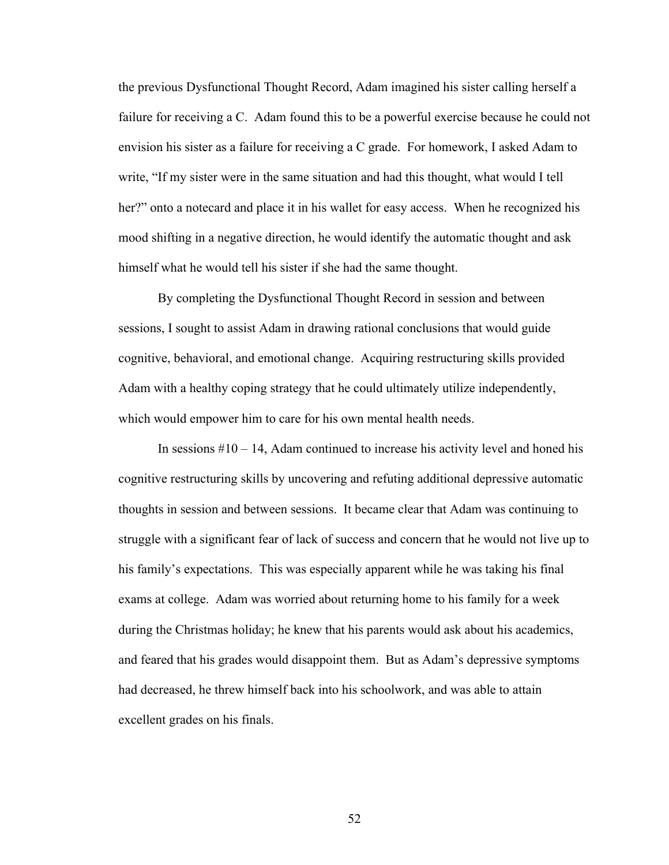the previous Dysfunctional Thought Record, Adam imagined his sister calling herself a failure for receiving a C. Adam found this to be a powerful exercise because he could not envision his sister as a failure for receiving a C grade. For homework, I asked Adam to write, "If my sister were in the same situation and had this thought, what would I tell her?" onto a notecard and place it in his wallet for easy access. When he recognized his mood shifting in a negative direction, he would identify the automatic thought and ask himself what he would tell his sister if she had the same thought.

By completing the Dysfunctional Thought Record in session and between sessions, I sought to assist Adam in drawing rational conclusions that would guide cognitive, behavioral, and emotional change. Acquiring restructuring skills provided Adam with a healthy coping strategy that he could ultimately utilize independently, which would empower him to care for his own mental health needs.

In sessions  $#10 - 14$ , Adam continued to increase his activity level and honed his cognitive restructuring skills by uncovering and refuting additional depressive automatic thoughts in session and between sessions. It became clear that Adam was continuing to struggle with a significant fear of lack of success and concern that he would not live up to his family's expectations. This was especially apparent while he was taking his final exams at college. Adam was worried about returning home to his family for a week during the Christmas holiday; he knew that his parents would ask about his academics, and feared that his grades would disappoint them. But as Adam's depressive symptoms had decreased, he threw himself back into his schoolwork, and was able to attain excellent grades on his finals.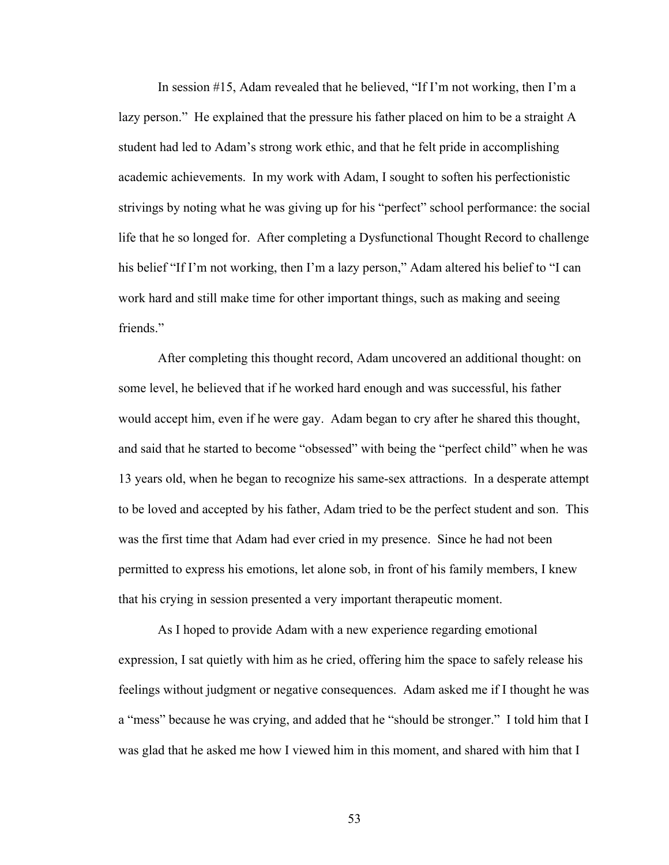In session #15, Adam revealed that he believed, "If I'm not working, then I'm a lazy person." He explained that the pressure his father placed on him to be a straight A student had led to Adam's strong work ethic, and that he felt pride in accomplishing academic achievements. In my work with Adam, I sought to soften his perfectionistic strivings by noting what he was giving up for his "perfect" school performance: the social life that he so longed for. After completing a Dysfunctional Thought Record to challenge his belief "If I'm not working, then I'm a lazy person," Adam altered his belief to "I can work hard and still make time for other important things, such as making and seeing friends."

After completing this thought record, Adam uncovered an additional thought: on some level, he believed that if he worked hard enough and was successful, his father would accept him, even if he were gay. Adam began to cry after he shared this thought, and said that he started to become "obsessed" with being the "perfect child" when he was 13 years old, when he began to recognize his same-sex attractions. In a desperate attempt to be loved and accepted by his father, Adam tried to be the perfect student and son. This was the first time that Adam had ever cried in my presence. Since he had not been permitted to express his emotions, let alone sob, in front of his family members, I knew that his crying in session presented a very important therapeutic moment.

As I hoped to provide Adam with a new experience regarding emotional expression, I sat quietly with him as he cried, offering him the space to safely release his feelings without judgment or negative consequences. Adam asked me if I thought he was a "mess" because he was crying, and added that he "should be stronger." I told him that I was glad that he asked me how I viewed him in this moment, and shared with him that I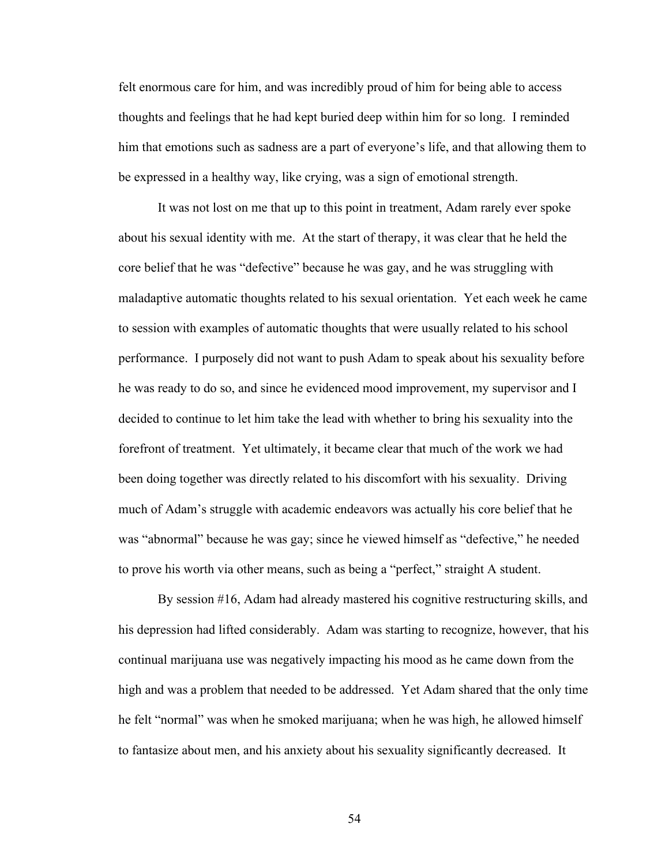felt enormous care for him, and was incredibly proud of him for being able to access thoughts and feelings that he had kept buried deep within him for so long. I reminded him that emotions such as sadness are a part of everyone's life, and that allowing them to be expressed in a healthy way, like crying, was a sign of emotional strength.

It was not lost on me that up to this point in treatment, Adam rarely ever spoke about his sexual identity with me. At the start of therapy, it was clear that he held the core belief that he was "defective" because he was gay, and he was struggling with maladaptive automatic thoughts related to his sexual orientation. Yet each week he came to session with examples of automatic thoughts that were usually related to his school performance. I purposely did not want to push Adam to speak about his sexuality before he was ready to do so, and since he evidenced mood improvement, my supervisor and I decided to continue to let him take the lead with whether to bring his sexuality into the forefront of treatment. Yet ultimately, it became clear that much of the work we had been doing together was directly related to his discomfort with his sexuality. Driving much of Adam's struggle with academic endeavors was actually his core belief that he was "abnormal" because he was gay; since he viewed himself as "defective," he needed to prove his worth via other means, such as being a "perfect," straight A student.

By session #16, Adam had already mastered his cognitive restructuring skills, and his depression had lifted considerably. Adam was starting to recognize, however, that his continual marijuana use was negatively impacting his mood as he came down from the high and was a problem that needed to be addressed. Yet Adam shared that the only time he felt "normal" was when he smoked marijuana; when he was high, he allowed himself to fantasize about men, and his anxiety about his sexuality significantly decreased. It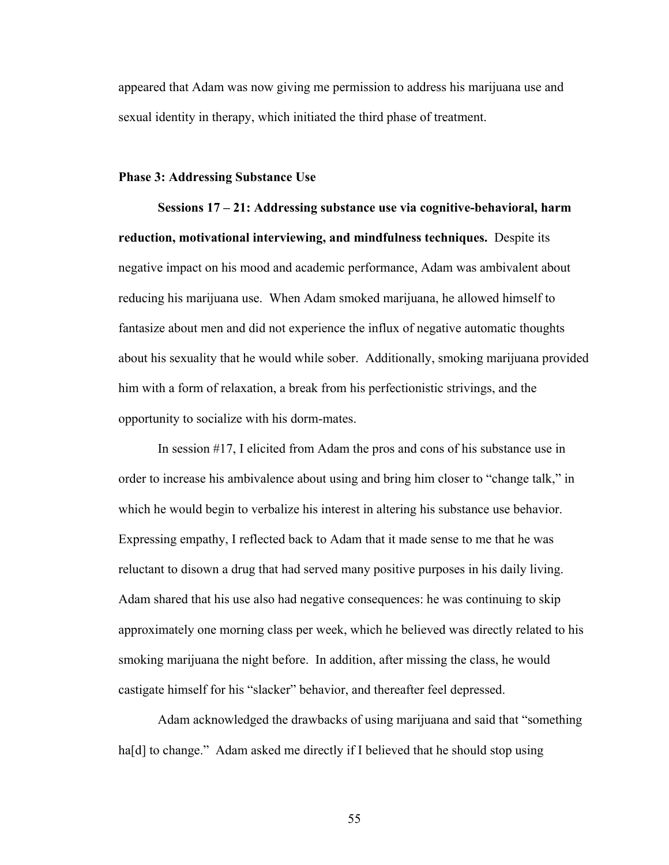appeared that Adam was now giving me permission to address his marijuana use and sexual identity in therapy, which initiated the third phase of treatment.

### **Phase 3: Addressing Substance Use**

**Sessions 17 – 21: Addressing substance use via cognitive-behavioral, harm reduction, motivational interviewing, and mindfulness techniques.** Despite its negative impact on his mood and academic performance, Adam was ambivalent about reducing his marijuana use. When Adam smoked marijuana, he allowed himself to fantasize about men and did not experience the influx of negative automatic thoughts about his sexuality that he would while sober. Additionally, smoking marijuana provided him with a form of relaxation, a break from his perfectionistic strivings, and the opportunity to socialize with his dorm-mates.

In session #17, I elicited from Adam the pros and cons of his substance use in order to increase his ambivalence about using and bring him closer to "change talk," in which he would begin to verbalize his interest in altering his substance use behavior. Expressing empathy, I reflected back to Adam that it made sense to me that he was reluctant to disown a drug that had served many positive purposes in his daily living. Adam shared that his use also had negative consequences: he was continuing to skip approximately one morning class per week, which he believed was directly related to his smoking marijuana the night before. In addition, after missing the class, he would castigate himself for his "slacker" behavior, and thereafter feel depressed.

Adam acknowledged the drawbacks of using marijuana and said that "something ha[d] to change." Adam asked me directly if I believed that he should stop using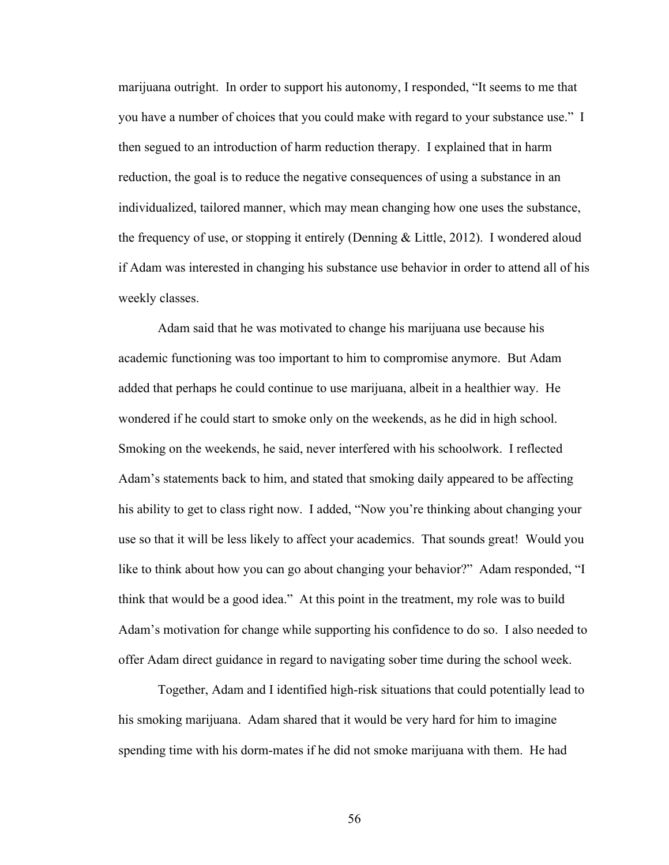marijuana outright. In order to support his autonomy, I responded, "It seems to me that you have a number of choices that you could make with regard to your substance use." I then segued to an introduction of harm reduction therapy. I explained that in harm reduction, the goal is to reduce the negative consequences of using a substance in an individualized, tailored manner, which may mean changing how one uses the substance, the frequency of use, or stopping it entirely (Denning & Little, 2012). I wondered aloud if Adam was interested in changing his substance use behavior in order to attend all of his weekly classes.

Adam said that he was motivated to change his marijuana use because his academic functioning was too important to him to compromise anymore. But Adam added that perhaps he could continue to use marijuana, albeit in a healthier way. He wondered if he could start to smoke only on the weekends, as he did in high school. Smoking on the weekends, he said, never interfered with his schoolwork. I reflected Adam's statements back to him, and stated that smoking daily appeared to be affecting his ability to get to class right now. I added, "Now you're thinking about changing your use so that it will be less likely to affect your academics. That sounds great! Would you like to think about how you can go about changing your behavior?" Adam responded, "I think that would be a good idea." At this point in the treatment, my role was to build Adam's motivation for change while supporting his confidence to do so. I also needed to offer Adam direct guidance in regard to navigating sober time during the school week.

Together, Adam and I identified high-risk situations that could potentially lead to his smoking marijuana. Adam shared that it would be very hard for him to imagine spending time with his dorm-mates if he did not smoke marijuana with them. He had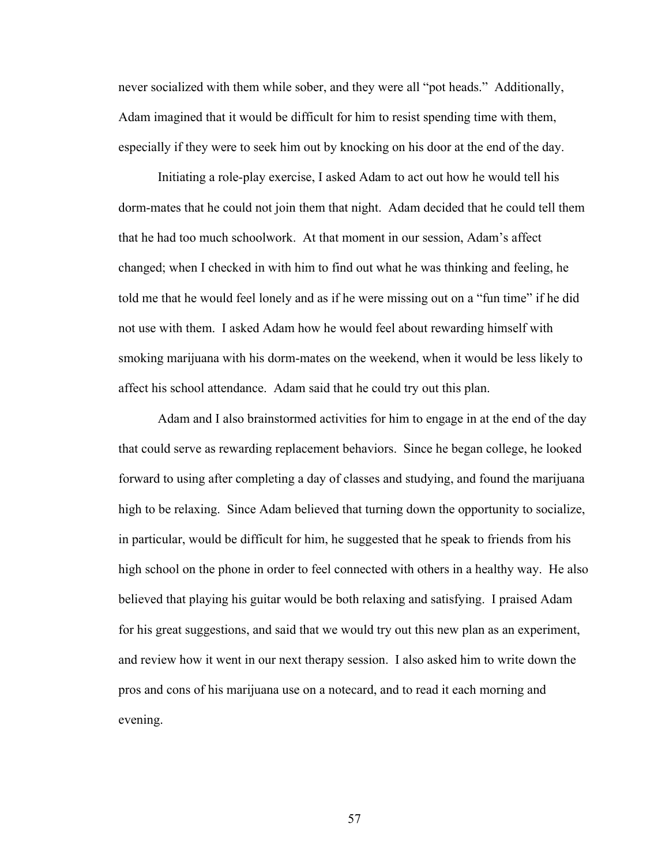never socialized with them while sober, and they were all "pot heads." Additionally, Adam imagined that it would be difficult for him to resist spending time with them, especially if they were to seek him out by knocking on his door at the end of the day.

Initiating a role-play exercise, I asked Adam to act out how he would tell his dorm-mates that he could not join them that night. Adam decided that he could tell them that he had too much schoolwork. At that moment in our session, Adam's affect changed; when I checked in with him to find out what he was thinking and feeling, he told me that he would feel lonely and as if he were missing out on a "fun time" if he did not use with them. I asked Adam how he would feel about rewarding himself with smoking marijuana with his dorm-mates on the weekend, when it would be less likely to affect his school attendance. Adam said that he could try out this plan.

Adam and I also brainstormed activities for him to engage in at the end of the day that could serve as rewarding replacement behaviors. Since he began college, he looked forward to using after completing a day of classes and studying, and found the marijuana high to be relaxing. Since Adam believed that turning down the opportunity to socialize, in particular, would be difficult for him, he suggested that he speak to friends from his high school on the phone in order to feel connected with others in a healthy way. He also believed that playing his guitar would be both relaxing and satisfying. I praised Adam for his great suggestions, and said that we would try out this new plan as an experiment, and review how it went in our next therapy session. I also asked him to write down the pros and cons of his marijuana use on a notecard, and to read it each morning and evening.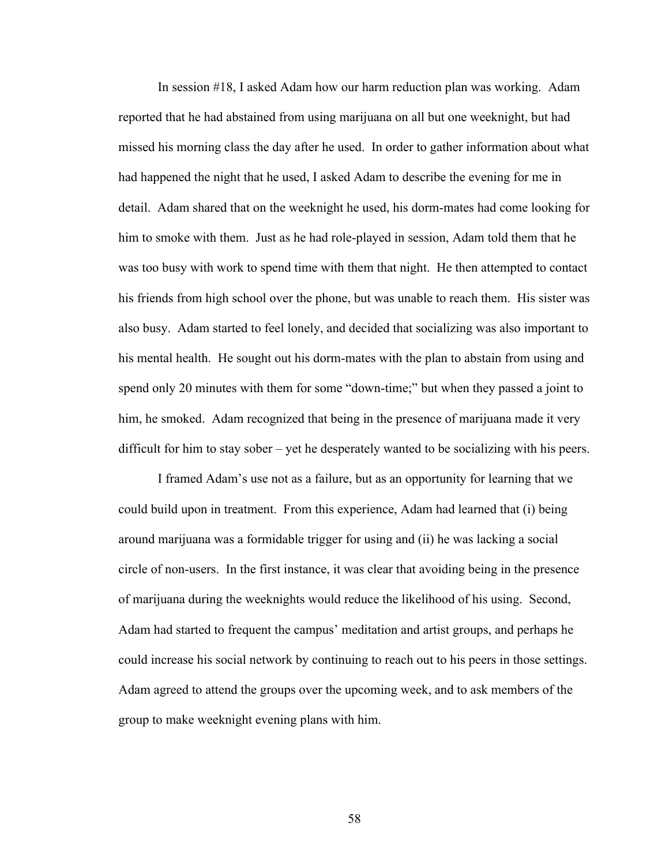In session #18, I asked Adam how our harm reduction plan was working. Adam reported that he had abstained from using marijuana on all but one weeknight, but had missed his morning class the day after he used. In order to gather information about what had happened the night that he used, I asked Adam to describe the evening for me in detail. Adam shared that on the weeknight he used, his dorm-mates had come looking for him to smoke with them. Just as he had role-played in session, Adam told them that he was too busy with work to spend time with them that night. He then attempted to contact his friends from high school over the phone, but was unable to reach them. His sister was also busy. Adam started to feel lonely, and decided that socializing was also important to his mental health. He sought out his dorm-mates with the plan to abstain from using and spend only 20 minutes with them for some "down-time;" but when they passed a joint to him, he smoked. Adam recognized that being in the presence of marijuana made it very difficult for him to stay sober – yet he desperately wanted to be socializing with his peers.

I framed Adam's use not as a failure, but as an opportunity for learning that we could build upon in treatment. From this experience, Adam had learned that (i) being around marijuana was a formidable trigger for using and (ii) he was lacking a social circle of non-users. In the first instance, it was clear that avoiding being in the presence of marijuana during the weeknights would reduce the likelihood of his using. Second, Adam had started to frequent the campus' meditation and artist groups, and perhaps he could increase his social network by continuing to reach out to his peers in those settings. Adam agreed to attend the groups over the upcoming week, and to ask members of the group to make weeknight evening plans with him.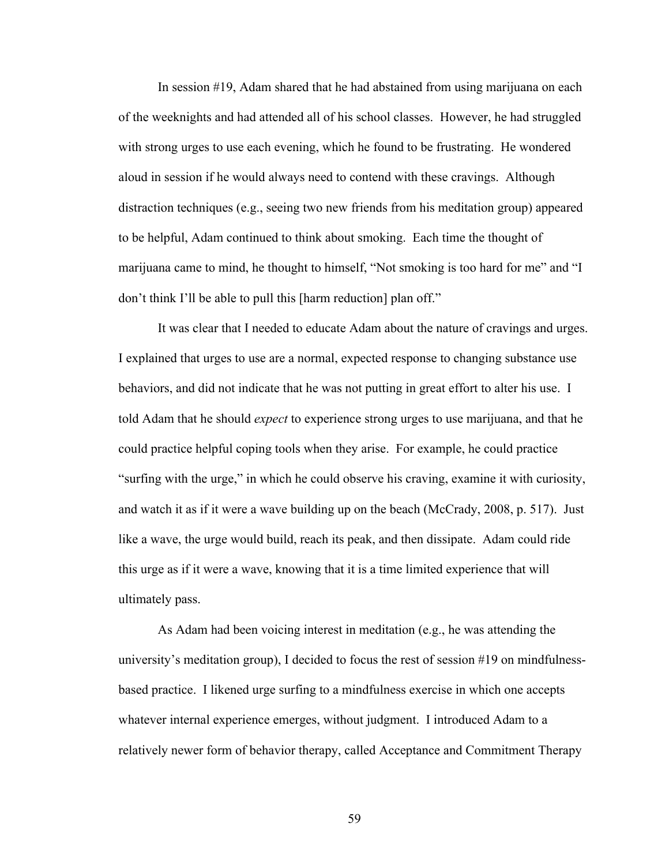In session #19, Adam shared that he had abstained from using marijuana on each of the weeknights and had attended all of his school classes. However, he had struggled with strong urges to use each evening, which he found to be frustrating. He wondered aloud in session if he would always need to contend with these cravings. Although distraction techniques (e.g., seeing two new friends from his meditation group) appeared to be helpful, Adam continued to think about smoking. Each time the thought of marijuana came to mind, he thought to himself, "Not smoking is too hard for me" and "I don't think I'll be able to pull this [harm reduction] plan off."

It was clear that I needed to educate Adam about the nature of cravings and urges. I explained that urges to use are a normal, expected response to changing substance use behaviors, and did not indicate that he was not putting in great effort to alter his use. I told Adam that he should *expect* to experience strong urges to use marijuana, and that he could practice helpful coping tools when they arise. For example, he could practice "surfing with the urge," in which he could observe his craving, examine it with curiosity, and watch it as if it were a wave building up on the beach (McCrady, 2008, p. 517). Just like a wave, the urge would build, reach its peak, and then dissipate. Adam could ride this urge as if it were a wave, knowing that it is a time limited experience that will ultimately pass.

As Adam had been voicing interest in meditation (e.g., he was attending the university's meditation group), I decided to focus the rest of session #19 on mindfulnessbased practice. I likened urge surfing to a mindfulness exercise in which one accepts whatever internal experience emerges, without judgment. I introduced Adam to a relatively newer form of behavior therapy, called Acceptance and Commitment Therapy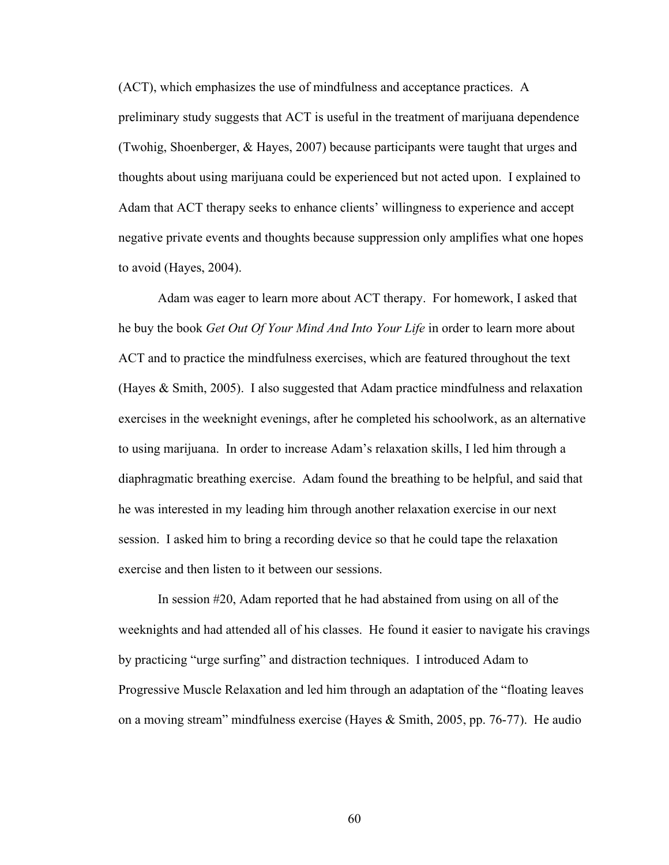(ACT), which emphasizes the use of mindfulness and acceptance practices. A preliminary study suggests that ACT is useful in the treatment of marijuana dependence (Twohig, Shoenberger, & Hayes, 2007) because participants were taught that urges and thoughts about using marijuana could be experienced but not acted upon. I explained to Adam that ACT therapy seeks to enhance clients' willingness to experience and accept negative private events and thoughts because suppression only amplifies what one hopes to avoid (Hayes, 2004).

Adam was eager to learn more about ACT therapy. For homework, I asked that he buy the book *Get Out Of Your Mind And Into Your Life* in order to learn more about ACT and to practice the mindfulness exercises, which are featured throughout the text (Hayes & Smith, 2005). I also suggested that Adam practice mindfulness and relaxation exercises in the weeknight evenings, after he completed his schoolwork, as an alternative to using marijuana. In order to increase Adam's relaxation skills, I led him through a diaphragmatic breathing exercise. Adam found the breathing to be helpful, and said that he was interested in my leading him through another relaxation exercise in our next session. I asked him to bring a recording device so that he could tape the relaxation exercise and then listen to it between our sessions.

In session #20, Adam reported that he had abstained from using on all of the weeknights and had attended all of his classes. He found it easier to navigate his cravings by practicing "urge surfing" and distraction techniques. I introduced Adam to Progressive Muscle Relaxation and led him through an adaptation of the "floating leaves on a moving stream" mindfulness exercise (Hayes & Smith, 2005, pp. 76-77). He audio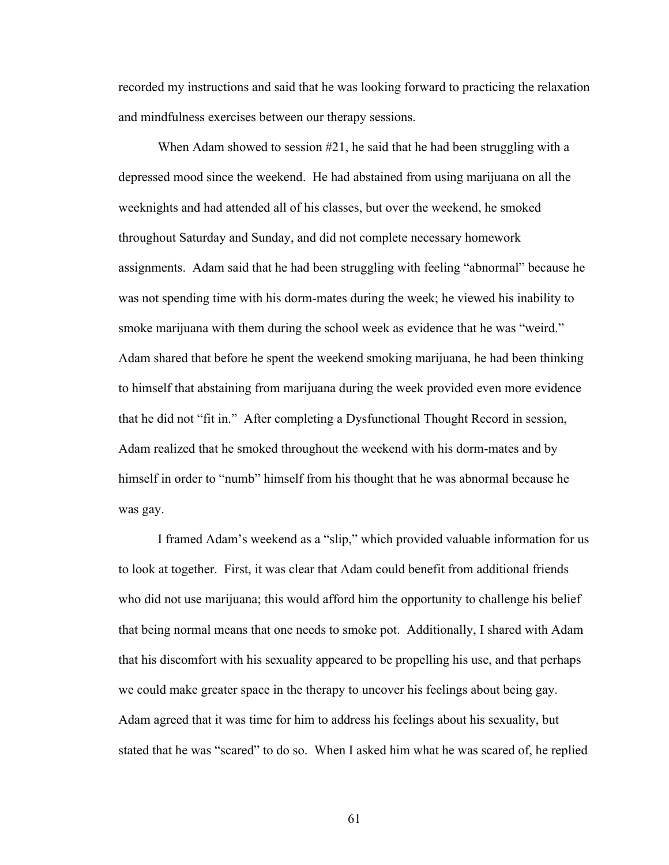recorded my instructions and said that he was looking forward to practicing the relaxation and mindfulness exercises between our therapy sessions.

When Adam showed to session #21, he said that he had been struggling with a depressed mood since the weekend. He had abstained from using marijuana on all the weeknights and had attended all of his classes, but over the weekend, he smoked throughout Saturday and Sunday, and did not complete necessary homework assignments. Adam said that he had been struggling with feeling "abnormal" because he was not spending time with his dorm-mates during the week; he viewed his inability to smoke marijuana with them during the school week as evidence that he was "weird." Adam shared that before he spent the weekend smoking marijuana, he had been thinking to himself that abstaining from marijuana during the week provided even more evidence that he did not "fit in." After completing a Dysfunctional Thought Record in session, Adam realized that he smoked throughout the weekend with his dorm-mates and by himself in order to "numb" himself from his thought that he was abnormal because he was gay.

I framed Adam's weekend as a "slip," which provided valuable information for us to look at together. First, it was clear that Adam could benefit from additional friends who did not use marijuana; this would afford him the opportunity to challenge his belief that being normal means that one needs to smoke pot. Additionally, I shared with Adam that his discomfort with his sexuality appeared to be propelling his use, and that perhaps we could make greater space in the therapy to uncover his feelings about being gay. Adam agreed that it was time for him to address his feelings about his sexuality, but stated that he was "scared" to do so. When I asked him what he was scared of, he replied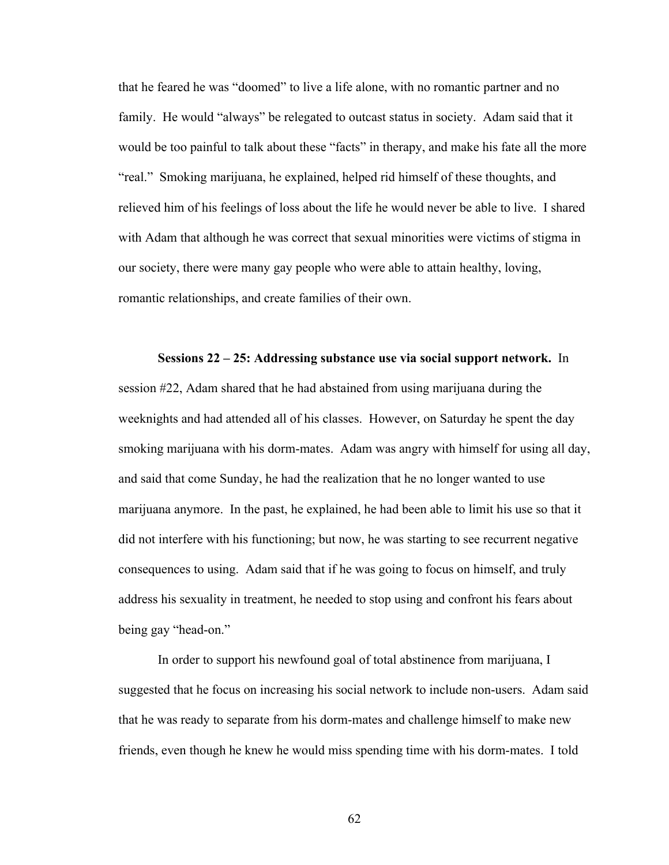that he feared he was "doomed" to live a life alone, with no romantic partner and no family. He would "always" be relegated to outcast status in society. Adam said that it would be too painful to talk about these "facts" in therapy, and make his fate all the more "real." Smoking marijuana, he explained, helped rid himself of these thoughts, and relieved him of his feelings of loss about the life he would never be able to live. I shared with Adam that although he was correct that sexual minorities were victims of stigma in our society, there were many gay people who were able to attain healthy, loving, romantic relationships, and create families of their own.

**Sessions 22 – 25: Addressing substance use via social support network.** In session #22, Adam shared that he had abstained from using marijuana during the weeknights and had attended all of his classes. However, on Saturday he spent the day smoking marijuana with his dorm-mates. Adam was angry with himself for using all day, and said that come Sunday, he had the realization that he no longer wanted to use marijuana anymore. In the past, he explained, he had been able to limit his use so that it did not interfere with his functioning; but now, he was starting to see recurrent negative consequences to using. Adam said that if he was going to focus on himself, and truly address his sexuality in treatment, he needed to stop using and confront his fears about being gay "head-on."

In order to support his newfound goal of total abstinence from marijuana, I suggested that he focus on increasing his social network to include non-users. Adam said that he was ready to separate from his dorm-mates and challenge himself to make new friends, even though he knew he would miss spending time with his dorm-mates. I told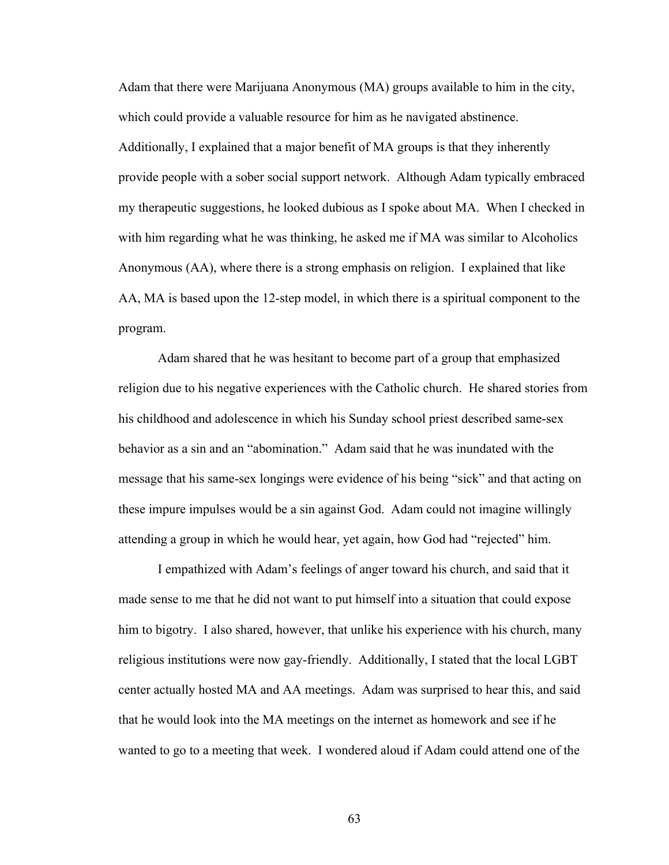Adam that there were Marijuana Anonymous (MA) groups available to him in the city, which could provide a valuable resource for him as he navigated abstinence. Additionally, I explained that a major benefit of MA groups is that they inherently provide people with a sober social support network. Although Adam typically embraced my therapeutic suggestions, he looked dubious as I spoke about MA. When I checked in with him regarding what he was thinking, he asked me if MA was similar to Alcoholics Anonymous (AA), where there is a strong emphasis on religion. I explained that like AA, MA is based upon the 12-step model, in which there is a spiritual component to the program.

Adam shared that he was hesitant to become part of a group that emphasized religion due to his negative experiences with the Catholic church. He shared stories from his childhood and adolescence in which his Sunday school priest described same-sex behavior as a sin and an "abomination." Adam said that he was inundated with the message that his same-sex longings were evidence of his being "sick" and that acting on these impure impulses would be a sin against God. Adam could not imagine willingly attending a group in which he would hear, yet again, how God had "rejected" him.

I empathized with Adam's feelings of anger toward his church, and said that it made sense to me that he did not want to put himself into a situation that could expose him to bigotry. I also shared, however, that unlike his experience with his church, many religious institutions were now gay-friendly. Additionally, I stated that the local LGBT center actually hosted MA and AA meetings. Adam was surprised to hear this, and said that he would look into the MA meetings on the internet as homework and see if he wanted to go to a meeting that week. I wondered aloud if Adam could attend one of the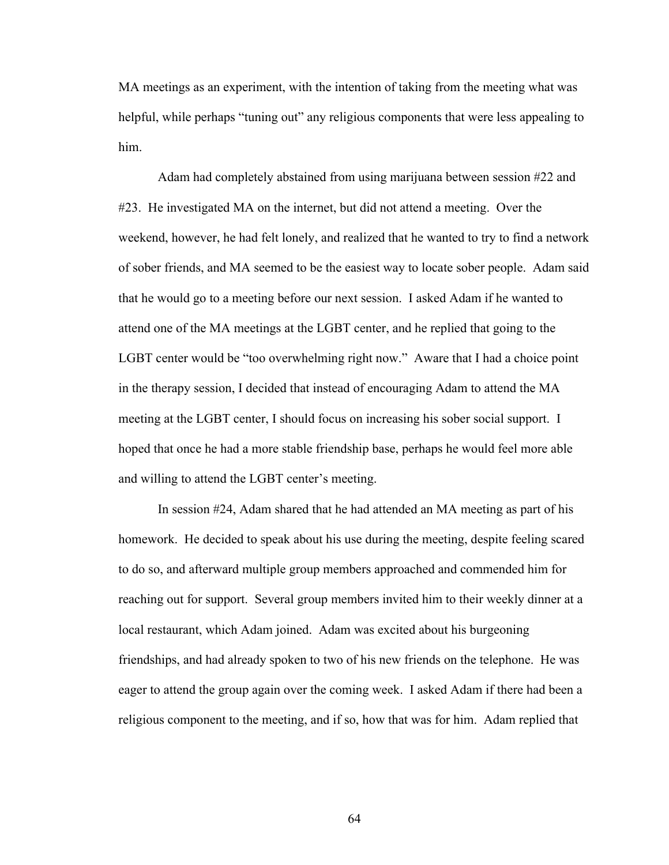MA meetings as an experiment, with the intention of taking from the meeting what was helpful, while perhaps "tuning out" any religious components that were less appealing to him.

Adam had completely abstained from using marijuana between session #22 and #23. He investigated MA on the internet, but did not attend a meeting. Over the weekend, however, he had felt lonely, and realized that he wanted to try to find a network of sober friends, and MA seemed to be the easiest way to locate sober people. Adam said that he would go to a meeting before our next session. I asked Adam if he wanted to attend one of the MA meetings at the LGBT center, and he replied that going to the LGBT center would be "too overwhelming right now." Aware that I had a choice point in the therapy session, I decided that instead of encouraging Adam to attend the MA meeting at the LGBT center, I should focus on increasing his sober social support. I hoped that once he had a more stable friendship base, perhaps he would feel more able and willing to attend the LGBT center's meeting.

In session #24, Adam shared that he had attended an MA meeting as part of his homework. He decided to speak about his use during the meeting, despite feeling scared to do so, and afterward multiple group members approached and commended him for reaching out for support. Several group members invited him to their weekly dinner at a local restaurant, which Adam joined. Adam was excited about his burgeoning friendships, and had already spoken to two of his new friends on the telephone. He was eager to attend the group again over the coming week. I asked Adam if there had been a religious component to the meeting, and if so, how that was for him. Adam replied that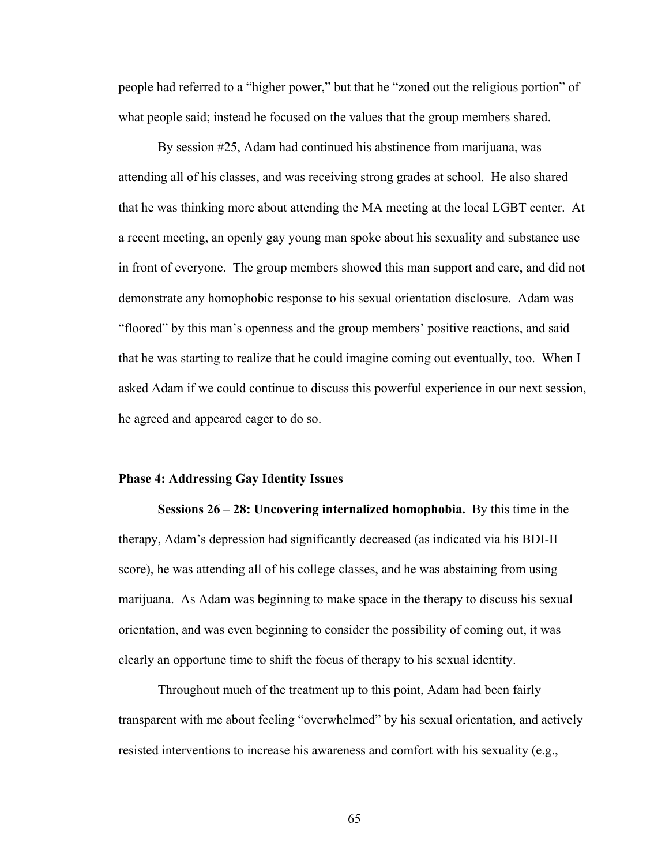people had referred to a "higher power," but that he "zoned out the religious portion" of what people said; instead he focused on the values that the group members shared.

By session #25, Adam had continued his abstinence from marijuana, was attending all of his classes, and was receiving strong grades at school. He also shared that he was thinking more about attending the MA meeting at the local LGBT center. At a recent meeting, an openly gay young man spoke about his sexuality and substance use in front of everyone. The group members showed this man support and care, and did not demonstrate any homophobic response to his sexual orientation disclosure. Adam was "floored" by this man's openness and the group members' positive reactions, and said that he was starting to realize that he could imagine coming out eventually, too. When I asked Adam if we could continue to discuss this powerful experience in our next session, he agreed and appeared eager to do so.

#### **Phase 4: Addressing Gay Identity Issues**

**Sessions 26 – 28: Uncovering internalized homophobia.** By this time in the therapy, Adam's depression had significantly decreased (as indicated via his BDI-II score), he was attending all of his college classes, and he was abstaining from using marijuana. As Adam was beginning to make space in the therapy to discuss his sexual orientation, and was even beginning to consider the possibility of coming out, it was clearly an opportune time to shift the focus of therapy to his sexual identity.

Throughout much of the treatment up to this point, Adam had been fairly transparent with me about feeling "overwhelmed" by his sexual orientation, and actively resisted interventions to increase his awareness and comfort with his sexuality (e.g.,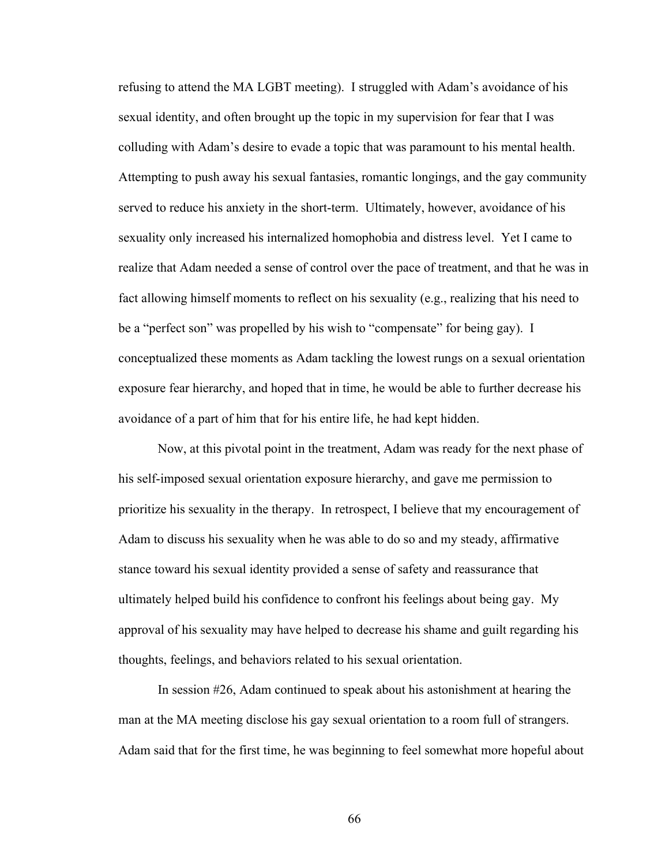refusing to attend the MA LGBT meeting). I struggled with Adam's avoidance of his sexual identity, and often brought up the topic in my supervision for fear that I was colluding with Adam's desire to evade a topic that was paramount to his mental health. Attempting to push away his sexual fantasies, romantic longings, and the gay community served to reduce his anxiety in the short-term. Ultimately, however, avoidance of his sexuality only increased his internalized homophobia and distress level. Yet I came to realize that Adam needed a sense of control over the pace of treatment, and that he was in fact allowing himself moments to reflect on his sexuality (e.g., realizing that his need to be a "perfect son" was propelled by his wish to "compensate" for being gay). I conceptualized these moments as Adam tackling the lowest rungs on a sexual orientation exposure fear hierarchy, and hoped that in time, he would be able to further decrease his avoidance of a part of him that for his entire life, he had kept hidden.

Now, at this pivotal point in the treatment, Adam was ready for the next phase of his self-imposed sexual orientation exposure hierarchy, and gave me permission to prioritize his sexuality in the therapy. In retrospect, I believe that my encouragement of Adam to discuss his sexuality when he was able to do so and my steady, affirmative stance toward his sexual identity provided a sense of safety and reassurance that ultimately helped build his confidence to confront his feelings about being gay. My approval of his sexuality may have helped to decrease his shame and guilt regarding his thoughts, feelings, and behaviors related to his sexual orientation.

In session #26, Adam continued to speak about his astonishment at hearing the man at the MA meeting disclose his gay sexual orientation to a room full of strangers. Adam said that for the first time, he was beginning to feel somewhat more hopeful about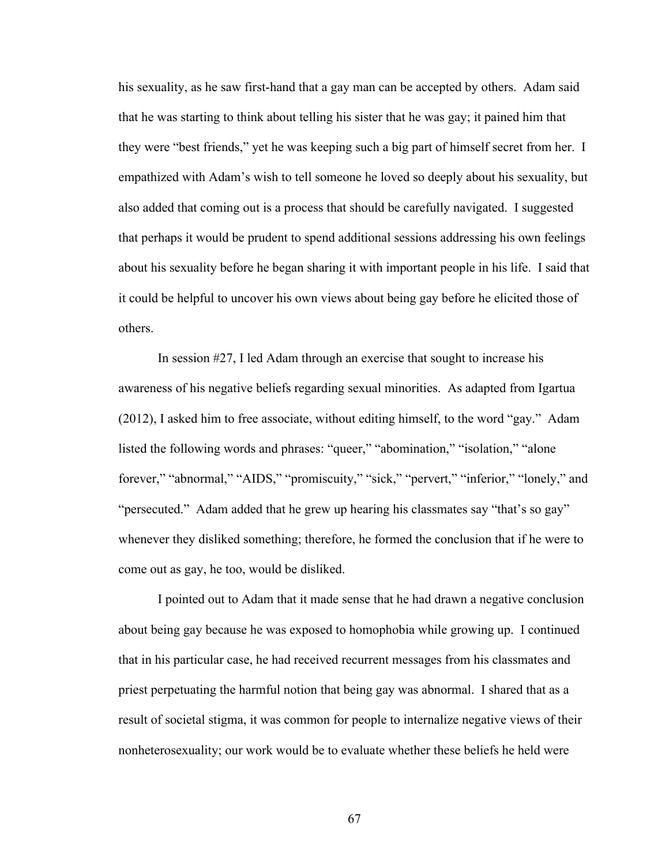his sexuality, as he saw first-hand that a gay man can be accepted by others. Adam said that he was starting to think about telling his sister that he was gay; it pained him that they were "best friends," yet he was keeping such a big part of himself secret from her. I empathized with Adam's wish to tell someone he loved so deeply about his sexuality, but also added that coming out is a process that should be carefully navigated. I suggested that perhaps it would be prudent to spend additional sessions addressing his own feelings about his sexuality before he began sharing it with important people in his life. I said that it could be helpful to uncover his own views about being gay before he elicited those of others.

In session #27, I led Adam through an exercise that sought to increase his awareness of his negative beliefs regarding sexual minorities. As adapted from Igartua (2012), I asked him to free associate, without editing himself, to the word "gay." Adam listed the following words and phrases: "queer," "abomination," "isolation," "alone forever," "abnormal," "AIDS," "promiscuity," "sick," "pervert," "inferior," "lonely," and "persecuted." Adam added that he grew up hearing his classmates say "that's so gay" whenever they disliked something; therefore, he formed the conclusion that if he were to come out as gay, he too, would be disliked.

I pointed out to Adam that it made sense that he had drawn a negative conclusion about being gay because he was exposed to homophobia while growing up. I continued that in his particular case, he had received recurrent messages from his classmates and priest perpetuating the harmful notion that being gay was abnormal. I shared that as a result of societal stigma, it was common for people to internalize negative views of their nonheterosexuality; our work would be to evaluate whether these beliefs he held were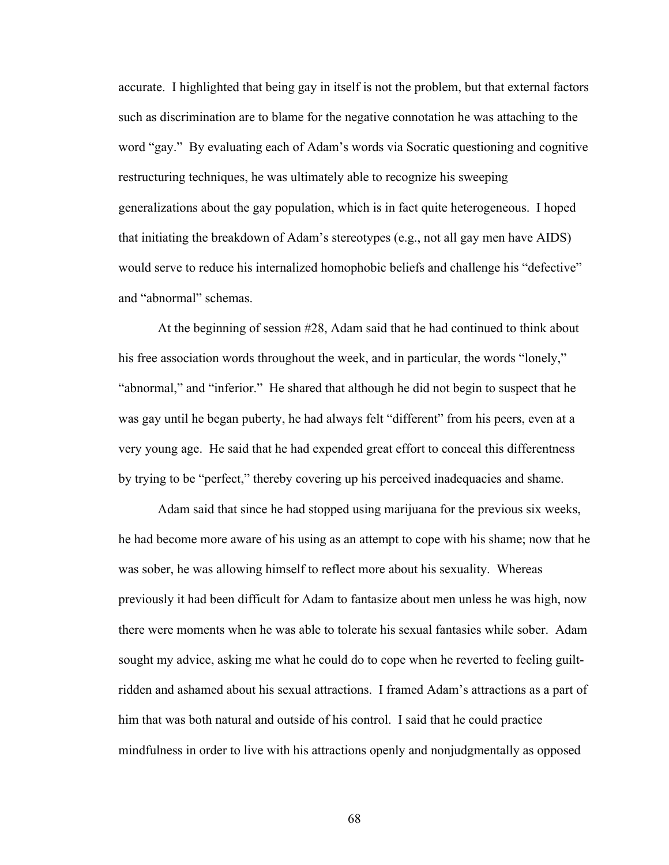accurate. I highlighted that being gay in itself is not the problem, but that external factors such as discrimination are to blame for the negative connotation he was attaching to the word "gay." By evaluating each of Adam's words via Socratic questioning and cognitive restructuring techniques, he was ultimately able to recognize his sweeping generalizations about the gay population, which is in fact quite heterogeneous. I hoped that initiating the breakdown of Adam's stereotypes (e.g., not all gay men have AIDS) would serve to reduce his internalized homophobic beliefs and challenge his "defective" and "abnormal" schemas.

At the beginning of session #28, Adam said that he had continued to think about his free association words throughout the week, and in particular, the words "lonely," "abnormal," and "inferior." He shared that although he did not begin to suspect that he was gay until he began puberty, he had always felt "different" from his peers, even at a very young age. He said that he had expended great effort to conceal this differentness by trying to be "perfect," thereby covering up his perceived inadequacies and shame.

Adam said that since he had stopped using marijuana for the previous six weeks, he had become more aware of his using as an attempt to cope with his shame; now that he was sober, he was allowing himself to reflect more about his sexuality. Whereas previously it had been difficult for Adam to fantasize about men unless he was high, now there were moments when he was able to tolerate his sexual fantasies while sober. Adam sought my advice, asking me what he could do to cope when he reverted to feeling guiltridden and ashamed about his sexual attractions. I framed Adam's attractions as a part of him that was both natural and outside of his control. I said that he could practice mindfulness in order to live with his attractions openly and nonjudgmentally as opposed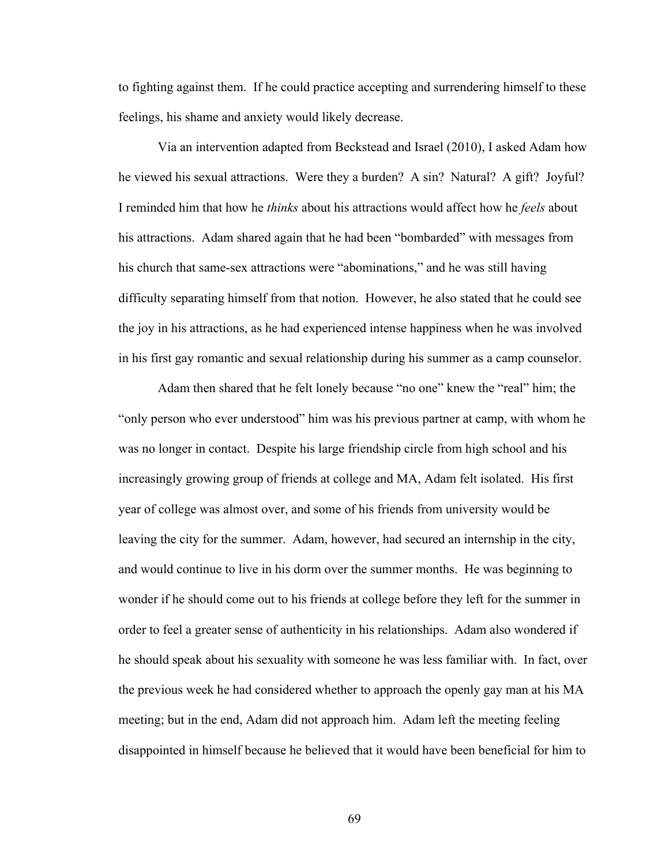to fighting against them. If he could practice accepting and surrendering himself to these feelings, his shame and anxiety would likely decrease.

Via an intervention adapted from Beckstead and Israel (2010), I asked Adam how he viewed his sexual attractions. Were they a burden? A sin? Natural? A gift? Joyful? I reminded him that how he *thinks* about his attractions would affect how he *feels* about his attractions. Adam shared again that he had been "bombarded" with messages from his church that same-sex attractions were "abominations," and he was still having difficulty separating himself from that notion. However, he also stated that he could see the joy in his attractions, as he had experienced intense happiness when he was involved in his first gay romantic and sexual relationship during his summer as a camp counselor.

Adam then shared that he felt lonely because "no one" knew the "real" him; the "only person who ever understood" him was his previous partner at camp, with whom he was no longer in contact. Despite his large friendship circle from high school and his increasingly growing group of friends at college and MA, Adam felt isolated. His first year of college was almost over, and some of his friends from university would be leaving the city for the summer. Adam, however, had secured an internship in the city, and would continue to live in his dorm over the summer months. He was beginning to wonder if he should come out to his friends at college before they left for the summer in order to feel a greater sense of authenticity in his relationships. Adam also wondered if he should speak about his sexuality with someone he was less familiar with. In fact, over the previous week he had considered whether to approach the openly gay man at his MA meeting; but in the end, Adam did not approach him. Adam left the meeting feeling disappointed in himself because he believed that it would have been beneficial for him to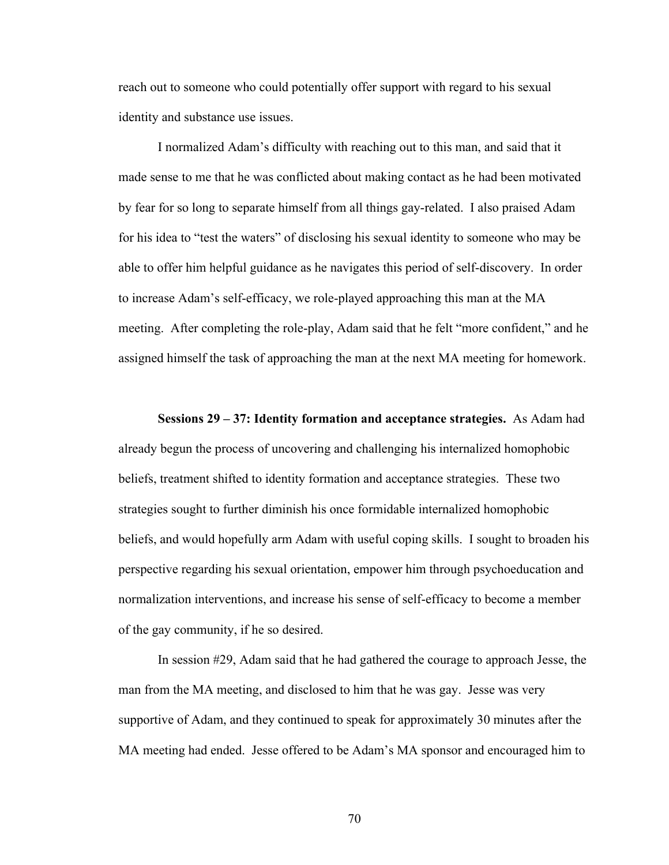reach out to someone who could potentially offer support with regard to his sexual identity and substance use issues.

I normalized Adam's difficulty with reaching out to this man, and said that it made sense to me that he was conflicted about making contact as he had been motivated by fear for so long to separate himself from all things gay-related. I also praised Adam for his idea to "test the waters" of disclosing his sexual identity to someone who may be able to offer him helpful guidance as he navigates this period of self-discovery. In order to increase Adam's self-efficacy, we role-played approaching this man at the MA meeting. After completing the role-play, Adam said that he felt "more confident," and he assigned himself the task of approaching the man at the next MA meeting for homework.

**Sessions 29 – 37: Identity formation and acceptance strategies.** As Adam had already begun the process of uncovering and challenging his internalized homophobic beliefs, treatment shifted to identity formation and acceptance strategies. These two strategies sought to further diminish his once formidable internalized homophobic beliefs, and would hopefully arm Adam with useful coping skills. I sought to broaden his perspective regarding his sexual orientation, empower him through psychoeducation and normalization interventions, and increase his sense of self-efficacy to become a member of the gay community, if he so desired.

In session #29, Adam said that he had gathered the courage to approach Jesse, the man from the MA meeting, and disclosed to him that he was gay. Jesse was very supportive of Adam, and they continued to speak for approximately 30 minutes after the MA meeting had ended. Jesse offered to be Adam's MA sponsor and encouraged him to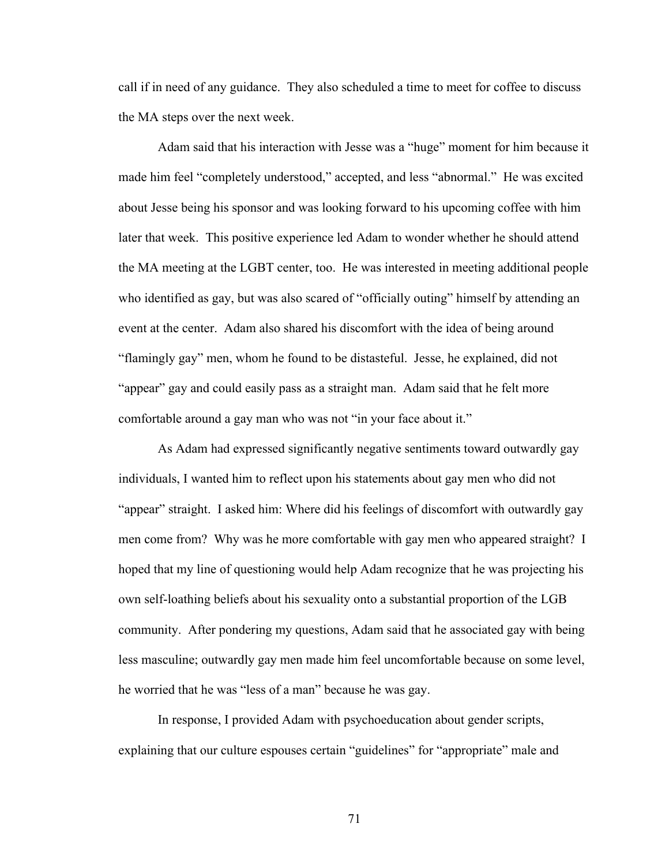call if in need of any guidance. They also scheduled a time to meet for coffee to discuss the MA steps over the next week.

Adam said that his interaction with Jesse was a "huge" moment for him because it made him feel "completely understood," accepted, and less "abnormal." He was excited about Jesse being his sponsor and was looking forward to his upcoming coffee with him later that week. This positive experience led Adam to wonder whether he should attend the MA meeting at the LGBT center, too. He was interested in meeting additional people who identified as gay, but was also scared of "officially outing" himself by attending an event at the center. Adam also shared his discomfort with the idea of being around "flamingly gay" men, whom he found to be distasteful. Jesse, he explained, did not "appear" gay and could easily pass as a straight man. Adam said that he felt more comfortable around a gay man who was not "in your face about it."

As Adam had expressed significantly negative sentiments toward outwardly gay individuals, I wanted him to reflect upon his statements about gay men who did not "appear" straight. I asked him: Where did his feelings of discomfort with outwardly gay men come from? Why was he more comfortable with gay men who appeared straight? I hoped that my line of questioning would help Adam recognize that he was projecting his own self-loathing beliefs about his sexuality onto a substantial proportion of the LGB community. After pondering my questions, Adam said that he associated gay with being less masculine; outwardly gay men made him feel uncomfortable because on some level, he worried that he was "less of a man" because he was gay.

In response, I provided Adam with psychoeducation about gender scripts, explaining that our culture espouses certain "guidelines" for "appropriate" male and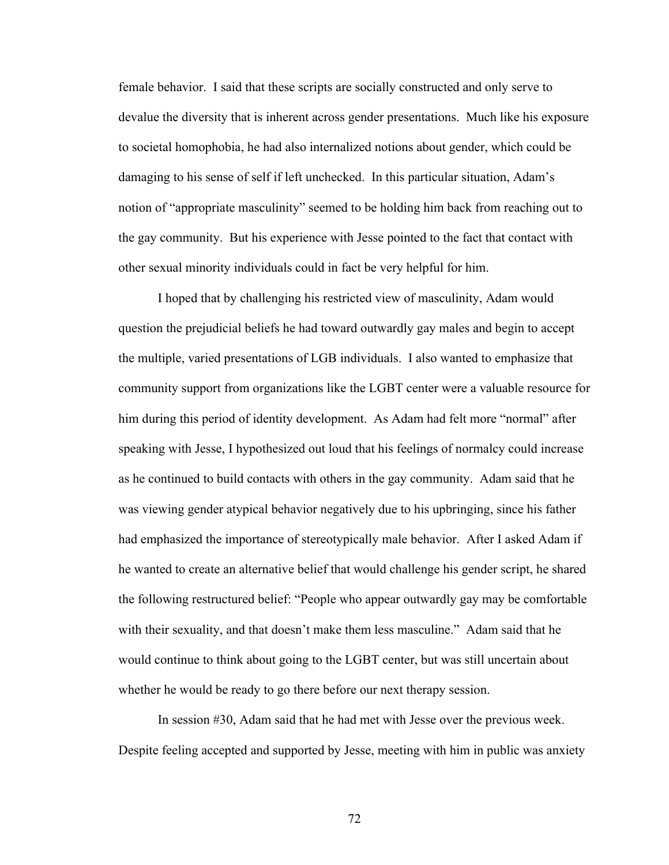female behavior. I said that these scripts are socially constructed and only serve to devalue the diversity that is inherent across gender presentations. Much like his exposure to societal homophobia, he had also internalized notions about gender, which could be damaging to his sense of self if left unchecked. In this particular situation, Adam's notion of "appropriate masculinity" seemed to be holding him back from reaching out to the gay community. But his experience with Jesse pointed to the fact that contact with other sexual minority individuals could in fact be very helpful for him.

I hoped that by challenging his restricted view of masculinity, Adam would question the prejudicial beliefs he had toward outwardly gay males and begin to accept the multiple, varied presentations of LGB individuals. I also wanted to emphasize that community support from organizations like the LGBT center were a valuable resource for him during this period of identity development. As Adam had felt more "normal" after speaking with Jesse, I hypothesized out loud that his feelings of normalcy could increase as he continued to build contacts with others in the gay community. Adam said that he was viewing gender atypical behavior negatively due to his upbringing, since his father had emphasized the importance of stereotypically male behavior. After I asked Adam if he wanted to create an alternative belief that would challenge his gender script, he shared the following restructured belief: "People who appear outwardly gay may be comfortable with their sexuality, and that doesn't make them less masculine." Adam said that he would continue to think about going to the LGBT center, but was still uncertain about whether he would be ready to go there before our next therapy session.

In session #30, Adam said that he had met with Jesse over the previous week. Despite feeling accepted and supported by Jesse, meeting with him in public was anxiety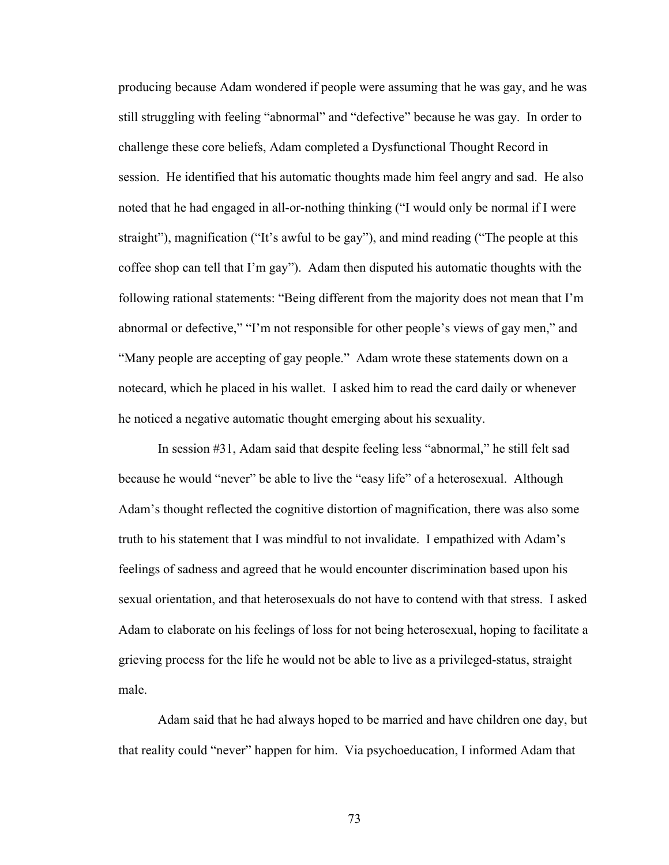producing because Adam wondered if people were assuming that he was gay, and he was still struggling with feeling "abnormal" and "defective" because he was gay. In order to challenge these core beliefs, Adam completed a Dysfunctional Thought Record in session. He identified that his automatic thoughts made him feel angry and sad. He also noted that he had engaged in all-or-nothing thinking ("I would only be normal if I were straight"), magnification ("It's awful to be gay"), and mind reading ("The people at this coffee shop can tell that I'm gay"). Adam then disputed his automatic thoughts with the following rational statements: "Being different from the majority does not mean that I'm abnormal or defective," "I'm not responsible for other people's views of gay men," and "Many people are accepting of gay people." Adam wrote these statements down on a notecard, which he placed in his wallet. I asked him to read the card daily or whenever he noticed a negative automatic thought emerging about his sexuality.

In session #31, Adam said that despite feeling less "abnormal," he still felt sad because he would "never" be able to live the "easy life" of a heterosexual. Although Adam's thought reflected the cognitive distortion of magnification, there was also some truth to his statement that I was mindful to not invalidate. I empathized with Adam's feelings of sadness and agreed that he would encounter discrimination based upon his sexual orientation, and that heterosexuals do not have to contend with that stress. I asked Adam to elaborate on his feelings of loss for not being heterosexual, hoping to facilitate a grieving process for the life he would not be able to live as a privileged-status, straight male.

Adam said that he had always hoped to be married and have children one day, but that reality could "never" happen for him. Via psychoeducation, I informed Adam that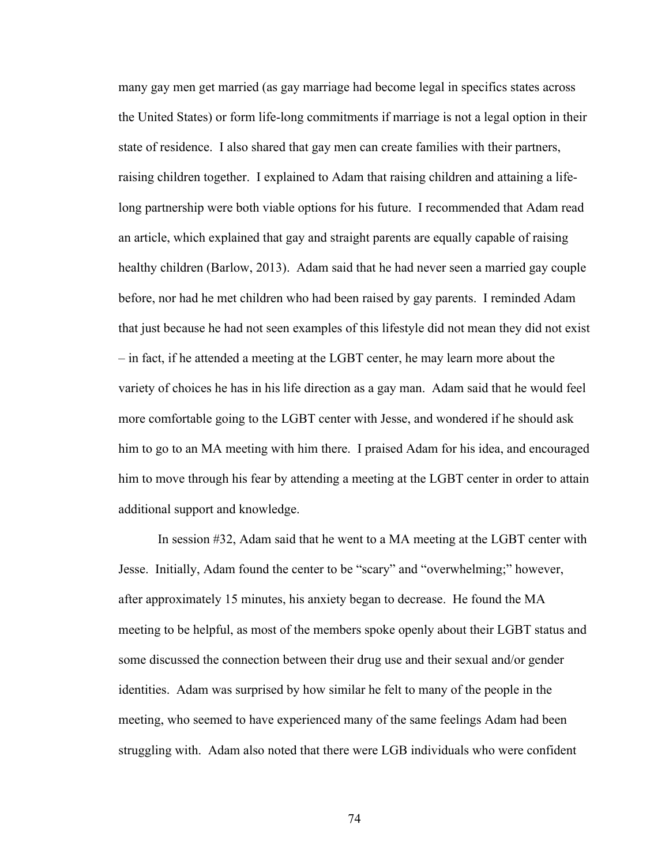many gay men get married (as gay marriage had become legal in specifics states across the United States) or form life-long commitments if marriage is not a legal option in their state of residence. I also shared that gay men can create families with their partners, raising children together. I explained to Adam that raising children and attaining a lifelong partnership were both viable options for his future. I recommended that Adam read an article, which explained that gay and straight parents are equally capable of raising healthy children (Barlow, 2013). Adam said that he had never seen a married gay couple before, nor had he met children who had been raised by gay parents. I reminded Adam that just because he had not seen examples of this lifestyle did not mean they did not exist – in fact, if he attended a meeting at the LGBT center, he may learn more about the variety of choices he has in his life direction as a gay man. Adam said that he would feel more comfortable going to the LGBT center with Jesse, and wondered if he should ask him to go to an MA meeting with him there. I praised Adam for his idea, and encouraged him to move through his fear by attending a meeting at the LGBT center in order to attain additional support and knowledge.

In session #32, Adam said that he went to a MA meeting at the LGBT center with Jesse. Initially, Adam found the center to be "scary" and "overwhelming;" however, after approximately 15 minutes, his anxiety began to decrease. He found the MA meeting to be helpful, as most of the members spoke openly about their LGBT status and some discussed the connection between their drug use and their sexual and/or gender identities. Adam was surprised by how similar he felt to many of the people in the meeting, who seemed to have experienced many of the same feelings Adam had been struggling with. Adam also noted that there were LGB individuals who were confident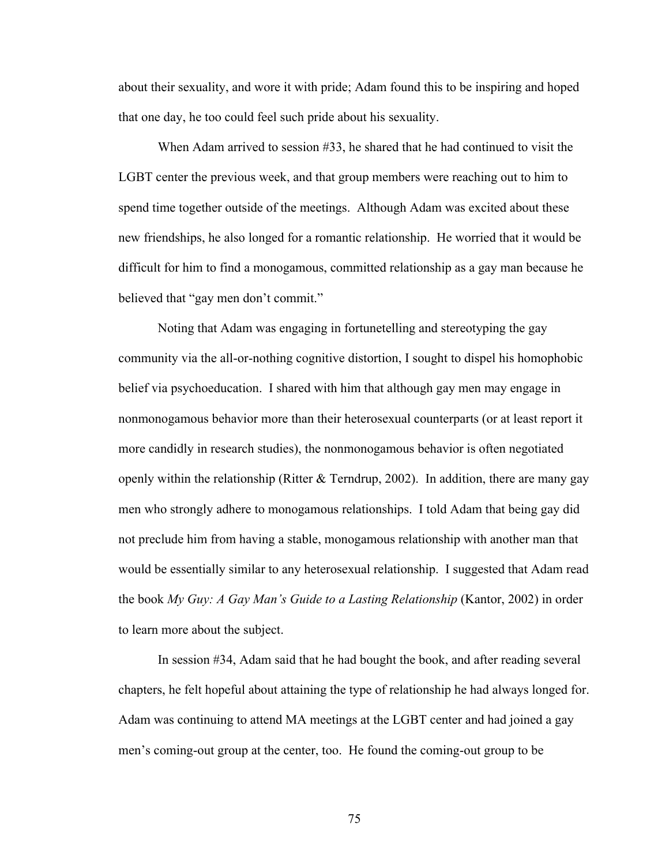about their sexuality, and wore it with pride; Adam found this to be inspiring and hoped that one day, he too could feel such pride about his sexuality.

When Adam arrived to session #33, he shared that he had continued to visit the LGBT center the previous week, and that group members were reaching out to him to spend time together outside of the meetings. Although Adam was excited about these new friendships, he also longed for a romantic relationship. He worried that it would be difficult for him to find a monogamous, committed relationship as a gay man because he believed that "gay men don't commit."

Noting that Adam was engaging in fortunetelling and stereotyping the gay community via the all-or-nothing cognitive distortion, I sought to dispel his homophobic belief via psychoeducation. I shared with him that although gay men may engage in nonmonogamous behavior more than their heterosexual counterparts (or at least report it more candidly in research studies), the nonmonogamous behavior is often negotiated openly within the relationship (Ritter  $&$  Terndrup, 2002). In addition, there are many gay men who strongly adhere to monogamous relationships. I told Adam that being gay did not preclude him from having a stable, monogamous relationship with another man that would be essentially similar to any heterosexual relationship. I suggested that Adam read the book *My Guy: A Gay Man's Guide to a Lasting Relationship* (Kantor, 2002) in order to learn more about the subject.

In session #34, Adam said that he had bought the book, and after reading several chapters, he felt hopeful about attaining the type of relationship he had always longed for. Adam was continuing to attend MA meetings at the LGBT center and had joined a gay men's coming-out group at the center, too. He found the coming-out group to be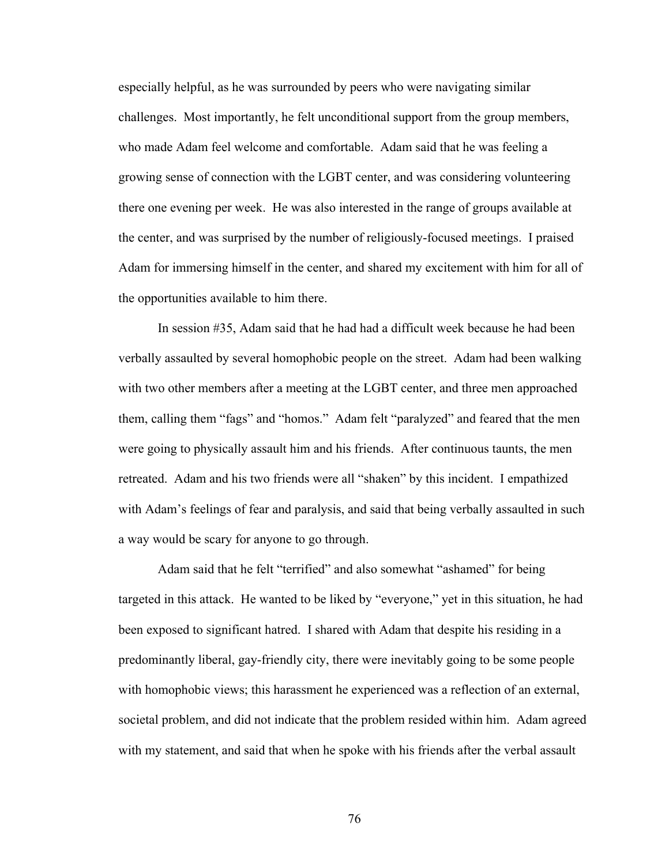especially helpful, as he was surrounded by peers who were navigating similar challenges. Most importantly, he felt unconditional support from the group members, who made Adam feel welcome and comfortable. Adam said that he was feeling a growing sense of connection with the LGBT center, and was considering volunteering there one evening per week. He was also interested in the range of groups available at the center, and was surprised by the number of religiously-focused meetings. I praised Adam for immersing himself in the center, and shared my excitement with him for all of the opportunities available to him there.

In session #35, Adam said that he had had a difficult week because he had been verbally assaulted by several homophobic people on the street. Adam had been walking with two other members after a meeting at the LGBT center, and three men approached them, calling them "fags" and "homos." Adam felt "paralyzed" and feared that the men were going to physically assault him and his friends. After continuous taunts, the men retreated. Adam and his two friends were all "shaken" by this incident. I empathized with Adam's feelings of fear and paralysis, and said that being verbally assaulted in such a way would be scary for anyone to go through.

Adam said that he felt "terrified" and also somewhat "ashamed" for being targeted in this attack. He wanted to be liked by "everyone," yet in this situation, he had been exposed to significant hatred. I shared with Adam that despite his residing in a predominantly liberal, gay-friendly city, there were inevitably going to be some people with homophobic views; this harassment he experienced was a reflection of an external, societal problem, and did not indicate that the problem resided within him. Adam agreed with my statement, and said that when he spoke with his friends after the verbal assault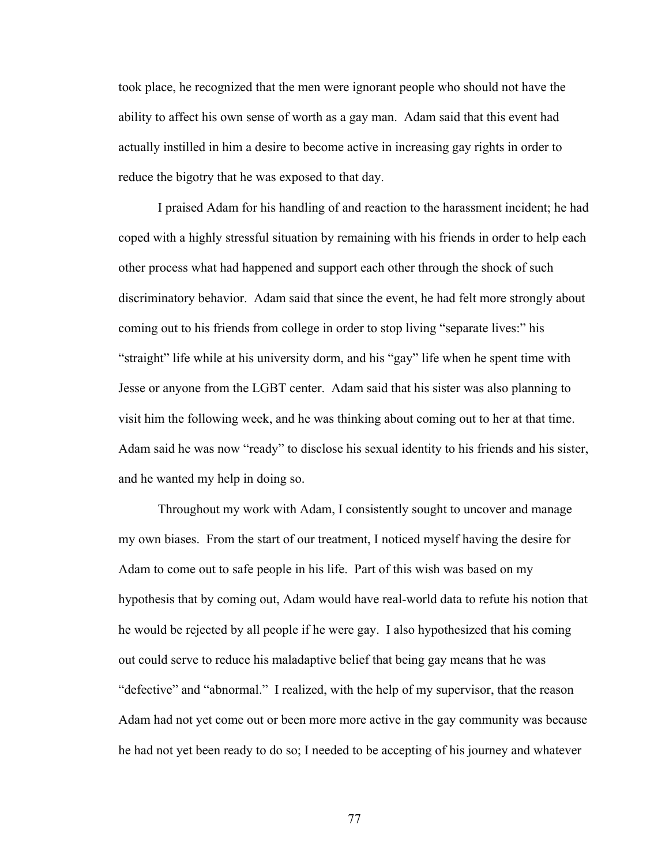took place, he recognized that the men were ignorant people who should not have the ability to affect his own sense of worth as a gay man. Adam said that this event had actually instilled in him a desire to become active in increasing gay rights in order to reduce the bigotry that he was exposed to that day.

I praised Adam for his handling of and reaction to the harassment incident; he had coped with a highly stressful situation by remaining with his friends in order to help each other process what had happened and support each other through the shock of such discriminatory behavior. Adam said that since the event, he had felt more strongly about coming out to his friends from college in order to stop living "separate lives:" his "straight" life while at his university dorm, and his "gay" life when he spent time with Jesse or anyone from the LGBT center. Adam said that his sister was also planning to visit him the following week, and he was thinking about coming out to her at that time. Adam said he was now "ready" to disclose his sexual identity to his friends and his sister, and he wanted my help in doing so.

Throughout my work with Adam, I consistently sought to uncover and manage my own biases. From the start of our treatment, I noticed myself having the desire for Adam to come out to safe people in his life. Part of this wish was based on my hypothesis that by coming out, Adam would have real-world data to refute his notion that he would be rejected by all people if he were gay. I also hypothesized that his coming out could serve to reduce his maladaptive belief that being gay means that he was "defective" and "abnormal." I realized, with the help of my supervisor, that the reason Adam had not yet come out or been more more active in the gay community was because he had not yet been ready to do so; I needed to be accepting of his journey and whatever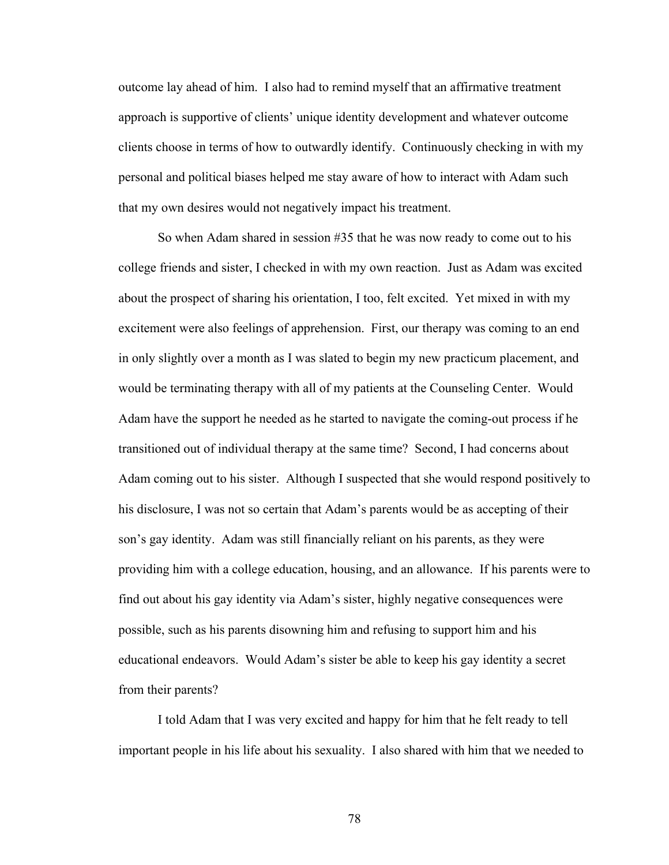outcome lay ahead of him. I also had to remind myself that an affirmative treatment approach is supportive of clients' unique identity development and whatever outcome clients choose in terms of how to outwardly identify. Continuously checking in with my personal and political biases helped me stay aware of how to interact with Adam such that my own desires would not negatively impact his treatment.

So when Adam shared in session #35 that he was now ready to come out to his college friends and sister, I checked in with my own reaction. Just as Adam was excited about the prospect of sharing his orientation, I too, felt excited. Yet mixed in with my excitement were also feelings of apprehension. First, our therapy was coming to an end in only slightly over a month as I was slated to begin my new practicum placement, and would be terminating therapy with all of my patients at the Counseling Center. Would Adam have the support he needed as he started to navigate the coming-out process if he transitioned out of individual therapy at the same time? Second, I had concerns about Adam coming out to his sister. Although I suspected that she would respond positively to his disclosure, I was not so certain that Adam's parents would be as accepting of their son's gay identity. Adam was still financially reliant on his parents, as they were providing him with a college education, housing, and an allowance. If his parents were to find out about his gay identity via Adam's sister, highly negative consequences were possible, such as his parents disowning him and refusing to support him and his educational endeavors. Would Adam's sister be able to keep his gay identity a secret from their parents?

I told Adam that I was very excited and happy for him that he felt ready to tell important people in his life about his sexuality. I also shared with him that we needed to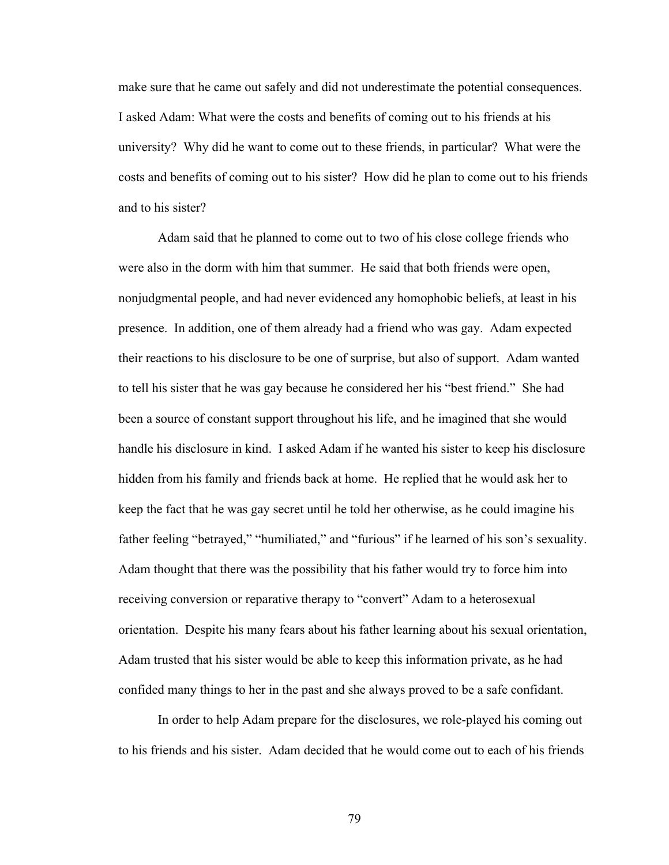make sure that he came out safely and did not underestimate the potential consequences. I asked Adam: What were the costs and benefits of coming out to his friends at his university? Why did he want to come out to these friends, in particular? What were the costs and benefits of coming out to his sister? How did he plan to come out to his friends and to his sister?

Adam said that he planned to come out to two of his close college friends who were also in the dorm with him that summer. He said that both friends were open, nonjudgmental people, and had never evidenced any homophobic beliefs, at least in his presence. In addition, one of them already had a friend who was gay. Adam expected their reactions to his disclosure to be one of surprise, but also of support. Adam wanted to tell his sister that he was gay because he considered her his "best friend." She had been a source of constant support throughout his life, and he imagined that she would handle his disclosure in kind. I asked Adam if he wanted his sister to keep his disclosure hidden from his family and friends back at home. He replied that he would ask her to keep the fact that he was gay secret until he told her otherwise, as he could imagine his father feeling "betrayed," "humiliated," and "furious" if he learned of his son's sexuality. Adam thought that there was the possibility that his father would try to force him into receiving conversion or reparative therapy to "convert" Adam to a heterosexual orientation. Despite his many fears about his father learning about his sexual orientation, Adam trusted that his sister would be able to keep this information private, as he had confided many things to her in the past and she always proved to be a safe confidant.

In order to help Adam prepare for the disclosures, we role-played his coming out to his friends and his sister. Adam decided that he would come out to each of his friends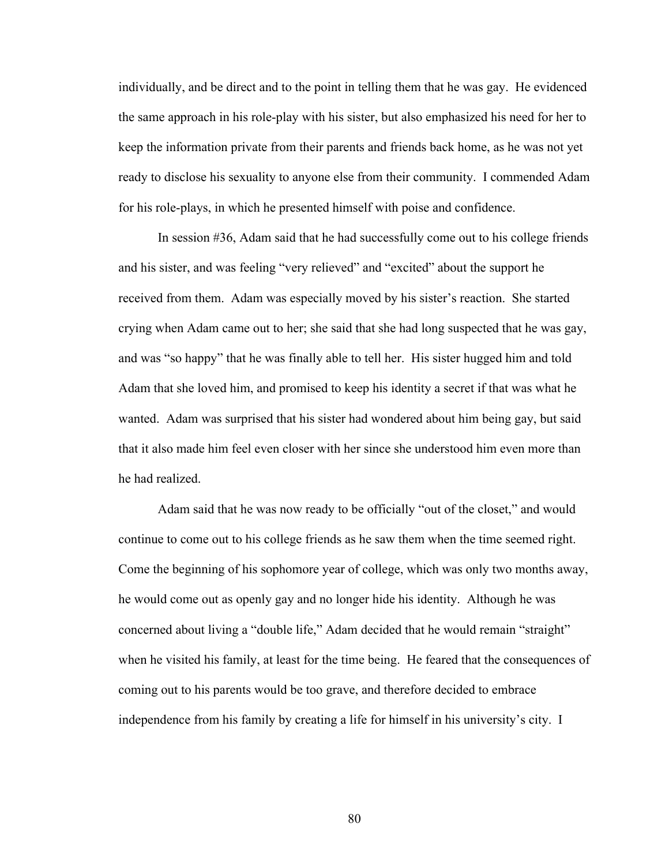individually, and be direct and to the point in telling them that he was gay. He evidenced the same approach in his role-play with his sister, but also emphasized his need for her to keep the information private from their parents and friends back home, as he was not yet ready to disclose his sexuality to anyone else from their community. I commended Adam for his role-plays, in which he presented himself with poise and confidence.

In session #36, Adam said that he had successfully come out to his college friends and his sister, and was feeling "very relieved" and "excited" about the support he received from them. Adam was especially moved by his sister's reaction. She started crying when Adam came out to her; she said that she had long suspected that he was gay, and was "so happy" that he was finally able to tell her. His sister hugged him and told Adam that she loved him, and promised to keep his identity a secret if that was what he wanted. Adam was surprised that his sister had wondered about him being gay, but said that it also made him feel even closer with her since she understood him even more than he had realized.

Adam said that he was now ready to be officially "out of the closet," and would continue to come out to his college friends as he saw them when the time seemed right. Come the beginning of his sophomore year of college, which was only two months away, he would come out as openly gay and no longer hide his identity. Although he was concerned about living a "double life," Adam decided that he would remain "straight" when he visited his family, at least for the time being. He feared that the consequences of coming out to his parents would be too grave, and therefore decided to embrace independence from his family by creating a life for himself in his university's city. I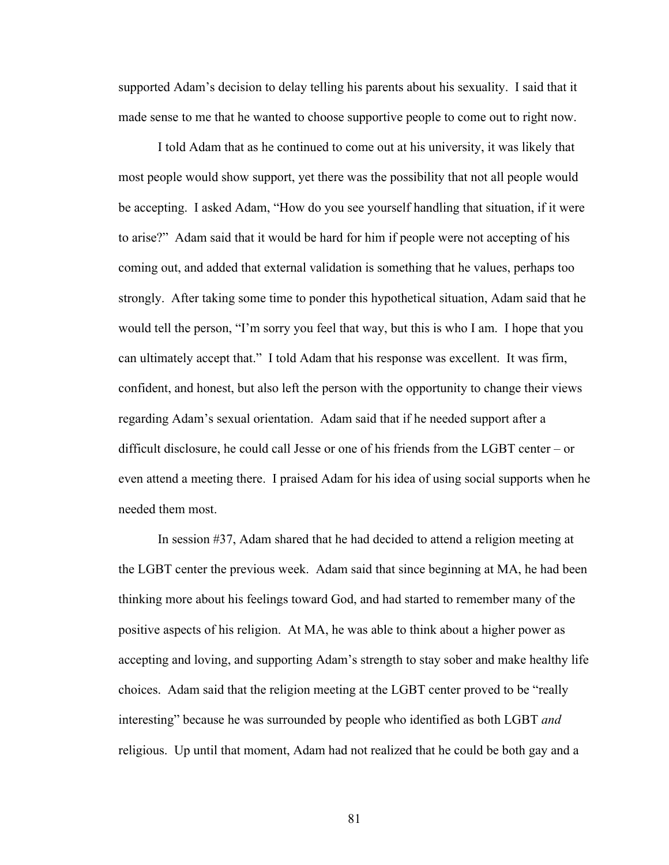supported Adam's decision to delay telling his parents about his sexuality. I said that it made sense to me that he wanted to choose supportive people to come out to right now.

I told Adam that as he continued to come out at his university, it was likely that most people would show support, yet there was the possibility that not all people would be accepting. I asked Adam, "How do you see yourself handling that situation, if it were to arise?" Adam said that it would be hard for him if people were not accepting of his coming out, and added that external validation is something that he values, perhaps too strongly. After taking some time to ponder this hypothetical situation, Adam said that he would tell the person, "I'm sorry you feel that way, but this is who I am. I hope that you can ultimately accept that." I told Adam that his response was excellent. It was firm, confident, and honest, but also left the person with the opportunity to change their views regarding Adam's sexual orientation. Adam said that if he needed support after a difficult disclosure, he could call Jesse or one of his friends from the LGBT center – or even attend a meeting there. I praised Adam for his idea of using social supports when he needed them most.

In session #37, Adam shared that he had decided to attend a religion meeting at the LGBT center the previous week. Adam said that since beginning at MA, he had been thinking more about his feelings toward God, and had started to remember many of the positive aspects of his religion. At MA, he was able to think about a higher power as accepting and loving, and supporting Adam's strength to stay sober and make healthy life choices. Adam said that the religion meeting at the LGBT center proved to be "really interesting" because he was surrounded by people who identified as both LGBT *and* religious. Up until that moment, Adam had not realized that he could be both gay and a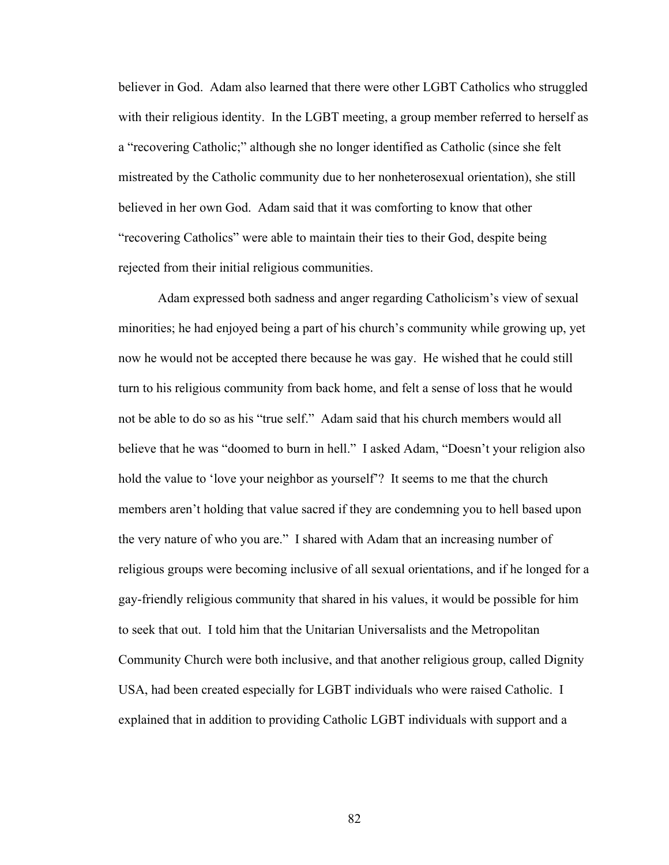believer in God. Adam also learned that there were other LGBT Catholics who struggled with their religious identity. In the LGBT meeting, a group member referred to herself as a "recovering Catholic;" although she no longer identified as Catholic (since she felt mistreated by the Catholic community due to her nonheterosexual orientation), she still believed in her own God. Adam said that it was comforting to know that other "recovering Catholics" were able to maintain their ties to their God, despite being rejected from their initial religious communities.

Adam expressed both sadness and anger regarding Catholicism's view of sexual minorities; he had enjoyed being a part of his church's community while growing up, yet now he would not be accepted there because he was gay. He wished that he could still turn to his religious community from back home, and felt a sense of loss that he would not be able to do so as his "true self." Adam said that his church members would all believe that he was "doomed to burn in hell." I asked Adam, "Doesn't your religion also hold the value to 'love your neighbor as yourself'? It seems to me that the church members aren't holding that value sacred if they are condemning you to hell based upon the very nature of who you are." I shared with Adam that an increasing number of religious groups were becoming inclusive of all sexual orientations, and if he longed for a gay-friendly religious community that shared in his values, it would be possible for him to seek that out. I told him that the Unitarian Universalists and the Metropolitan Community Church were both inclusive, and that another religious group, called Dignity USA, had been created especially for LGBT individuals who were raised Catholic. I explained that in addition to providing Catholic LGBT individuals with support and a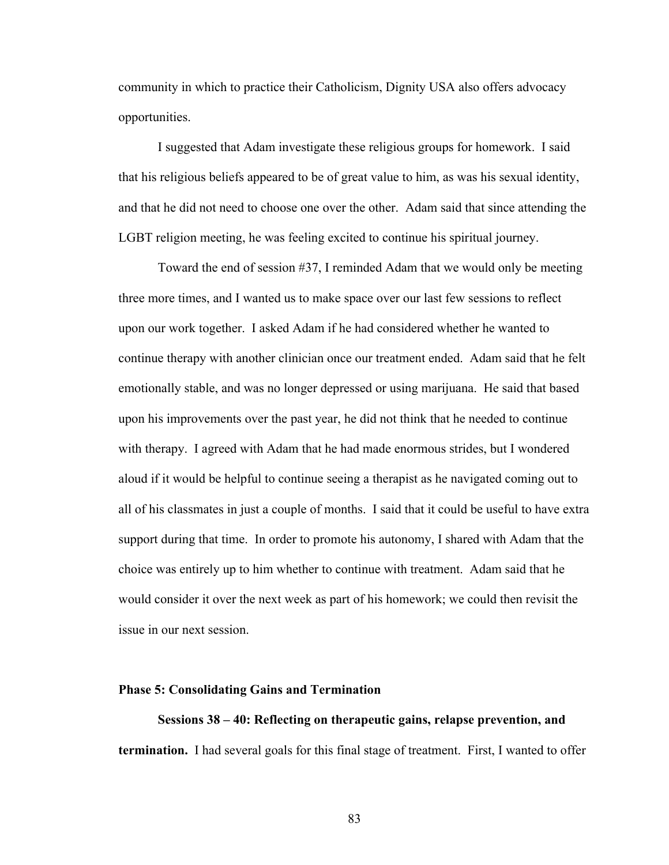community in which to practice their Catholicism, Dignity USA also offers advocacy opportunities.

I suggested that Adam investigate these religious groups for homework. I said that his religious beliefs appeared to be of great value to him, as was his sexual identity, and that he did not need to choose one over the other. Adam said that since attending the LGBT religion meeting, he was feeling excited to continue his spiritual journey.

Toward the end of session #37, I reminded Adam that we would only be meeting three more times, and I wanted us to make space over our last few sessions to reflect upon our work together. I asked Adam if he had considered whether he wanted to continue therapy with another clinician once our treatment ended. Adam said that he felt emotionally stable, and was no longer depressed or using marijuana. He said that based upon his improvements over the past year, he did not think that he needed to continue with therapy. I agreed with Adam that he had made enormous strides, but I wondered aloud if it would be helpful to continue seeing a therapist as he navigated coming out to all of his classmates in just a couple of months. I said that it could be useful to have extra support during that time. In order to promote his autonomy, I shared with Adam that the choice was entirely up to him whether to continue with treatment. Adam said that he would consider it over the next week as part of his homework; we could then revisit the issue in our next session.

### **Phase 5: Consolidating Gains and Termination**

**Sessions 38 – 40: Reflecting on therapeutic gains, relapse prevention, and termination.** I had several goals for this final stage of treatment. First, I wanted to offer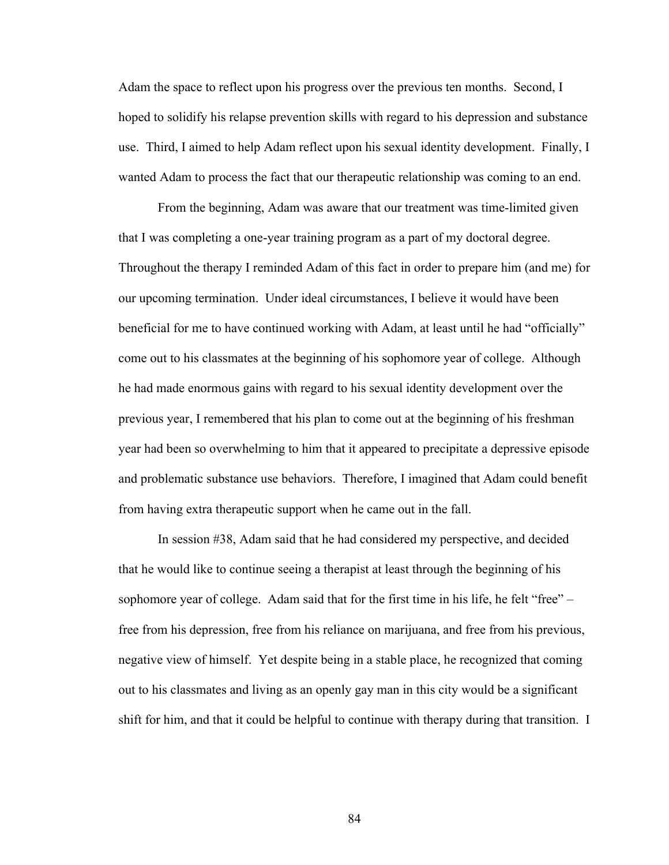Adam the space to reflect upon his progress over the previous ten months. Second, I hoped to solidify his relapse prevention skills with regard to his depression and substance use. Third, I aimed to help Adam reflect upon his sexual identity development. Finally, I wanted Adam to process the fact that our therapeutic relationship was coming to an end.

From the beginning, Adam was aware that our treatment was time-limited given that I was completing a one-year training program as a part of my doctoral degree. Throughout the therapy I reminded Adam of this fact in order to prepare him (and me) for our upcoming termination. Under ideal circumstances, I believe it would have been beneficial for me to have continued working with Adam, at least until he had "officially" come out to his classmates at the beginning of his sophomore year of college. Although he had made enormous gains with regard to his sexual identity development over the previous year, I remembered that his plan to come out at the beginning of his freshman year had been so overwhelming to him that it appeared to precipitate a depressive episode and problematic substance use behaviors. Therefore, I imagined that Adam could benefit from having extra therapeutic support when he came out in the fall.

In session #38, Adam said that he had considered my perspective, and decided that he would like to continue seeing a therapist at least through the beginning of his sophomore year of college. Adam said that for the first time in his life, he felt "free" – free from his depression, free from his reliance on marijuana, and free from his previous, negative view of himself. Yet despite being in a stable place, he recognized that coming out to his classmates and living as an openly gay man in this city would be a significant shift for him, and that it could be helpful to continue with therapy during that transition. I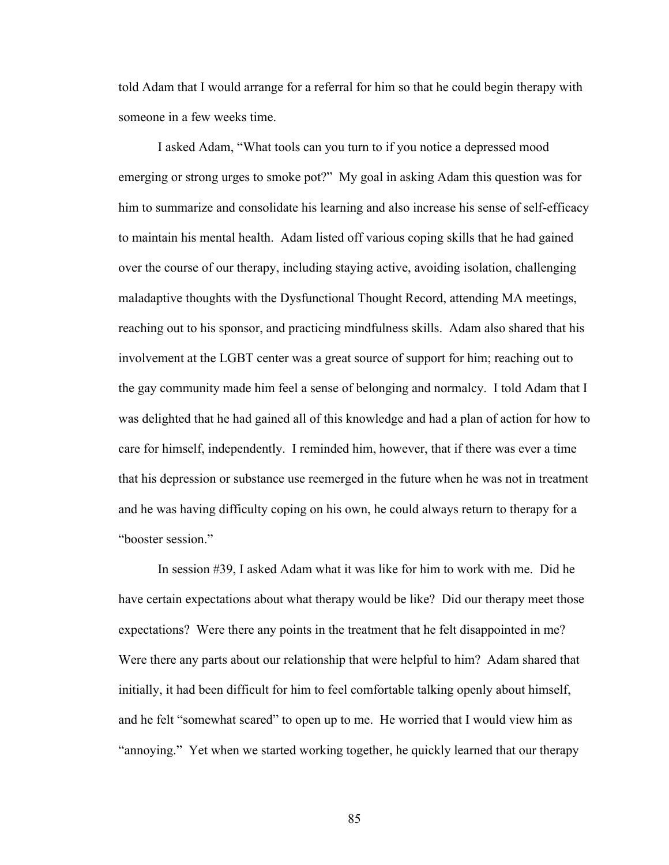told Adam that I would arrange for a referral for him so that he could begin therapy with someone in a few weeks time.

I asked Adam, "What tools can you turn to if you notice a depressed mood emerging or strong urges to smoke pot?" My goal in asking Adam this question was for him to summarize and consolidate his learning and also increase his sense of self-efficacy to maintain his mental health. Adam listed off various coping skills that he had gained over the course of our therapy, including staying active, avoiding isolation, challenging maladaptive thoughts with the Dysfunctional Thought Record, attending MA meetings, reaching out to his sponsor, and practicing mindfulness skills. Adam also shared that his involvement at the LGBT center was a great source of support for him; reaching out to the gay community made him feel a sense of belonging and normalcy. I told Adam that I was delighted that he had gained all of this knowledge and had a plan of action for how to care for himself, independently. I reminded him, however, that if there was ever a time that his depression or substance use reemerged in the future when he was not in treatment and he was having difficulty coping on his own, he could always return to therapy for a "booster session."

In session #39, I asked Adam what it was like for him to work with me. Did he have certain expectations about what therapy would be like? Did our therapy meet those expectations? Were there any points in the treatment that he felt disappointed in me? Were there any parts about our relationship that were helpful to him? Adam shared that initially, it had been difficult for him to feel comfortable talking openly about himself, and he felt "somewhat scared" to open up to me. He worried that I would view him as "annoying." Yet when we started working together, he quickly learned that our therapy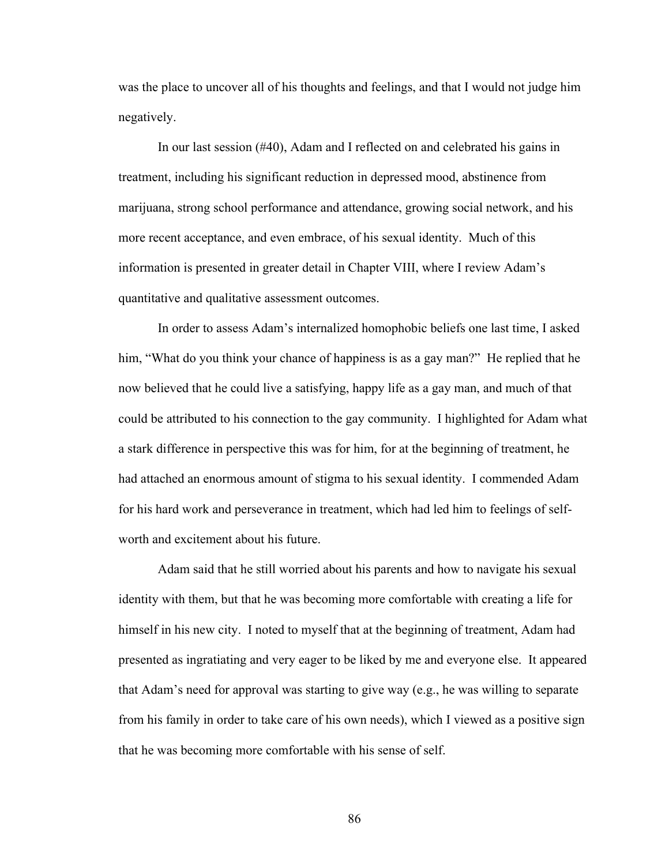was the place to uncover all of his thoughts and feelings, and that I would not judge him negatively.

In our last session (#40), Adam and I reflected on and celebrated his gains in treatment, including his significant reduction in depressed mood, abstinence from marijuana, strong school performance and attendance, growing social network, and his more recent acceptance, and even embrace, of his sexual identity. Much of this information is presented in greater detail in Chapter VIII, where I review Adam's quantitative and qualitative assessment outcomes.

In order to assess Adam's internalized homophobic beliefs one last time, I asked him, "What do you think your chance of happiness is as a gay man?" He replied that he now believed that he could live a satisfying, happy life as a gay man, and much of that could be attributed to his connection to the gay community. I highlighted for Adam what a stark difference in perspective this was for him, for at the beginning of treatment, he had attached an enormous amount of stigma to his sexual identity. I commended Adam for his hard work and perseverance in treatment, which had led him to feelings of selfworth and excitement about his future.

Adam said that he still worried about his parents and how to navigate his sexual identity with them, but that he was becoming more comfortable with creating a life for himself in his new city. I noted to myself that at the beginning of treatment, Adam had presented as ingratiating and very eager to be liked by me and everyone else. It appeared that Adam's need for approval was starting to give way (e.g., he was willing to separate from his family in order to take care of his own needs), which I viewed as a positive sign that he was becoming more comfortable with his sense of self.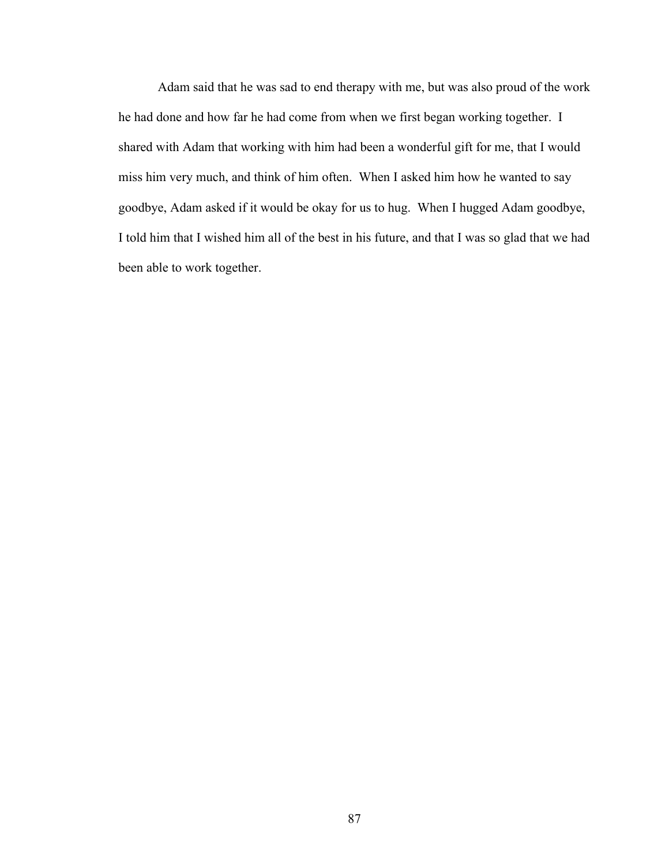Adam said that he was sad to end therapy with me, but was also proud of the work he had done and how far he had come from when we first began working together. I shared with Adam that working with him had been a wonderful gift for me, that I would miss him very much, and think of him often. When I asked him how he wanted to say goodbye, Adam asked if it would be okay for us to hug. When I hugged Adam goodbye, I told him that I wished him all of the best in his future, and that I was so glad that we had been able to work together.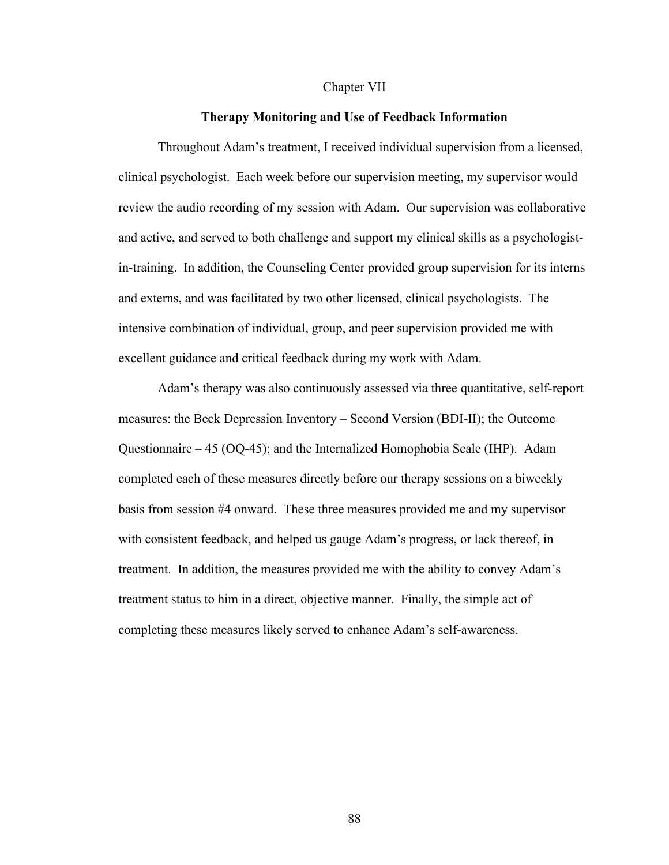## Chapter VII

## **Therapy Monitoring and Use of Feedback Information**

Throughout Adam's treatment, I received individual supervision from a licensed, clinical psychologist. Each week before our supervision meeting, my supervisor would review the audio recording of my session with Adam. Our supervision was collaborative and active, and served to both challenge and support my clinical skills as a psychologistin-training. In addition, the Counseling Center provided group supervision for its interns and externs, and was facilitated by two other licensed, clinical psychologists. The intensive combination of individual, group, and peer supervision provided me with excellent guidance and critical feedback during my work with Adam.

Adam's therapy was also continuously assessed via three quantitative, self-report measures: the Beck Depression Inventory – Second Version (BDI-II); the Outcome Questionnaire – 45 (OQ-45); and the Internalized Homophobia Scale (IHP). Adam completed each of these measures directly before our therapy sessions on a biweekly basis from session #4 onward. These three measures provided me and my supervisor with consistent feedback, and helped us gauge Adam's progress, or lack thereof, in treatment. In addition, the measures provided me with the ability to convey Adam's treatment status to him in a direct, objective manner. Finally, the simple act of completing these measures likely served to enhance Adam's self-awareness.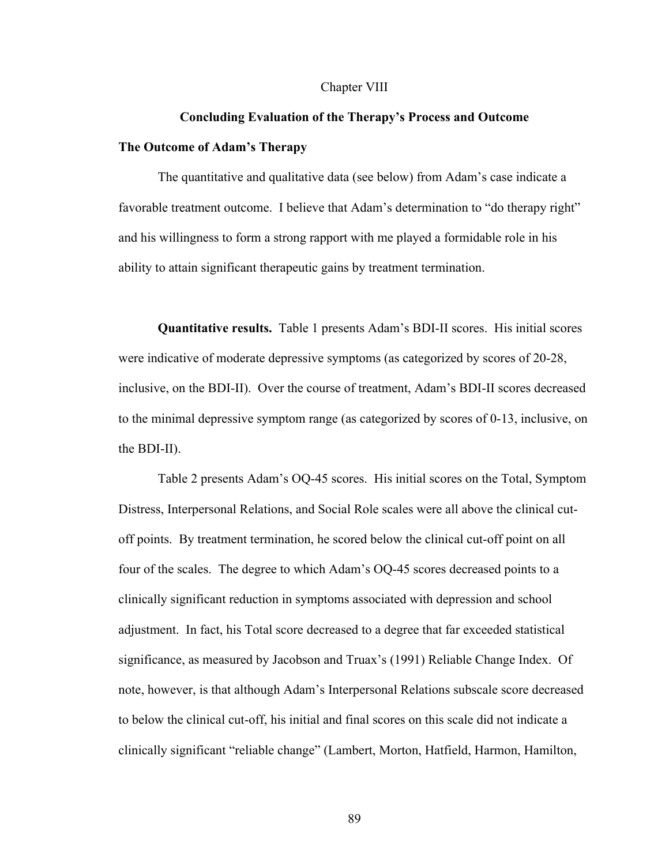#### Chapter VIII

# **Concluding Evaluation of the Therapy's Process and Outcome The Outcome of Adam's Therapy**

The quantitative and qualitative data (see below) from Adam's case indicate a favorable treatment outcome. I believe that Adam's determination to "do therapy right" and his willingness to form a strong rapport with me played a formidable role in his ability to attain significant therapeutic gains by treatment termination.

**Quantitative results.** Table 1 presents Adam's BDI-II scores. His initial scores were indicative of moderate depressive symptoms (as categorized by scores of 20-28, inclusive, on the BDI-II). Over the course of treatment, Adam's BDI-II scores decreased to the minimal depressive symptom range (as categorized by scores of 0-13, inclusive, on the BDI-II).

Table 2 presents Adam's OQ-45 scores. His initial scores on the Total, Symptom Distress, Interpersonal Relations, and Social Role scales were all above the clinical cutoff points. By treatment termination, he scored below the clinical cut-off point on all four of the scales. The degree to which Adam's OQ-45 scores decreased points to a clinically significant reduction in symptoms associated with depression and school adjustment. In fact, his Total score decreased to a degree that far exceeded statistical significance, as measured by Jacobson and Truax's (1991) Reliable Change Index. Of note, however, is that although Adam's Interpersonal Relations subscale score decreased to below the clinical cut-off, his initial and final scores on this scale did not indicate a clinically significant "reliable change" (Lambert, Morton, Hatfield, Harmon, Hamilton,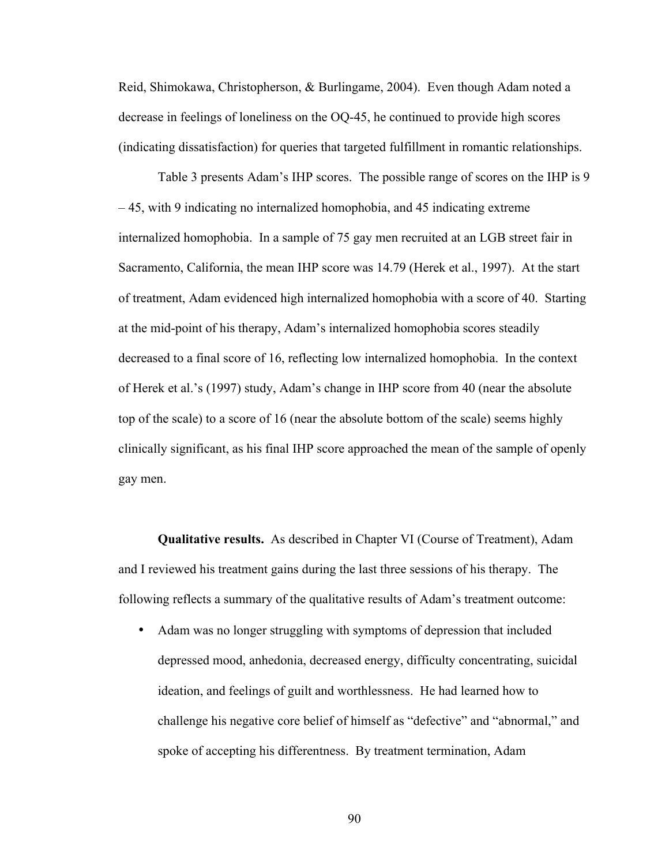Reid, Shimokawa, Christopherson, & Burlingame, 2004). Even though Adam noted a decrease in feelings of loneliness on the OQ-45, he continued to provide high scores (indicating dissatisfaction) for queries that targeted fulfillment in romantic relationships.

Table 3 presents Adam's IHP scores. The possible range of scores on the IHP is 9 – 45, with 9 indicating no internalized homophobia, and 45 indicating extreme internalized homophobia. In a sample of 75 gay men recruited at an LGB street fair in Sacramento, California, the mean IHP score was 14.79 (Herek et al., 1997). At the start of treatment, Adam evidenced high internalized homophobia with a score of 40. Starting at the mid-point of his therapy, Adam's internalized homophobia scores steadily decreased to a final score of 16, reflecting low internalized homophobia. In the context of Herek et al.'s (1997) study, Adam's change in IHP score from 40 (near the absolute top of the scale) to a score of 16 (near the absolute bottom of the scale) seems highly clinically significant, as his final IHP score approached the mean of the sample of openly gay men.

**Qualitative results.** As described in Chapter VI (Course of Treatment), Adam and I reviewed his treatment gains during the last three sessions of his therapy. The following reflects a summary of the qualitative results of Adam's treatment outcome:

• Adam was no longer struggling with symptoms of depression that included depressed mood, anhedonia, decreased energy, difficulty concentrating, suicidal ideation, and feelings of guilt and worthlessness. He had learned how to challenge his negative core belief of himself as "defective" and "abnormal," and spoke of accepting his differentness. By treatment termination, Adam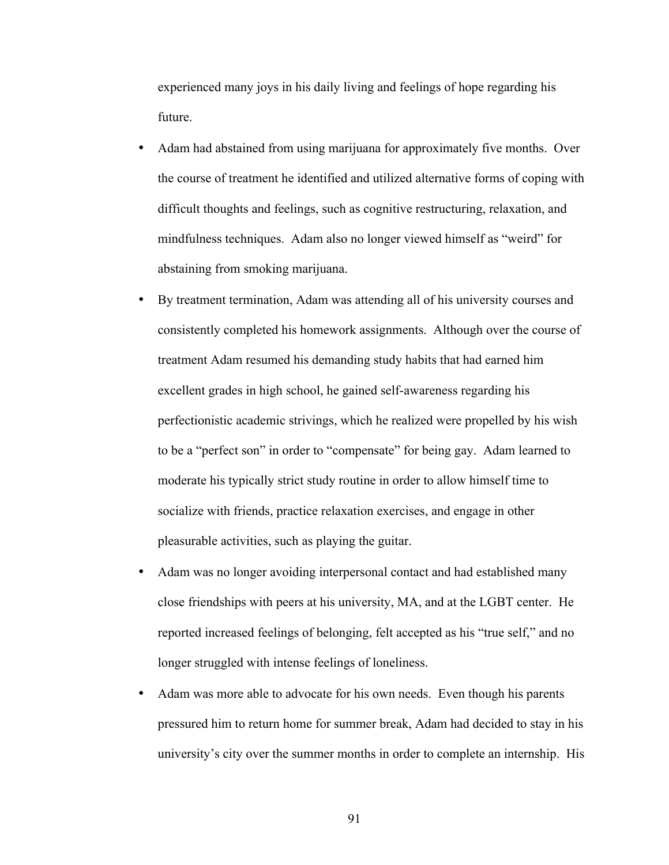experienced many joys in his daily living and feelings of hope regarding his future.

- Adam had abstained from using marijuana for approximately five months. Over the course of treatment he identified and utilized alternative forms of coping with difficult thoughts and feelings, such as cognitive restructuring, relaxation, and mindfulness techniques. Adam also no longer viewed himself as "weird" for abstaining from smoking marijuana.
- By treatment termination, Adam was attending all of his university courses and consistently completed his homework assignments. Although over the course of treatment Adam resumed his demanding study habits that had earned him excellent grades in high school, he gained self-awareness regarding his perfectionistic academic strivings, which he realized were propelled by his wish to be a "perfect son" in order to "compensate" for being gay. Adam learned to moderate his typically strict study routine in order to allow himself time to socialize with friends, practice relaxation exercises, and engage in other pleasurable activities, such as playing the guitar.
- Adam was no longer avoiding interpersonal contact and had established many close friendships with peers at his university, MA, and at the LGBT center. He reported increased feelings of belonging, felt accepted as his "true self," and no longer struggled with intense feelings of loneliness.
- Adam was more able to advocate for his own needs. Even though his parents pressured him to return home for summer break, Adam had decided to stay in his university's city over the summer months in order to complete an internship. His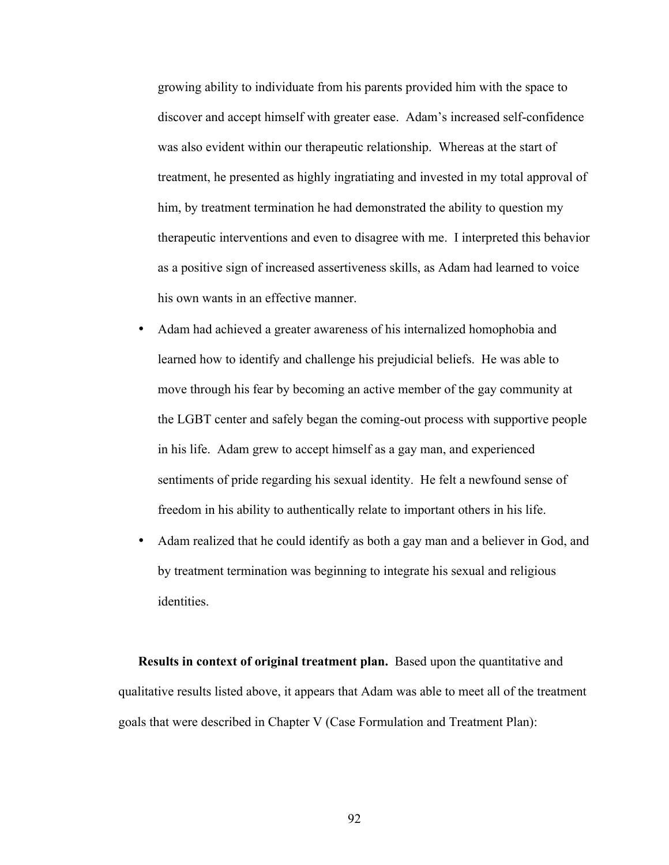growing ability to individuate from his parents provided him with the space to discover and accept himself with greater ease. Adam's increased self-confidence was also evident within our therapeutic relationship. Whereas at the start of treatment, he presented as highly ingratiating and invested in my total approval of him, by treatment termination he had demonstrated the ability to question my therapeutic interventions and even to disagree with me. I interpreted this behavior as a positive sign of increased assertiveness skills, as Adam had learned to voice his own wants in an effective manner.

- Adam had achieved a greater awareness of his internalized homophobia and learned how to identify and challenge his prejudicial beliefs. He was able to move through his fear by becoming an active member of the gay community at the LGBT center and safely began the coming-out process with supportive people in his life. Adam grew to accept himself as a gay man, and experienced sentiments of pride regarding his sexual identity. He felt a newfound sense of freedom in his ability to authentically relate to important others in his life.
- Adam realized that he could identify as both a gay man and a believer in God, and by treatment termination was beginning to integrate his sexual and religious identities.

**Results in context of original treatment plan.** Based upon the quantitative and qualitative results listed above, it appears that Adam was able to meet all of the treatment goals that were described in Chapter V (Case Formulation and Treatment Plan):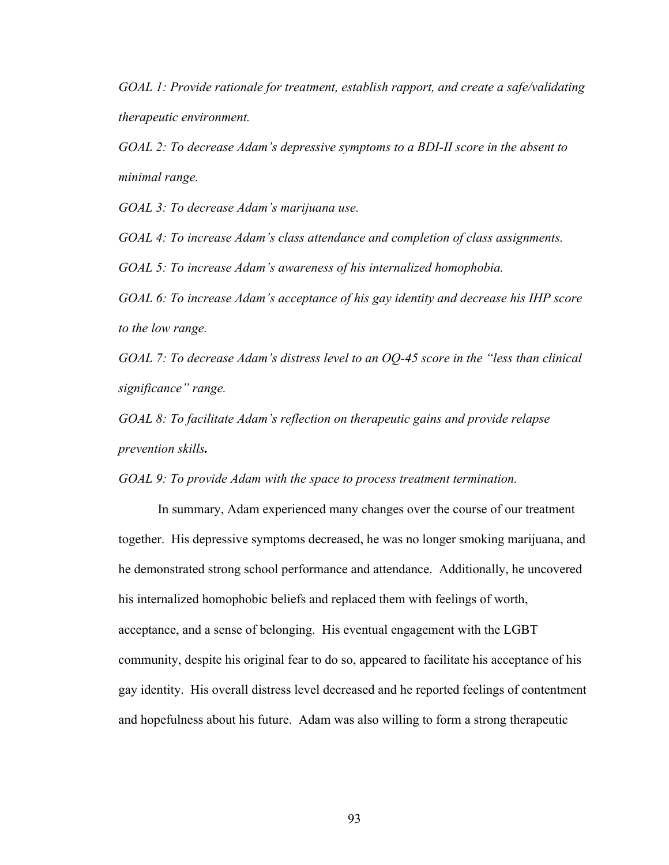*GOAL 1: Provide rationale for treatment, establish rapport, and create a safe/validating therapeutic environment.*

*GOAL 2: To decrease Adam's depressive symptoms to a BDI-II score in the absent to minimal range.*

*GOAL 3: To decrease Adam's marijuana use.*

*GOAL 4: To increase Adam's class attendance and completion of class assignments.*

*GOAL 5: To increase Adam's awareness of his internalized homophobia.*

*GOAL 6: To increase Adam's acceptance of his gay identity and decrease his IHP score to the low range.*

*GOAL 7: To decrease Adam's distress level to an OQ-45 score in the "less than clinical significance" range.*

*GOAL 8: To facilitate Adam's reflection on therapeutic gains and provide relapse prevention skills.* 

*GOAL 9: To provide Adam with the space to process treatment termination.*

In summary, Adam experienced many changes over the course of our treatment together. His depressive symptoms decreased, he was no longer smoking marijuana, and he demonstrated strong school performance and attendance. Additionally, he uncovered his internalized homophobic beliefs and replaced them with feelings of worth, acceptance, and a sense of belonging. His eventual engagement with the LGBT community, despite his original fear to do so, appeared to facilitate his acceptance of his gay identity. His overall distress level decreased and he reported feelings of contentment and hopefulness about his future. Adam was also willing to form a strong therapeutic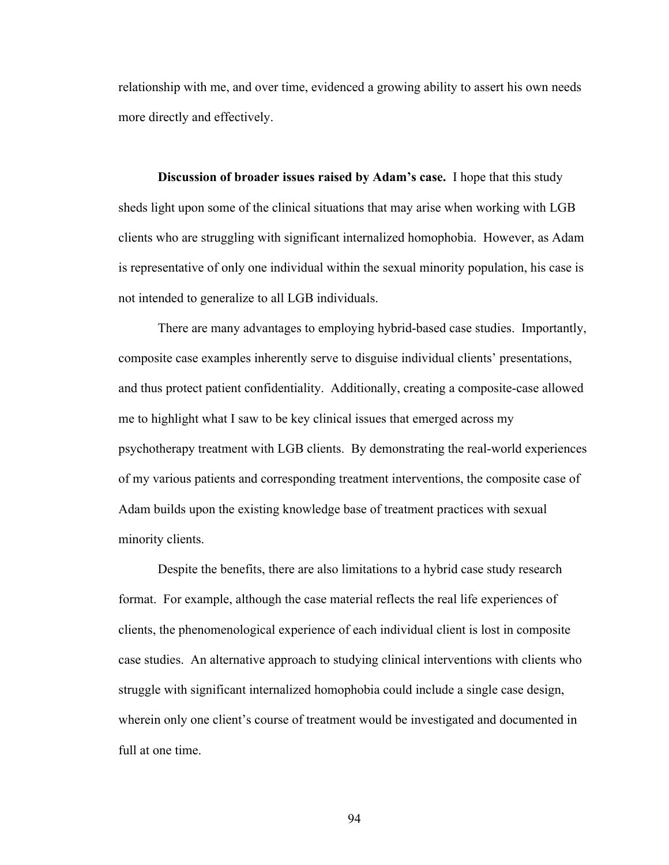relationship with me, and over time, evidenced a growing ability to assert his own needs more directly and effectively.

**Discussion of broader issues raised by Adam's case.** I hope that this study sheds light upon some of the clinical situations that may arise when working with LGB clients who are struggling with significant internalized homophobia. However, as Adam is representative of only one individual within the sexual minority population, his case is not intended to generalize to all LGB individuals.

There are many advantages to employing hybrid-based case studies. Importantly, composite case examples inherently serve to disguise individual clients' presentations, and thus protect patient confidentiality. Additionally, creating a composite-case allowed me to highlight what I saw to be key clinical issues that emerged across my psychotherapy treatment with LGB clients. By demonstrating the real-world experiences of my various patients and corresponding treatment interventions, the composite case of Adam builds upon the existing knowledge base of treatment practices with sexual minority clients.

Despite the benefits, there are also limitations to a hybrid case study research format. For example, although the case material reflects the real life experiences of clients, the phenomenological experience of each individual client is lost in composite case studies. An alternative approach to studying clinical interventions with clients who struggle with significant internalized homophobia could include a single case design, wherein only one client's course of treatment would be investigated and documented in full at one time.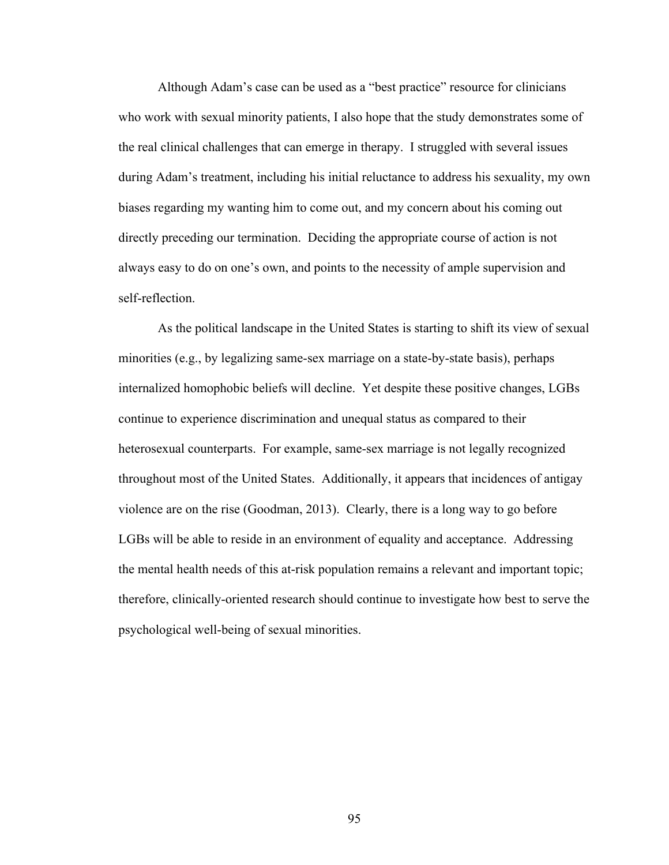Although Adam's case can be used as a "best practice" resource for clinicians who work with sexual minority patients, I also hope that the study demonstrates some of the real clinical challenges that can emerge in therapy. I struggled with several issues during Adam's treatment, including his initial reluctance to address his sexuality, my own biases regarding my wanting him to come out, and my concern about his coming out directly preceding our termination. Deciding the appropriate course of action is not always easy to do on one's own, and points to the necessity of ample supervision and self-reflection.

As the political landscape in the United States is starting to shift its view of sexual minorities (e.g., by legalizing same-sex marriage on a state-by-state basis), perhaps internalized homophobic beliefs will decline. Yet despite these positive changes, LGBs continue to experience discrimination and unequal status as compared to their heterosexual counterparts. For example, same-sex marriage is not legally recognized throughout most of the United States. Additionally, it appears that incidences of antigay violence are on the rise (Goodman, 2013). Clearly, there is a long way to go before LGBs will be able to reside in an environment of equality and acceptance. Addressing the mental health needs of this at-risk population remains a relevant and important topic; therefore, clinically-oriented research should continue to investigate how best to serve the psychological well-being of sexual minorities.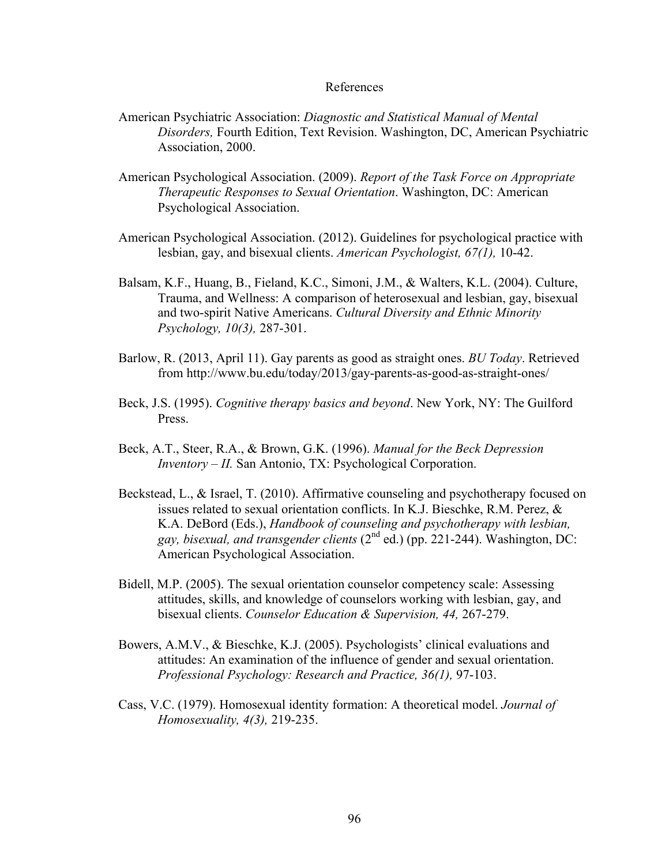# References

- American Psychiatric Association: *Diagnostic and Statistical Manual of Mental Disorders,* Fourth Edition, Text Revision. Washington, DC, American Psychiatric Association, 2000.
- American Psychological Association. (2009). *Report of the Task Force on Appropriate Therapeutic Responses to Sexual Orientation*. Washington, DC: American Psychological Association.
- American Psychological Association. (2012). Guidelines for psychological practice with lesbian, gay, and bisexual clients. *American Psychologist, 67(1),* 10-42.
- Balsam, K.F., Huang, B., Fieland, K.C., Simoni, J.M., & Walters, K.L. (2004). Culture, Trauma, and Wellness: A comparison of heterosexual and lesbian, gay, bisexual and two-spirit Native Americans. *Cultural Diversity and Ethnic Minority Psychology, 10(3),* 287-301.
- Barlow, R. (2013, April 11). Gay parents as good as straight ones. *BU Today*. Retrieved from http://www.bu.edu/today/2013/gay-parents-as-good-as-straight-ones/
- Beck, J.S. (1995). *Cognitive therapy basics and beyond*. New York, NY: The Guilford Press.
- Beck, A.T., Steer, R.A., & Brown, G.K. (1996). *Manual for the Beck Depression Inventory – II.* San Antonio, TX: Psychological Corporation.
- Beckstead, L., & Israel, T. (2010). Affirmative counseling and psychotherapy focused on issues related to sexual orientation conflicts. In K.J. Bieschke, R.M. Perez, & K.A. DeBord (Eds.), *Handbook of counseling and psychotherapy with lesbian, gay, bisexual, and transgender clients* (2nd ed.) (pp. 221-244). Washington, DC: American Psychological Association.
- Bidell, M.P. (2005). The sexual orientation counselor competency scale: Assessing attitudes, skills, and knowledge of counselors working with lesbian, gay, and bisexual clients. *Counselor Education & Supervision, 44,* 267-279.
- Bowers, A.M.V., & Bieschke, K.J. (2005). Psychologists' clinical evaluations and attitudes: An examination of the influence of gender and sexual orientation. *Professional Psychology: Research and Practice, 36(1),* 97-103.
- Cass, V.C. (1979). Homosexual identity formation: A theoretical model. *Journal of Homosexuality, 4(3),* 219-235.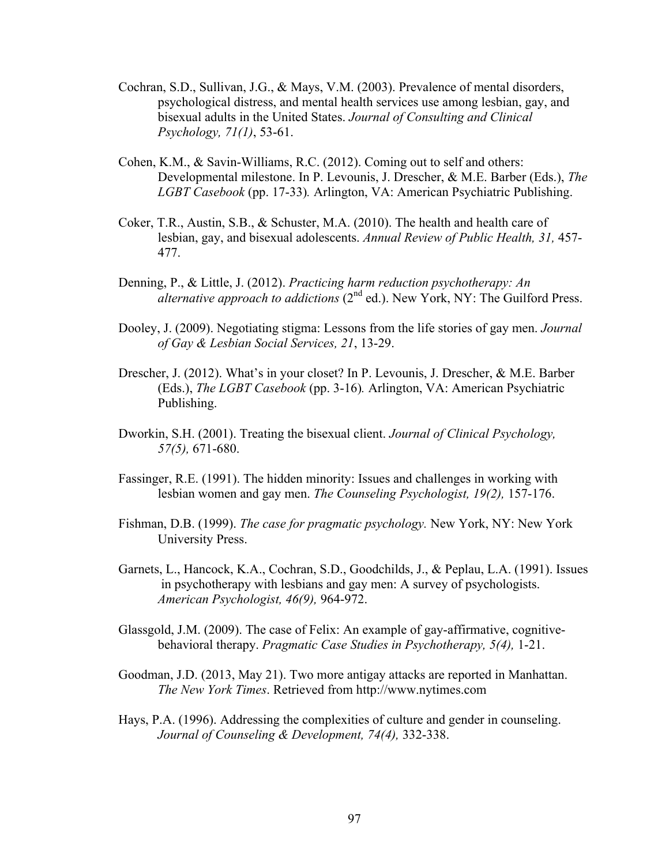- Cochran, S.D., Sullivan, J.G., & Mays, V.M. (2003). Prevalence of mental disorders, psychological distress, and mental health services use among lesbian, gay, and bisexual adults in the United States. *Journal of Consulting and Clinical Psychology, 71(1)*, 53-61.
- Cohen, K.M., & Savin-Williams, R.C. (2012). Coming out to self and others: Developmental milestone. In P. Levounis, J. Drescher, & M.E. Barber (Eds.), *The LGBT Casebook* (pp. 17-33)*.* Arlington, VA: American Psychiatric Publishing.
- Coker, T.R., Austin, S.B., & Schuster, M.A. (2010). The health and health care of lesbian, gay, and bisexual adolescents. *Annual Review of Public Health, 31,* 457- 477.
- Denning, P., & Little, J. (2012). *Practicing harm reduction psychotherapy: An alternative approach to addictions* (2<sup>nd</sup> ed.). New York, NY: The Guilford Press.
- Dooley, J. (2009). Negotiating stigma: Lessons from the life stories of gay men. *Journal of Gay & Lesbian Social Services, 21*, 13-29.
- Drescher, J. (2012). What's in your closet? In P. Levounis, J. Drescher, & M.E. Barber (Eds.), *The LGBT Casebook* (pp. 3-16)*.* Arlington, VA: American Psychiatric Publishing.
- Dworkin, S.H. (2001). Treating the bisexual client. *Journal of Clinical Psychology, 57(5),* 671-680.
- Fassinger, R.E. (1991). The hidden minority: Issues and challenges in working with lesbian women and gay men. *The Counseling Psychologist, 19(2),* 157-176.
- Fishman, D.B. (1999). *The case for pragmatic psychology.* New York, NY: New York University Press.
- Garnets, L., Hancock, K.A., Cochran, S.D., Goodchilds, J., & Peplau, L.A. (1991). Issues in psychotherapy with lesbians and gay men: A survey of psychologists. *American Psychologist, 46(9),* 964-972.
- Glassgold, J.M. (2009). The case of Felix: An example of gay-affirmative, cognitivebehavioral therapy. *Pragmatic Case Studies in Psychotherapy, 5(4),* 1-21.
- Goodman, J.D. (2013, May 21). Two more antigay attacks are reported in Manhattan. *The New York Times*. Retrieved from http://www.nytimes.com
- Hays, P.A. (1996). Addressing the complexities of culture and gender in counseling. *Journal of Counseling & Development, 74(4),* 332-338.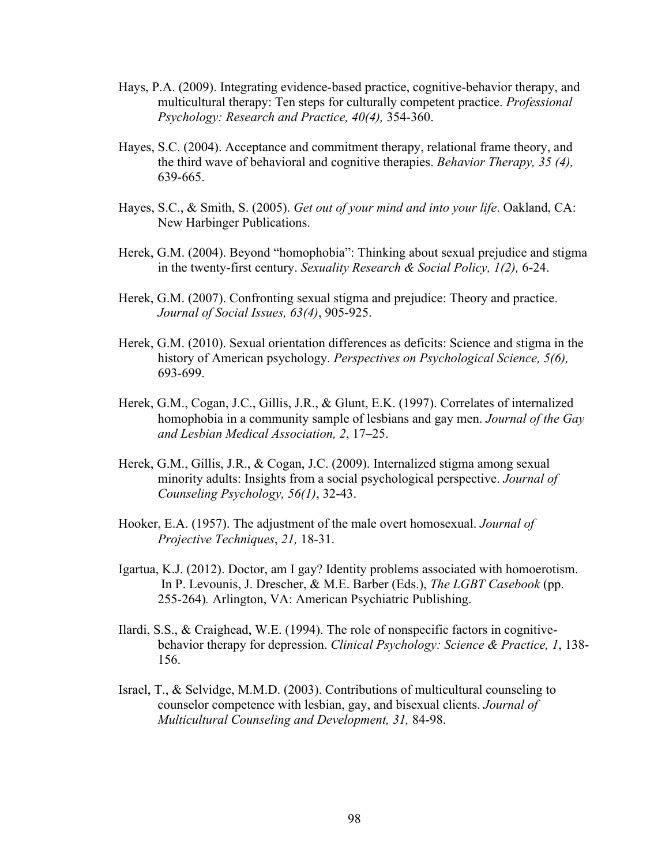- Hays, P.A. (2009). Integrating evidence-based practice, cognitive-behavior therapy, and multicultural therapy: Ten steps for culturally competent practice. *Professional Psychology: Research and Practice, 40(4),* 354-360.
- Hayes, S.C. (2004). Acceptance and commitment therapy, relational frame theory, and the third wave of behavioral and cognitive therapies. *Behavior Therapy, 35 (4),* 639-665.
- Hayes, S.C., & Smith, S. (2005). *Get out of your mind and into your life*. Oakland, CA: New Harbinger Publications.
- Herek, G.M. (2004). Beyond "homophobia": Thinking about sexual prejudice and stigma in the twenty-first century. *Sexuality Research & Social Policy, 1(2),* 6-24.
- Herek, G.M. (2007). Confronting sexual stigma and prejudice: Theory and practice. *Journal of Social Issues, 63(4)*, 905-925.
- Herek, G.M. (2010). Sexual orientation differences as deficits: Science and stigma in the history of American psychology. *Perspectives on Psychological Science, 5(6),* 693-699.
- Herek, G.M., Cogan, J.C., Gillis, J.R., & Glunt, E.K. (1997). Correlates of internalized homophobia in a community sample of lesbians and gay men. *Journal of the Gay and Lesbian Medical Association, 2*, 17–25.
- Herek, G.M., Gillis, J.R., & Cogan, J.C. (2009). Internalized stigma among sexual minority adults: Insights from a social psychological perspective. *Journal of Counseling Psychology, 56(1)*, 32-43.
- Hooker, E.A. (1957). The adjustment of the male overt homosexual. *Journal of Projective Techniques*, *21,* 18-31.
- Igartua, K.J. (2012). Doctor, am I gay? Identity problems associated with homoerotism. In P. Levounis, J. Drescher, & M.E. Barber (Eds.), *The LGBT Casebook* (pp. 255-264)*.* Arlington, VA: American Psychiatric Publishing.
- Ilardi, S.S., & Craighead, W.E. (1994). The role of nonspecific factors in cognitivebehavior therapy for depression. *Clinical Psychology: Science & Practice, 1*, 138- 156.
- Israel, T., & Selvidge, M.M.D. (2003). Contributions of multicultural counseling to counselor competence with lesbian, gay, and bisexual clients. *Journal of Multicultural Counseling and Development, 31,* 84-98.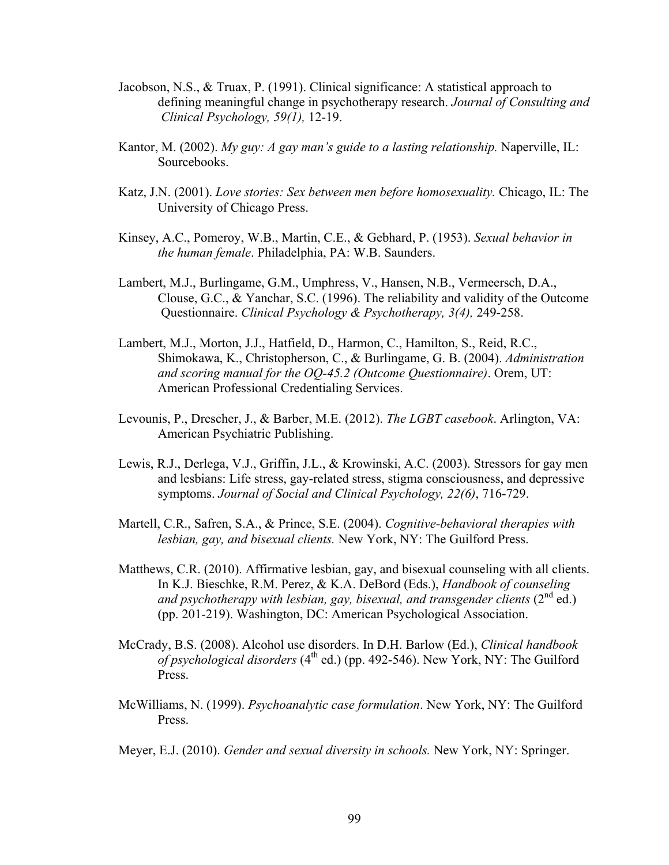- Jacobson, N.S., & Truax, P. (1991). Clinical significance: A statistical approach to defining meaningful change in psychotherapy research. *Journal of Consulting and Clinical Psychology, 59(1),* 12-19.
- Kantor, M. (2002). *My guy: A gay man's guide to a lasting relationship.* Naperville, IL: Sourcebooks.
- Katz, J.N. (2001). *Love stories: Sex between men before homosexuality.* Chicago, IL: The University of Chicago Press.
- Kinsey, A.C., Pomeroy, W.B., Martin, C.E., & Gebhard, P. (1953). *Sexual behavior in the human female*. Philadelphia, PA: W.B. Saunders.
- Lambert, M.J., Burlingame, G.M., Umphress, V., Hansen, N.B., Vermeersch, D.A., Clouse, G.C., & Yanchar, S.C. (1996). The reliability and validity of the Outcome Questionnaire. *Clinical Psychology & Psychotherapy, 3(4),* 249-258.
- Lambert, M.J., Morton, J.J., Hatfield, D., Harmon, C., Hamilton, S., Reid, R.C., Shimokawa, K., Christopherson, C., & Burlingame, G. B. (2004). *Administration and scoring manual for the OQ-45.2 (Outcome Questionnaire)*. Orem, UT: American Professional Credentialing Services.
- Levounis, P., Drescher, J., & Barber, M.E. (2012). *The LGBT casebook*. Arlington, VA: American Psychiatric Publishing.
- Lewis, R.J., Derlega, V.J., Griffin, J.L., & Krowinski, A.C. (2003). Stressors for gay men and lesbians: Life stress, gay-related stress, stigma consciousness, and depressive symptoms. *Journal of Social and Clinical Psychology, 22(6)*, 716-729.
- Martell, C.R., Safren, S.A., & Prince, S.E. (2004). *Cognitive-behavioral therapies with lesbian, gay, and bisexual clients.* New York, NY: The Guilford Press.
- Matthews, C.R. (2010). Affirmative lesbian, gay, and bisexual counseling with all clients. In K.J. Bieschke, R.M. Perez, & K.A. DeBord (Eds.), *Handbook of counseling* and psychotherapy with lesbian, gay, bisexual, and transgender clients (2<sup>nd</sup> ed.) (pp. 201-219). Washington, DC: American Psychological Association.
- McCrady, B.S. (2008). Alcohol use disorders. In D.H. Barlow (Ed.), *Clinical handbook of psychological disorders* (4<sup>th</sup> ed.) (pp. 492-546). New York, NY: The Guilford Press.
- McWilliams, N. (1999). *Psychoanalytic case formulation*. New York, NY: The Guilford Press.
- Meyer, E.J. (2010). *Gender and sexual diversity in schools.* New York, NY: Springer.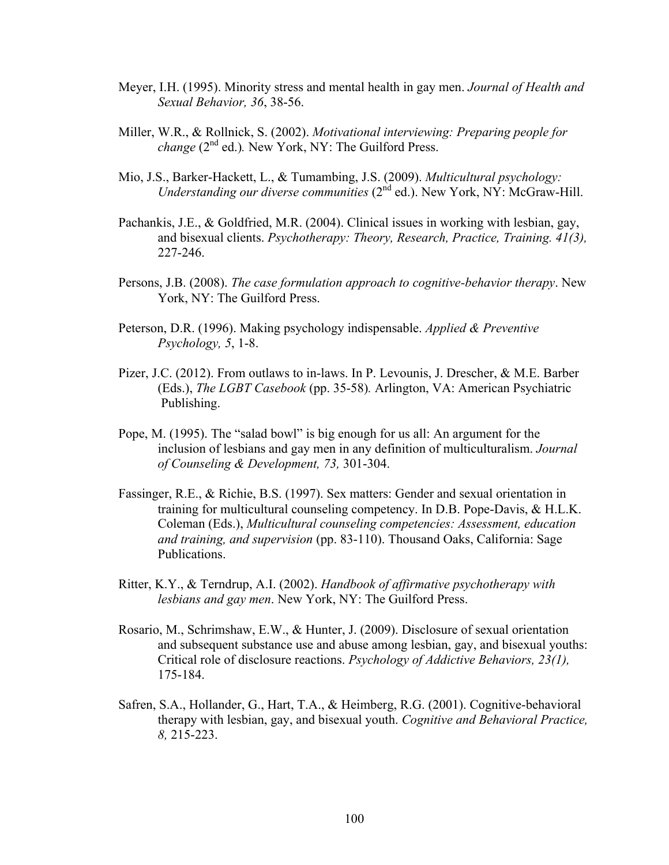- Meyer, I.H. (1995). Minority stress and mental health in gay men. *Journal of Health and Sexual Behavior, 36*, 38-56.
- Miller, W.R., & Rollnick, S. (2002). *Motivational interviewing: Preparing people for change*  $(2^{nd}$  ed.). New York, NY: The Guilford Press.
- Mio, J.S., Barker-Hackett, L., & Tumambing, J.S. (2009). *Multicultural psychology: Understanding our diverse communities* (2nd ed.). New York, NY: McGraw-Hill.
- Pachankis, J.E., & Goldfried, M.R. (2004). Clinical issues in working with lesbian, gay, and bisexual clients. *Psychotherapy: Theory, Research, Practice, Training. 41(3),*  227-246.
- Persons, J.B. (2008). *The case formulation approach to cognitive-behavior therapy*. New York, NY: The Guilford Press.
- Peterson, D.R. (1996). Making psychology indispensable. *Applied & Preventive Psychology, 5*, 1-8.
- Pizer, J.C. (2012). From outlaws to in-laws. In P. Levounis, J. Drescher, & M.E. Barber (Eds.), *The LGBT Casebook* (pp. 35-58)*.* Arlington, VA: American Psychiatric Publishing.
- Pope, M. (1995). The "salad bowl" is big enough for us all: An argument for the inclusion of lesbians and gay men in any definition of multiculturalism. *Journal of Counseling & Development, 73,* 301-304.
- Fassinger, R.E., & Richie, B.S. (1997). Sex matters: Gender and sexual orientation in training for multicultural counseling competency. In D.B. Pope-Davis, & H.L.K. Coleman (Eds.), *Multicultural counseling competencies: Assessment, education and training, and supervision* (pp. 83-110). Thousand Oaks, California: Sage Publications.
- Ritter, K.Y., & Terndrup, A.I. (2002). *Handbook of affirmative psychotherapy with lesbians and gay men*. New York, NY: The Guilford Press.
- Rosario, M., Schrimshaw, E.W., & Hunter, J. (2009). Disclosure of sexual orientation and subsequent substance use and abuse among lesbian, gay, and bisexual youths: Critical role of disclosure reactions. *Psychology of Addictive Behaviors, 23(1),* 175-184.
- Safren, S.A., Hollander, G., Hart, T.A., & Heimberg, R.G. (2001). Cognitive-behavioral therapy with lesbian, gay, and bisexual youth. *Cognitive and Behavioral Practice, 8,* 215-223.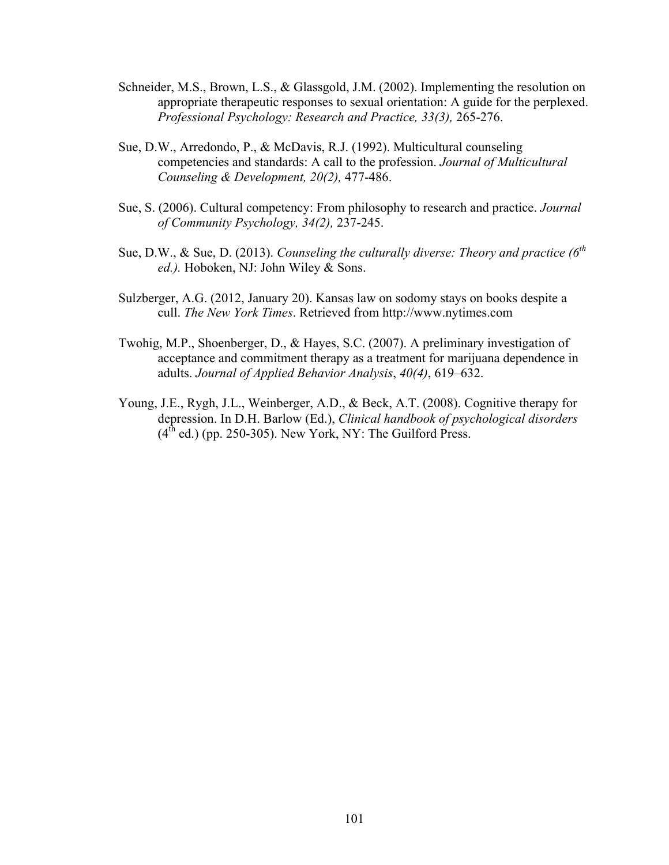- Schneider, M.S., Brown, L.S., & Glassgold, J.M. (2002). Implementing the resolution on appropriate therapeutic responses to sexual orientation: A guide for the perplexed. *Professional Psychology: Research and Practice, 33(3),* 265-276.
- Sue, D.W., Arredondo, P., & McDavis, R.J. (1992). Multicultural counseling competencies and standards: A call to the profession. *Journal of Multicultural Counseling & Development, 20(2),* 477-486.
- Sue, S. (2006). Cultural competency: From philosophy to research and practice. *Journal of Community Psychology, 34(2),* 237-245.
- Sue, D.W., & Sue, D. (2013). *Counseling the culturally diverse: Theory and practice (6th ed.).* Hoboken, NJ: John Wiley & Sons.
- Sulzberger, A.G. (2012, January 20). Kansas law on sodomy stays on books despite a cull. *The New York Times*. Retrieved from http://www.nytimes.com
- Twohig, M.P., Shoenberger, D., & Hayes, S.C. (2007). A preliminary investigation of acceptance and commitment therapy as a treatment for marijuana dependence in adults. *Journal of Applied Behavior Analysis*, *40(4)*, 619–632.
- Young, J.E., Rygh, J.L., Weinberger, A.D., & Beck, A.T. (2008). Cognitive therapy for depression. In D.H. Barlow (Ed.), *Clinical handbook of psychological disorders*  $(4<sup>th</sup>$  ed.) (pp. 250-305). New York, NY: The Guilford Press.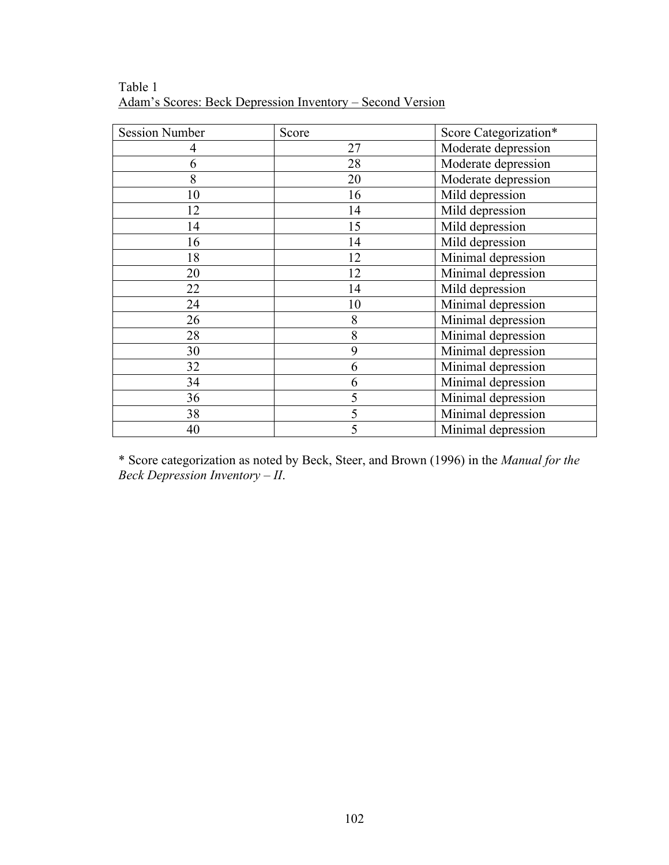| <b>Session Number</b> | Score | Score Categorization* |
|-----------------------|-------|-----------------------|
| 4                     | 27    | Moderate depression   |
| 6                     | 28    | Moderate depression   |
| 8                     | 20    | Moderate depression   |
| 10                    | 16    | Mild depression       |
| 12                    | 14    | Mild depression       |
| 14                    | 15    | Mild depression       |
| 16                    | 14    | Mild depression       |
| 18                    | 12    | Minimal depression    |
| 20                    | 12    | Minimal depression    |
| 22                    | 14    | Mild depression       |
| 24                    | 10    | Minimal depression    |
| 26                    | 8     | Minimal depression    |
| 28                    | 8     | Minimal depression    |
| 30                    | 9     | Minimal depression    |
| 32                    | 6     | Minimal depression    |
| 34                    | 6     | Minimal depression    |
| 36                    | 5     | Minimal depression    |
| 38                    | 5     | Minimal depression    |
| 40                    | 5     | Minimal depression    |

Table 1 Adam's Scores: Beck Depression Inventory – Second Version

\* Score categorization as noted by Beck, Steer, and Brown (1996) in the *Manual for the Beck Depression Inventory – II*.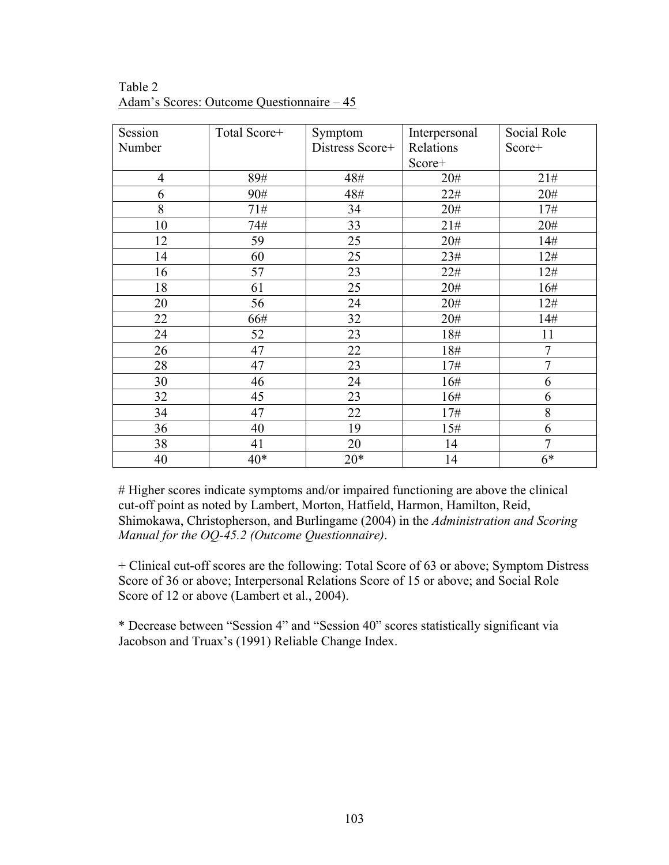| Session        | Total Score+ | Symptom         | Interpersonal | Social Role    |
|----------------|--------------|-----------------|---------------|----------------|
| Number         |              | Distress Score+ | Relations     | Score+         |
|                |              |                 | Score+        |                |
| $\overline{4}$ | 89#          | 48#             | 20#           | 21#            |
| 6              | 90#          | 48#             | 22#           | 20#            |
| 8              | 71#          | 34              | 20#           | 17#            |
| 10             | 74#          | 33              | 21#           | 20#            |
| 12             | 59           | 25              | 20#           | 14#            |
| 14             | 60           | 25              | 23#           | 12#            |
| 16             | 57           | 23              | 22#           | 12#            |
| 18             | 61           | 25              | 20#           | 16#            |
| 20             | 56           | 24              | 20#           | 12#            |
| 22             | 66#          | 32              | 20#           | 14#            |
| 24             | 52           | 23              | 18#           | 11             |
| 26             | 47           | 22              | 18#           | 7              |
| 28             | 47           | 23              | 17#           | $\overline{7}$ |
| 30             | 46           | 24              | 16#           | 6              |
| 32             | 45           | 23              | 16#           | 6              |
| 34             | 47           | 22              | 17#           | 8              |
| 36             | 40           | 19              | 15#           | 6              |
| 38             | 41           | 20              | 14            | $\tau$         |
| 40             | $40*$        | $20*$           | 14            | $6*$           |

Table 2 Adam's Scores: Outcome Questionnaire – 45

# Higher scores indicate symptoms and/or impaired functioning are above the clinical cut-off point as noted by Lambert, Morton, Hatfield, Harmon, Hamilton, Reid, Shimokawa, Christopherson, and Burlingame (2004) in the *Administration and Scoring Manual for the OQ-45.2 (Outcome Questionnaire)*.

+ Clinical cut-off scores are the following: Total Score of 63 or above; Symptom Distress Score of 36 or above; Interpersonal Relations Score of 15 or above; and Social Role Score of 12 or above (Lambert et al., 2004).

\* Decrease between "Session 4" and "Session 40" scores statistically significant via Jacobson and Truax's (1991) Reliable Change Index.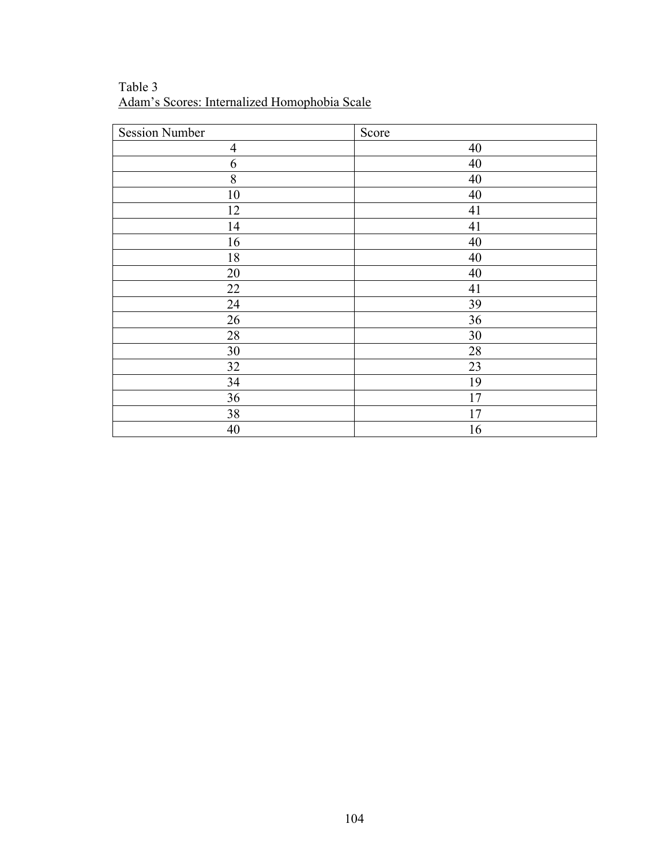Table 3 Adam's Scores: Internalized Homophobia Scale

| <b>Session Number</b> | Score |
|-----------------------|-------|
| $\overline{4}$        | 40    |
| 6                     | 40    |
| 8                     | 40    |
| 10                    | 40    |
| 12                    | 41    |
| 14                    | 41    |
| 16                    | 40    |
| 18                    | 40    |
| 20                    | 40    |
| 22                    | 41    |
| 24                    | 39    |
| 26                    | 36    |
| 28                    | 30    |
| 30                    | 28    |
| 32                    | 23    |
| 34                    | 19    |
| 36                    | 17    |
| 38                    | 17    |
| 40                    | 16    |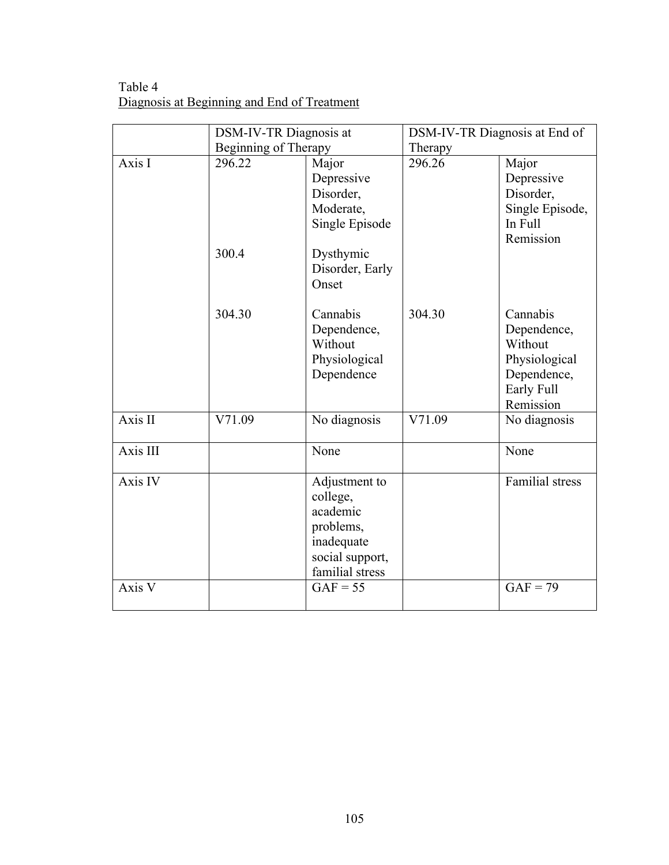Table 4 Diagnosis at Beginning and End of Treatment

|          | <b>DSM-IV-TR Diagnosis at</b> |                                                                                                        | DSM-IV-TR Diagnosis at End of |                                                                                               |
|----------|-------------------------------|--------------------------------------------------------------------------------------------------------|-------------------------------|-----------------------------------------------------------------------------------------------|
|          | Beginning of Therapy          |                                                                                                        | Therapy                       |                                                                                               |
| Axis I   | 296.22<br>300.4               | Major<br>Depressive<br>Disorder,<br>Moderate,<br>Single Episode<br>Dysthymic                           | 296.26                        | Major<br>Depressive<br>Disorder,<br>Single Episode,<br>In Full<br>Remission                   |
|          |                               | Disorder, Early<br>Onset                                                                               |                               |                                                                                               |
|          | 304.30                        | Cannabis<br>Dependence,<br>Without<br>Physiological<br>Dependence                                      | 304.30                        | Cannabis<br>Dependence,<br>Without<br>Physiological<br>Dependence,<br>Early Full<br>Remission |
| Axis II  | V71.09                        | No diagnosis                                                                                           | V71.09                        | No diagnosis                                                                                  |
| Axis III |                               | None                                                                                                   |                               | None                                                                                          |
| Axis IV  |                               | Adjustment to<br>college,<br>academic<br>problems,<br>inadequate<br>social support,<br>familial stress |                               | <b>Familial</b> stress                                                                        |
| Axis V   |                               | $GAF = 55$                                                                                             |                               | $GAF = 79$                                                                                    |